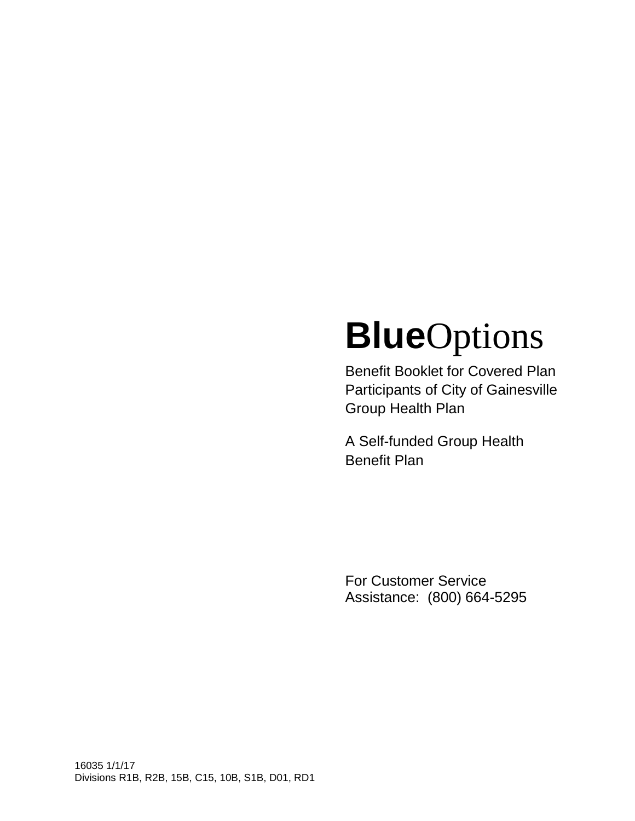# **Blue**Options

Benefit Booklet for Covered Plan Participants of City of Gainesville Group Health Plan

A Self-funded Group Health Benefit Plan

For Customer Service Assistance: (800) 664-5295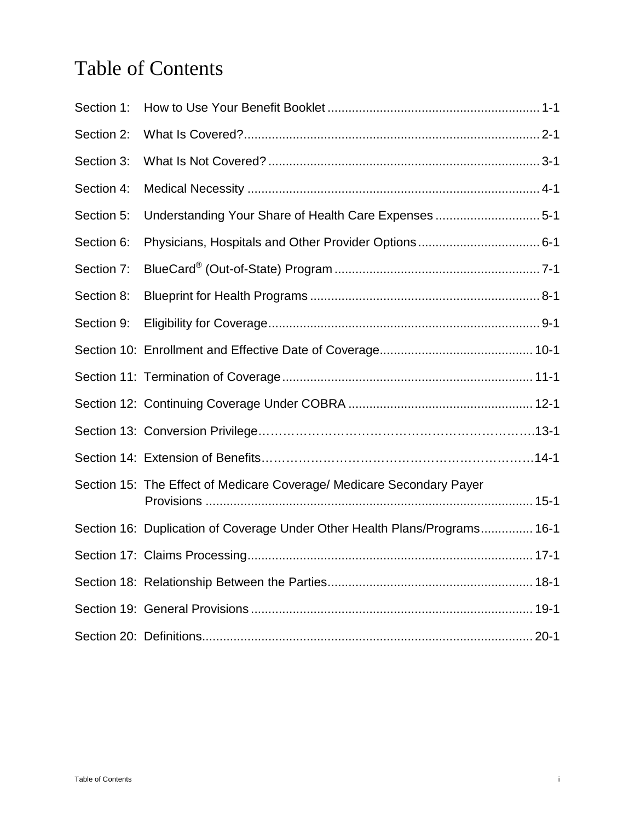# Table of Contents

| Section 1: |                                                                            |
|------------|----------------------------------------------------------------------------|
| Section 2: |                                                                            |
| Section 3: |                                                                            |
| Section 4: |                                                                            |
| Section 5: | Understanding Your Share of Health Care Expenses 5-1                       |
| Section 6: |                                                                            |
| Section 7: |                                                                            |
| Section 8: |                                                                            |
| Section 9: |                                                                            |
|            |                                                                            |
|            |                                                                            |
|            |                                                                            |
|            |                                                                            |
|            |                                                                            |
|            | Section 15: The Effect of Medicare Coverage/ Medicare Secondary Payer      |
|            | Section 16: Duplication of Coverage Under Other Health Plans/Programs 16-1 |
|            |                                                                            |
|            |                                                                            |
|            |                                                                            |
|            |                                                                            |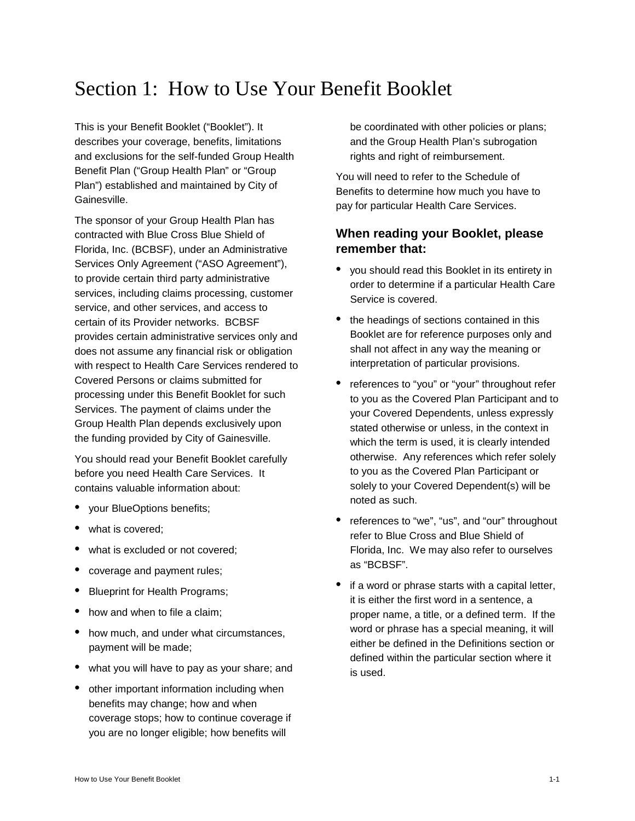# Section 1: How to Use Your Benefit Booklet

This is your Benefit Booklet ("Booklet"). It describes your coverage, benefits, limitations and exclusions for the self-funded Group Health Benefit Plan ("Group Health Plan" or "Group Plan") established and maintained by City of Gainesville.

The sponsor of your Group Health Plan has contracted with Blue Cross Blue Shield of Florida, Inc. (BCBSF), under an Administrative Services Only Agreement ("ASO Agreement"), to provide certain third party administrative services, including claims processing, customer service, and other services, and access to certain of its Provider networks. BCBSF provides certain administrative services only and does not assume any financial risk or obligation with respect to Health Care Services rendered to Covered Persons or claims submitted for processing under this Benefit Booklet for such Services. The payment of claims under the Group Health Plan depends exclusively upon the funding provided by City of Gainesville.

You should read your Benefit Booklet carefully before you need Health Care Services. It contains valuable information about:

- your BlueOptions benefits;
- what is covered;
- what is excluded or not covered:
- coverage and payment rules;
- Blueprint for Health Programs;
- how and when to file a claim:
- how much, and under what circumstances, payment will be made;
- what you will have to pay as your share; and
- other important information including when benefits may change; how and when coverage stops; how to continue coverage if you are no longer eligible; how benefits will

be coordinated with other policies or plans; and the Group Health Plan's subrogation rights and right of reimbursement.

You will need to refer to the Schedule of Benefits to determine how much you have to pay for particular Health Care Services.

# **When reading your Booklet, please remember that:**

- you should read this Booklet in its entirety in order to determine if a particular Health Care Service is covered.
- the headings of sections contained in this Booklet are for reference purposes only and shall not affect in any way the meaning or interpretation of particular provisions.
- references to "you" or "your" throughout refer to you as the Covered Plan Participant and to your Covered Dependents, unless expressly stated otherwise or unless, in the context in which the term is used, it is clearly intended otherwise. Any references which refer solely to you as the Covered Plan Participant or solely to your Covered Dependent(s) will be noted as such.
- references to "we", "us", and "our" throughout refer to Blue Cross and Blue Shield of Florida, Inc. We may also refer to ourselves as "BCBSF".
- if a word or phrase starts with a capital letter, it is either the first word in a sentence, a proper name, a title, or a defined term. If the word or phrase has a special meaning, it will either be defined in the Definitions section or defined within the particular section where it is used.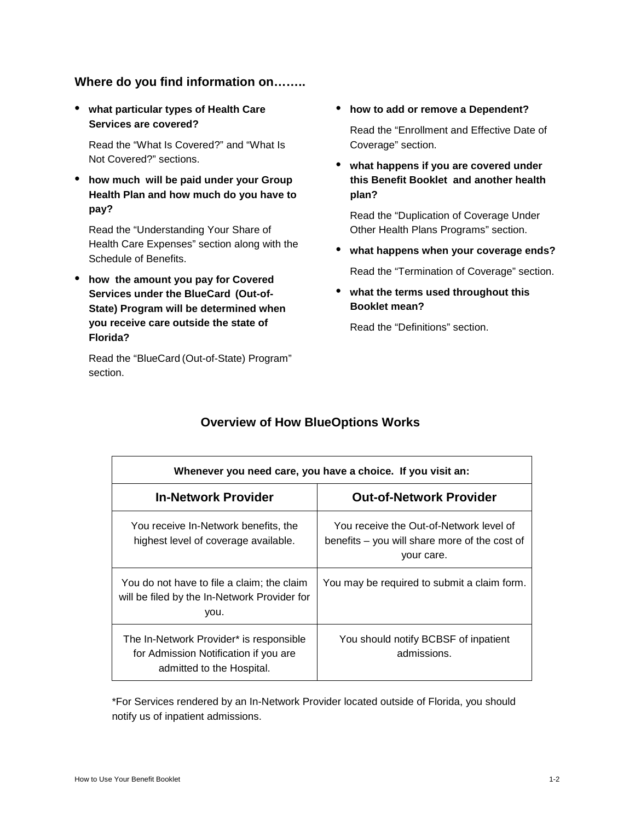# **Where do you find information on……..**

• **what particular types of Health Care Services are covered?** 

Read the "What Is Covered?" and "What Is Not Covered?" sections.

• **how much will be paid under your Group Health Plan and how much do you have to pay?**

Read the "Understanding Your Share of Health Care Expenses" section along with the Schedule of Benefits.

• **how the amount you pay for Covered Services under the BlueCard (Out-of-State) Program will be determined when you receive care outside the state of Florida?**

Read the "BlueCard (Out-of-State) Program" section.

- **how to add or remove a Dependent?** Read the "Enrollment and Effective Date of Coverage" section.
- **what happens if you are covered under this Benefit Booklet and another health plan?**

Read the "Duplication of Coverage Under Other Health Plans Programs" section.

- **what happens when your coverage ends?** Read the "Termination of Coverage" section.
- **what the terms used throughout this Booklet mean?**

Read the "Definitions" section.

| Whenever you need care, you have a choice. If you visit an:                                                   |                                                                                                        |  |  |
|---------------------------------------------------------------------------------------------------------------|--------------------------------------------------------------------------------------------------------|--|--|
| <b>In-Network Provider</b>                                                                                    | <b>Out-of-Network Provider</b>                                                                         |  |  |
| You receive In-Network benefits, the<br>highest level of coverage available.                                  | You receive the Out-of-Network level of<br>benefits – you will share more of the cost of<br>your care. |  |  |
| You do not have to file a claim; the claim<br>will be filed by the In-Network Provider for<br>you.            | You may be required to submit a claim form.                                                            |  |  |
| The In-Network Provider* is responsible<br>for Admission Notification if you are<br>admitted to the Hospital. | You should notify BCBSF of inpatient<br>admissions.                                                    |  |  |

# **Overview of How BlueOptions Works**

\*For Services rendered by an In-Network Provider located outside of Florida, you should notify us of inpatient admissions.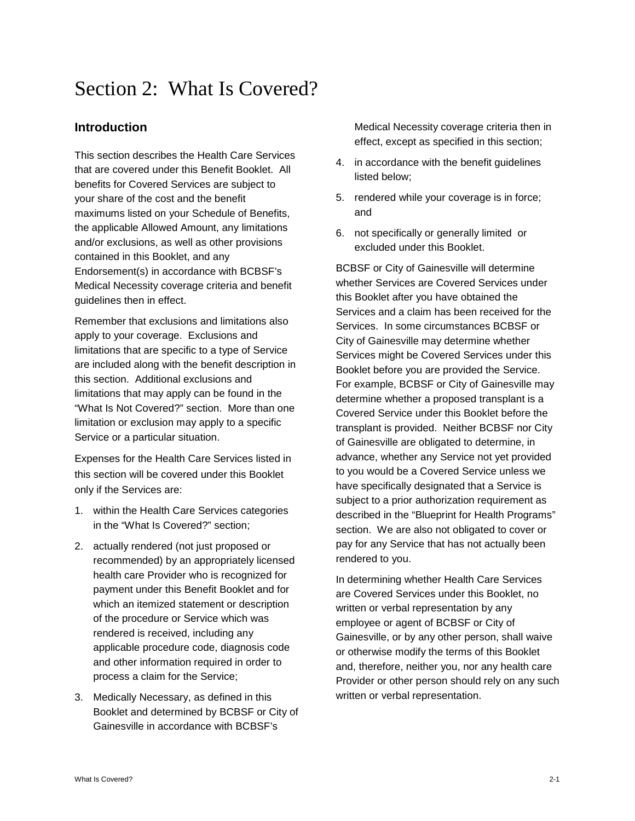# Section 2: What Is Covered?

# **Introduction**

This section describes the Health Care Services that are covered under this Benefit Booklet. All benefits for Covered Services are subject to your share of the cost and the benefit maximums listed on your Schedule of Benefits, the applicable Allowed Amount, any limitations and/or exclusions, as well as other provisions contained in this Booklet, and any Endorsement(s) in accordance with BCBSF's Medical Necessity coverage criteria and benefit guidelines then in effect.

Remember that exclusions and limitations also apply to your coverage. Exclusions and limitations that are specific to a type of Service are included along with the benefit description in this section. Additional exclusions and limitations that may apply can be found in the "What Is Not Covered?" section. More than one limitation or exclusion may apply to a specific Service or a particular situation.

Expenses for the Health Care Services listed in this section will be covered under this Booklet only if the Services are:

- 1. within the Health Care Services categories in the "What Is Covered?" section;
- 2. actually rendered (not just proposed or recommended) by an appropriately licensed health care Provider who is recognized for payment under this Benefit Booklet and for which an itemized statement or description of the procedure or Service which was rendered is received, including any applicable procedure code, diagnosis code and other information required in order to process a claim for the Service;
- 3. Medically Necessary, as defined in this Booklet and determined by BCBSF or City of Gainesville in accordance with BCBSF's

Medical Necessity coverage criteria then in effect, except as specified in this section;

- 4. in accordance with the benefit guidelines listed below;
- 5. rendered while your coverage is in force; and
- 6. not specifically or generally limited or excluded under this Booklet.

BCBSF or City of Gainesville will determine whether Services are Covered Services under this Booklet after you have obtained the Services and a claim has been received for the Services. In some circumstances BCBSF or City of Gainesville may determine whether Services might be Covered Services under this Booklet before you are provided the Service. For example, BCBSF or City of Gainesville may determine whether a proposed transplant is a Covered Service under this Booklet before the transplant is provided. Neither BCBSF nor City of Gainesville are obligated to determine, in advance, whether any Service not yet provided to you would be a Covered Service unless we have specifically designated that a Service is subject to a prior authorization requirement as described in the "Blueprint for Health Programs" section. We are also not obligated to cover or pay for any Service that has not actually been rendered to you.

In determining whether Health Care Services are Covered Services under this Booklet, no written or verbal representation by any employee or agent of BCBSF or City of Gainesville, or by any other person, shall waive or otherwise modify the terms of this Booklet and, therefore, neither you, nor any health care Provider or other person should rely on any such written or verbal representation.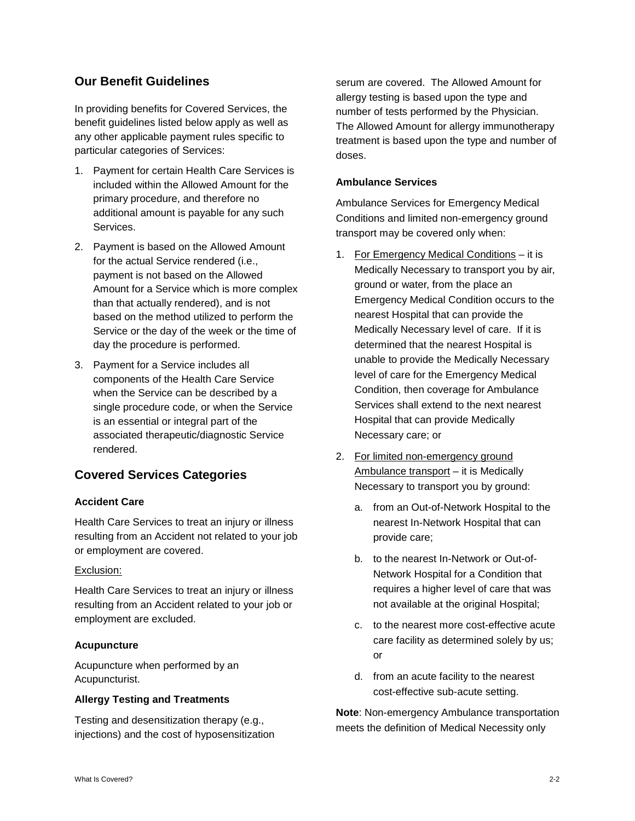# **Our Benefit Guidelines**

In providing benefits for Covered Services, the benefit guidelines listed below apply as well as any other applicable payment rules specific to particular categories of Services:

- 1. Payment for certain Health Care Services is included within the Allowed Amount for the primary procedure, and therefore no additional amount is payable for any such Services.
- 2. Payment is based on the Allowed Amount for the actual Service rendered (i.e., payment is not based on the Allowed Amount for a Service which is more complex than that actually rendered), and is not based on the method utilized to perform the Service or the day of the week or the time of day the procedure is performed.
- 3. Payment for a Service includes all components of the Health Care Service when the Service can be described by a single procedure code, or when the Service is an essential or integral part of the associated therapeutic/diagnostic Service rendered.

# **Covered Services Categories**

# **Accident Care**

Health Care Services to treat an injury or illness resulting from an Accident not related to your job or employment are covered.

# Exclusion:

Health Care Services to treat an injury or illness resulting from an Accident related to your job or employment are excluded.

# **Acupuncture**

Acupuncture when performed by an Acupuncturist.

# **Allergy Testing and Treatments**

Testing and desensitization therapy (e.g., injections) and the cost of hyposensitization

serum are covered. The Allowed Amount for allergy testing is based upon the type and number of tests performed by the Physician. The Allowed Amount for allergy immunotherapy treatment is based upon the type and number of doses.

# **Ambulance Services**

Ambulance Services for Emergency Medical Conditions and limited non-emergency ground transport may be covered only when:

- 1. For Emergency Medical Conditions it is Medically Necessary to transport you by air, ground or water, from the place an Emergency Medical Condition occurs to the nearest Hospital that can provide the Medically Necessary level of care. If it is determined that the nearest Hospital is unable to provide the Medically Necessary level of care for the Emergency Medical Condition, then coverage for Ambulance Services shall extend to the next nearest Hospital that can provide Medically Necessary care; or
- 2. For limited non-emergency ground Ambulance transport – it is Medically Necessary to transport you by ground:
	- a. from an Out-of-Network Hospital to the nearest In-Network Hospital that can provide care;
	- b. to the nearest In-Network or Out-of-Network Hospital for a Condition that requires a higher level of care that was not available at the original Hospital;
	- c. to the nearest more cost-effective acute care facility as determined solely by us; or
	- d. from an acute facility to the nearest cost-effective sub-acute setting.

**Note**: Non-emergency Ambulance transportation meets the definition of Medical Necessity only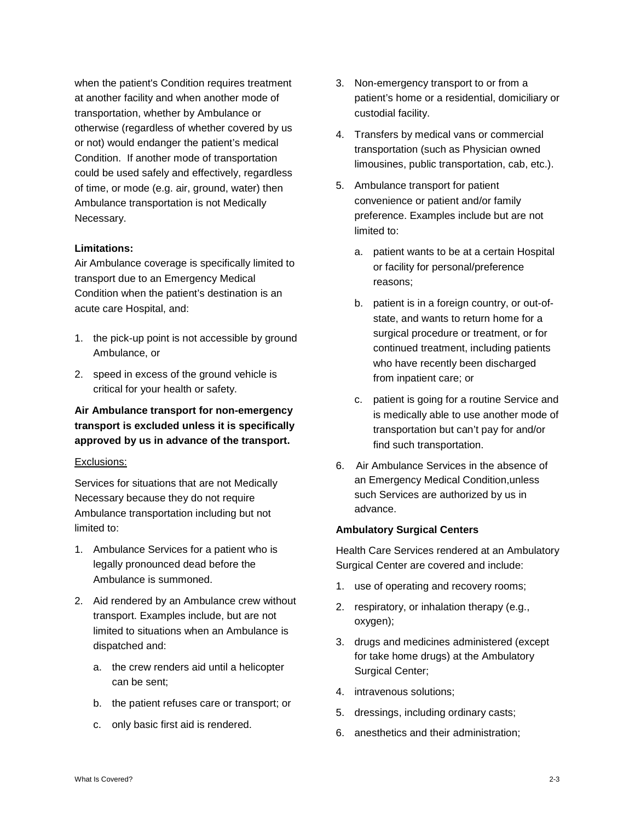when the patient's Condition requires treatment at another facility and when another mode of transportation, whether by Ambulance or otherwise (regardless of whether covered by us or not) would endanger the patient's medical Condition. If another mode of transportation could be used safely and effectively, regardless of time, or mode (e.g. air, ground, water) then Ambulance transportation is not Medically Necessary.

#### **Limitations:**

Air Ambulance coverage is specifically limited to transport due to an Emergency Medical Condition when the patient's destination is an acute care Hospital, and:

- 1. the pick-up point is not accessible by ground Ambulance, or
- 2. speed in excess of the ground vehicle is critical for your health or safety.

# **Air Ambulance transport for non-emergency transport is excluded unless it is specifically approved by us in advance of the transport.**

#### Exclusions:

Services for situations that are not Medically Necessary because they do not require Ambulance transportation including but not limited to:

- 1. Ambulance Services for a patient who is legally pronounced dead before the Ambulance is summoned.
- 2. Aid rendered by an Ambulance crew without transport. Examples include, but are not limited to situations when an Ambulance is dispatched and:
	- a. the crew renders aid until a helicopter can be sent;
	- b. the patient refuses care or transport; or
	- c. only basic first aid is rendered.
- 3. Non-emergency transport to or from a patient's home or a residential, domiciliary or custodial facility.
- 4. Transfers by medical vans or commercial transportation (such as Physician owned limousines, public transportation, cab, etc.).
- 5. Ambulance transport for patient convenience or patient and/or family preference. Examples include but are not limited to:
	- a. patient wants to be at a certain Hospital or facility for personal/preference reasons;
	- b. patient is in a foreign country, or out-ofstate, and wants to return home for a surgical procedure or treatment, or for continued treatment, including patients who have recently been discharged from inpatient care; or
	- c. patient is going for a routine Service and is medically able to use another mode of transportation but can't pay for and/or find such transportation.
- 6. Air Ambulance Services in the absence of an Emergency Medical Condition,unless such Services are authorized by us in advance.

# **Ambulatory Surgical Centers**

Health Care Services rendered at an Ambulatory Surgical Center are covered and include:

- 1. use of operating and recovery rooms;
- 2. respiratory, or inhalation therapy (e.g., oxygen);
- 3. drugs and medicines administered (except for take home drugs) at the Ambulatory Surgical Center;
- 4. intravenous solutions;
- 5. dressings, including ordinary casts;
- 6. anesthetics and their administration;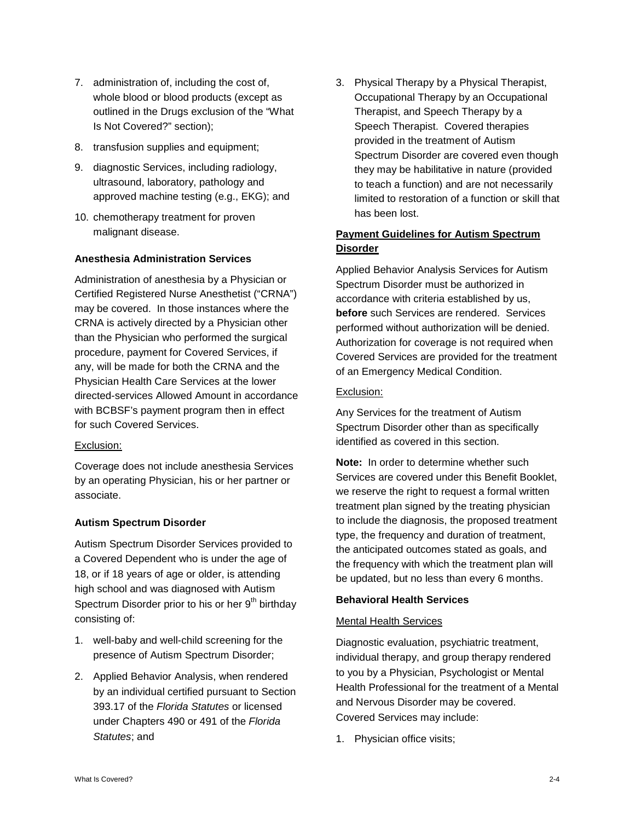- 7. administration of, including the cost of, whole blood or blood products (except as outlined in the Drugs exclusion of the "What Is Not Covered?" section);
- 8. transfusion supplies and equipment;
- 9. diagnostic Services, including radiology, ultrasound, laboratory, pathology and approved machine testing (e.g., EKG); and
- 10. chemotherapy treatment for proven malignant disease.

# **Anesthesia Administration Services**

Administration of anesthesia by a Physician or Certified Registered Nurse Anesthetist ("CRNA") may be covered. In those instances where the CRNA is actively directed by a Physician other than the Physician who performed the surgical procedure, payment for Covered Services, if any, will be made for both the CRNA and the Physician Health Care Services at the lower directed-services Allowed Amount in accordance with BCBSF's payment program then in effect for such Covered Services.

# Exclusion:

Coverage does not include anesthesia Services by an operating Physician, his or her partner or associate.

# **Autism Spectrum Disorder**

Autism Spectrum Disorder Services provided to a Covered Dependent who is under the age of 18, or if 18 years of age or older, is attending high school and was diagnosed with Autism Spectrum Disorder prior to his or her  $9<sup>th</sup>$  birthday consisting of:

- 1. well-baby and well-child screening for the presence of Autism Spectrum Disorder;
- 2. Applied Behavior Analysis, when rendered by an individual certified pursuant to Section 393.17 of the *Florida Statutes* or licensed under Chapters 490 or 491 of the *Florida Statutes*; and

3. Physical Therapy by a Physical Therapist, Occupational Therapy by an Occupational Therapist, and Speech Therapy by a Speech Therapist. Covered therapies provided in the treatment of Autism Spectrum Disorder are covered even though they may be habilitative in nature (provided to teach a function) and are not necessarily limited to restoration of a function or skill that has been lost.

# **Payment Guidelines for Autism Spectrum Disorder**

Applied Behavior Analysis Services for Autism Spectrum Disorder must be authorized in accordance with criteria established by us, **before** such Services are rendered. Services performed without authorization will be denied. Authorization for coverage is not required when Covered Services are provided for the treatment of an Emergency Medical Condition.

#### Exclusion:

Any Services for the treatment of Autism Spectrum Disorder other than as specifically identified as covered in this section.

**Note:** In order to determine whether such Services are covered under this Benefit Booklet, we reserve the right to request a formal written treatment plan signed by the treating physician to include the diagnosis, the proposed treatment type, the frequency and duration of treatment, the anticipated outcomes stated as goals, and the frequency with which the treatment plan will be updated, but no less than every 6 months.

#### **Behavioral Health Services**

# Mental Health Services

Diagnostic evaluation, psychiatric treatment, individual therapy, and group therapy rendered to you by a Physician, Psychologist or Mental Health Professional for the treatment of a Mental and Nervous Disorder may be covered. Covered Services may include:

1. Physician office visits;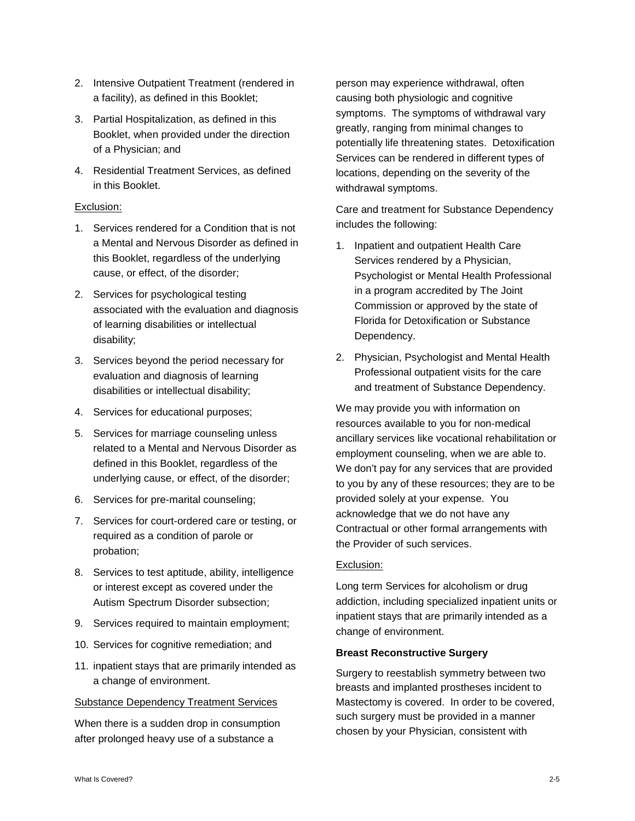- 2. Intensive Outpatient Treatment (rendered in a facility), as defined in this Booklet;
- 3. Partial Hospitalization, as defined in this Booklet, when provided under the direction of a Physician; and
- 4. Residential Treatment Services, as defined in this Booklet.

#### Exclusion:

- 1. Services rendered for a Condition that is not a Mental and Nervous Disorder as defined in this Booklet, regardless of the underlying cause, or effect, of the disorder;
- 2. Services for psychological testing associated with the evaluation and diagnosis of learning disabilities or intellectual disability;
- 3. Services beyond the period necessary for evaluation and diagnosis of learning disabilities or intellectual disability;
- 4. Services for educational purposes;
- 5. Services for marriage counseling unless related to a Mental and Nervous Disorder as defined in this Booklet, regardless of the underlying cause, or effect, of the disorder;
- 6. Services for pre-marital counseling;
- 7. Services for court-ordered care or testing, or required as a condition of parole or probation;
- 8. Services to test aptitude, ability, intelligence or interest except as covered under the Autism Spectrum Disorder subsection;
- 9. Services required to maintain employment;
- 10. Services for cognitive remediation; and
- 11. inpatient stays that are primarily intended as a change of environment.

#### Substance Dependency Treatment Services

When there is a sudden drop in consumption after prolonged heavy use of a substance a

person may experience withdrawal, often causing both physiologic and cognitive symptoms. The symptoms of withdrawal vary greatly, ranging from minimal changes to potentially life threatening states. Detoxification Services can be rendered in different types of locations, depending on the severity of the withdrawal symptoms.

Care and treatment for Substance Dependency includes the following:

- 1. Inpatient and outpatient Health Care Services rendered by a Physician, Psychologist or Mental Health Professional in a program accredited by The Joint Commission or approved by the state of Florida for Detoxification or Substance Dependency.
- 2. Physician, Psychologist and Mental Health Professional outpatient visits for the care and treatment of Substance Dependency.

We may provide you with information on resources available to you for non-medical ancillary services like vocational rehabilitation or employment counseling, when we are able to. We don't pay for any services that are provided to you by any of these resources; they are to be provided solely at your expense. You acknowledge that we do not have any Contractual or other formal arrangements with the Provider of such services.

#### Exclusion:

Long term Services for alcoholism or drug addiction, including specialized inpatient units or inpatient stays that are primarily intended as a change of environment.

#### **Breast Reconstructive Surgery**

Surgery to reestablish symmetry between two breasts and implanted prostheses incident to Mastectomy is covered. In order to be covered, such surgery must be provided in a manner chosen by your Physician, consistent with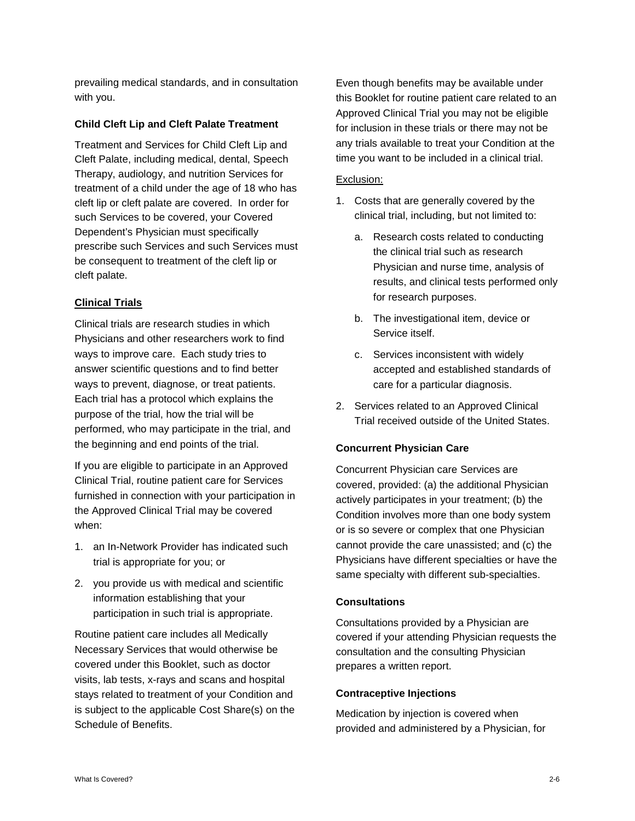prevailing medical standards, and in consultation with you.

#### **Child Cleft Lip and Cleft Palate Treatment**

Treatment and Services for Child Cleft Lip and Cleft Palate, including medical, dental, Speech Therapy, audiology, and nutrition Services for treatment of a child under the age of 18 who has cleft lip or cleft palate are covered. In order for such Services to be covered, your Covered Dependent's Physician must specifically prescribe such Services and such Services must be consequent to treatment of the cleft lip or cleft palate.

#### **Clinical Trials**

Clinical trials are research studies in which Physicians and other researchers work to find ways to improve care. Each study tries to answer scientific questions and to find better ways to prevent, diagnose, or treat patients. Each trial has a protocol which explains the purpose of the trial, how the trial will be performed, who may participate in the trial, and the beginning and end points of the trial.

If you are eligible to participate in an Approved Clinical Trial, routine patient care for Services furnished in connection with your participation in the Approved Clinical Trial may be covered when:

- 1. an In-Network Provider has indicated such trial is appropriate for you; or
- 2. you provide us with medical and scientific information establishing that your participation in such trial is appropriate.

Routine patient care includes all Medically Necessary Services that would otherwise be covered under this Booklet, such as doctor visits, lab tests, x-rays and scans and hospital stays related to treatment of your Condition and is subject to the applicable Cost Share(s) on the Schedule of Benefits.

Even though benefits may be available under this Booklet for routine patient care related to an Approved Clinical Trial you may not be eligible for inclusion in these trials or there may not be any trials available to treat your Condition at the time you want to be included in a clinical trial.

#### Exclusion:

- 1. Costs that are generally covered by the clinical trial, including, but not limited to:
	- a. Research costs related to conducting the clinical trial such as research Physician and nurse time, analysis of results, and clinical tests performed only for research purposes.
	- b. The investigational item, device or Service itself.
	- c. Services inconsistent with widely accepted and established standards of care for a particular diagnosis.
- 2. Services related to an Approved Clinical Trial received outside of the United States.

# **Concurrent Physician Care**

Concurrent Physician care Services are covered, provided: (a) the additional Physician actively participates in your treatment; (b) the Condition involves more than one body system or is so severe or complex that one Physician cannot provide the care unassisted; and (c) the Physicians have different specialties or have the same specialty with different sub-specialties.

#### **Consultations**

Consultations provided by a Physician are covered if your attending Physician requests the consultation and the consulting Physician prepares a written report.

#### **Contraceptive Injections**

Medication by injection is covered when provided and administered by a Physician, for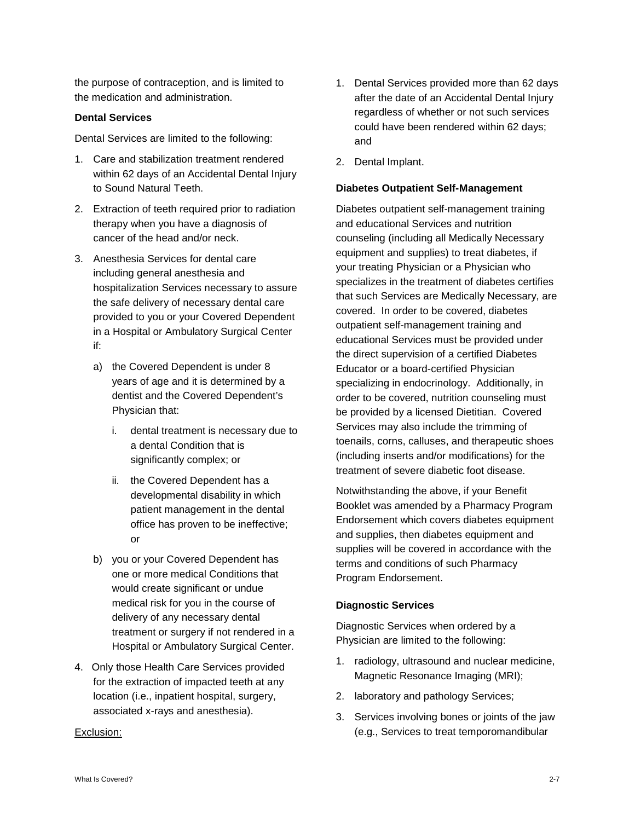the purpose of contraception, and is limited to the medication and administration.

#### **Dental Services**

Dental Services are limited to the following:

- 1. Care and stabilization treatment rendered within 62 days of an Accidental Dental Injury to Sound Natural Teeth.
- 2. Extraction of teeth required prior to radiation therapy when you have a diagnosis of cancer of the head and/or neck.
- 3. Anesthesia Services for dental care including general anesthesia and hospitalization Services necessary to assure the safe delivery of necessary dental care provided to you or your Covered Dependent in a Hospital or Ambulatory Surgical Center if:
	- a) the Covered Dependent is under 8 years of age and it is determined by a dentist and the Covered Dependent's Physician that:
		- i. dental treatment is necessary due to a dental Condition that is significantly complex; or
		- ii. the Covered Dependent has a developmental disability in which patient management in the dental office has proven to be ineffective; or
	- b) you or your Covered Dependent has one or more medical Conditions that would create significant or undue medical risk for you in the course of delivery of any necessary dental treatment or surgery if not rendered in a Hospital or Ambulatory Surgical Center.
- 4. Only those Health Care Services provided for the extraction of impacted teeth at any location (i.e., inpatient hospital, surgery, associated x-rays and anesthesia).

#### Exclusion:

- 1. Dental Services provided more than 62 days after the date of an Accidental Dental Injury regardless of whether or not such services could have been rendered within 62 days; and
- 2. Dental Implant.

#### **Diabetes Outpatient Self-Management**

Diabetes outpatient self-management training and educational Services and nutrition counseling (including all Medically Necessary equipment and supplies) to treat diabetes, if your treating Physician or a Physician who specializes in the treatment of diabetes certifies that such Services are Medically Necessary, are covered. In order to be covered, diabetes outpatient self-management training and educational Services must be provided under the direct supervision of a certified Diabetes Educator or a board-certified Physician specializing in endocrinology. Additionally, in order to be covered, nutrition counseling must be provided by a licensed Dietitian. Covered Services may also include the trimming of toenails, corns, calluses, and therapeutic shoes (including inserts and/or modifications) for the treatment of severe diabetic foot disease.

Notwithstanding the above, if your Benefit Booklet was amended by a Pharmacy Program Endorsement which covers diabetes equipment and supplies, then diabetes equipment and supplies will be covered in accordance with the terms and conditions of such Pharmacy Program Endorsement.

#### **Diagnostic Services**

Diagnostic Services when ordered by a Physician are limited to the following:

- 1. radiology, ultrasound and nuclear medicine, Magnetic Resonance Imaging (MRI);
- 2. laboratory and pathology Services;
- 3. Services involving bones or joints of the jaw (e.g., Services to treat temporomandibular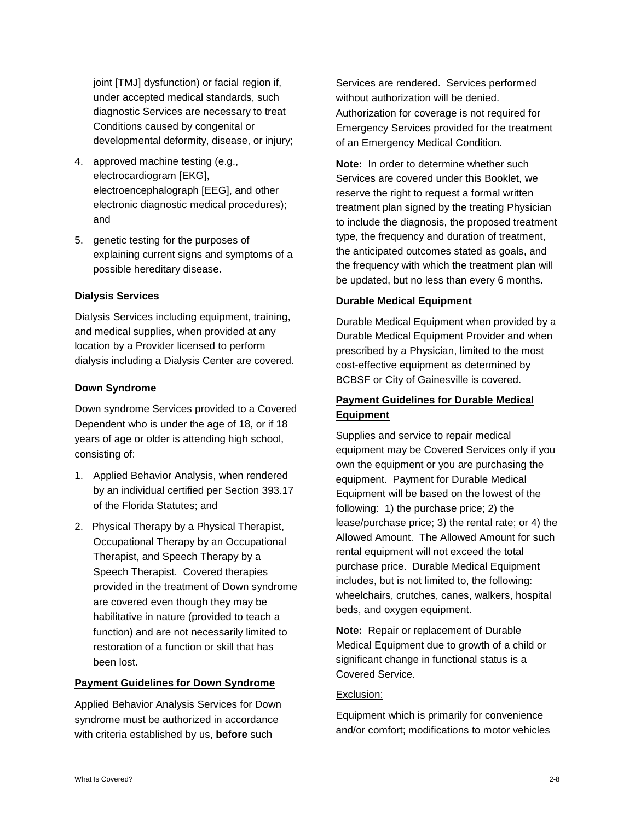joint [TMJ] dysfunction) or facial region if, under accepted medical standards, such diagnostic Services are necessary to treat Conditions caused by congenital or developmental deformity, disease, or injury;

- 4. approved machine testing (e.g., electrocardiogram [EKG], electroencephalograph [EEG], and other electronic diagnostic medical procedures); and
- 5. genetic testing for the purposes of explaining current signs and symptoms of a possible hereditary disease.

#### **Dialysis Services**

Dialysis Services including equipment, training, and medical supplies, when provided at any location by a Provider licensed to perform dialysis including a Dialysis Center are covered.

#### **Down Syndrome**

Down syndrome Services provided to a Covered Dependent who is under the age of 18, or if 18 years of age or older is attending high school, consisting of:

- 1. Applied Behavior Analysis, when rendered by an individual certified per Section 393.17 of the Florida Statutes; and
- 2. Physical Therapy by a Physical Therapist, Occupational Therapy by an Occupational Therapist, and Speech Therapy by a Speech Therapist. Covered therapies provided in the treatment of Down syndrome are covered even though they may be habilitative in nature (provided to teach a function) and are not necessarily limited to restoration of a function or skill that has been lost.

#### **Payment Guidelines for Down Syndrome**

Applied Behavior Analysis Services for Down syndrome must be authorized in accordance with criteria established by us, **before** such

Services are rendered. Services performed without authorization will be denied. Authorization for coverage is not required for Emergency Services provided for the treatment of an Emergency Medical Condition.

**Note:** In order to determine whether such Services are covered under this Booklet, we reserve the right to request a formal written treatment plan signed by the treating Physician to include the diagnosis, the proposed treatment type, the frequency and duration of treatment, the anticipated outcomes stated as goals, and the frequency with which the treatment plan will be updated, but no less than every 6 months.

#### **Durable Medical Equipment**

Durable Medical Equipment when provided by a Durable Medical Equipment Provider and when prescribed by a Physician, limited to the most cost-effective equipment as determined by BCBSF or City of Gainesville is covered.

# **Payment Guidelines for Durable Medical Equipment**

Supplies and service to repair medical equipment may be Covered Services only if you own the equipment or you are purchasing the equipment. Payment for Durable Medical Equipment will be based on the lowest of the following: 1) the purchase price; 2) the lease/purchase price; 3) the rental rate; or 4) the Allowed Amount. The Allowed Amount for such rental equipment will not exceed the total purchase price. Durable Medical Equipment includes, but is not limited to, the following: wheelchairs, crutches, canes, walkers, hospital beds, and oxygen equipment.

**Note:** Repair or replacement of Durable Medical Equipment due to growth of a child or significant change in functional status is a Covered Service.

#### Exclusion:

Equipment which is primarily for convenience and/or comfort; modifications to motor vehicles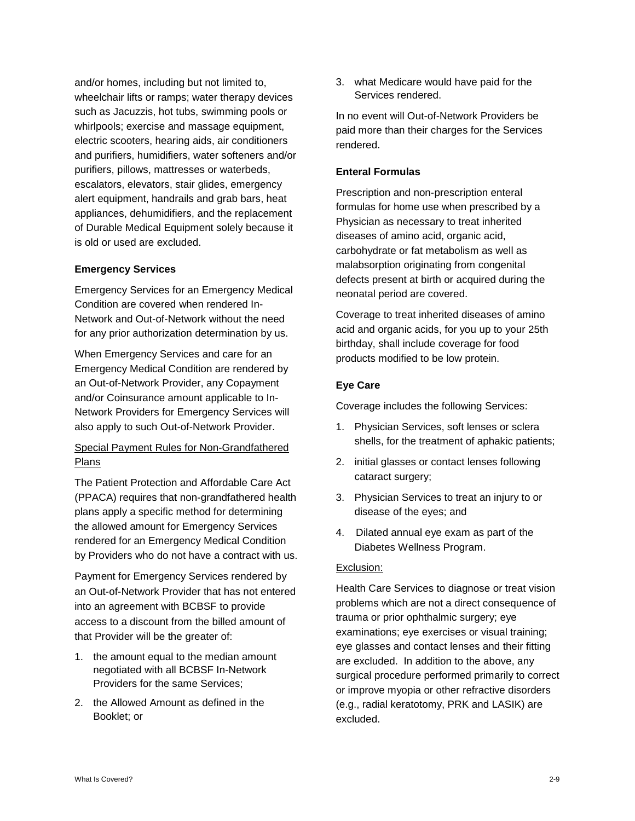and/or homes, including but not limited to, wheelchair lifts or ramps; water therapy devices such as Jacuzzis, hot tubs, swimming pools or whirlpools; exercise and massage equipment, electric scooters, hearing aids, air conditioners and purifiers, humidifiers, water softeners and/or purifiers, pillows, mattresses or waterbeds, escalators, elevators, stair glides, emergency alert equipment, handrails and grab bars, heat appliances, dehumidifiers, and the replacement of Durable Medical Equipment solely because it is old or used are excluded.

#### **Emergency Services**

Emergency Services for an Emergency Medical Condition are covered when rendered In-Network and Out-of-Network without the need for any prior authorization determination by us.

When Emergency Services and care for an Emergency Medical Condition are rendered by an Out-of-Network Provider, any Copayment and/or Coinsurance amount applicable to In-Network Providers for Emergency Services will also apply to such Out-of-Network Provider.

# Special Payment Rules for Non-Grandfathered Plans

The Patient Protection and Affordable Care Act (PPACA) requires that non-grandfathered health plans apply a specific method for determining the allowed amount for Emergency Services rendered for an Emergency Medical Condition by Providers who do not have a contract with us.

Payment for Emergency Services rendered by an Out-of-Network Provider that has not entered into an agreement with BCBSF to provide access to a discount from the billed amount of that Provider will be the greater of:

- 1. the amount equal to the median amount negotiated with all BCBSF In-Network Providers for the same Services;
- 2. the Allowed Amount as defined in the Booklet; or

3. what Medicare would have paid for the Services rendered.

In no event will Out-of-Network Providers be paid more than their charges for the Services rendered.

#### **Enteral Formulas**

Prescription and non-prescription enteral formulas for home use when prescribed by a Physician as necessary to treat inherited diseases of amino acid, organic acid, carbohydrate or fat metabolism as well as malabsorption originating from congenital defects present at birth or acquired during the neonatal period are covered.

Coverage to treat inherited diseases of amino acid and organic acids, for you up to your 25th birthday, shall include coverage for food products modified to be low protein.

#### **Eye Care**

Coverage includes the following Services:

- 1. Physician Services, soft lenses or sclera shells, for the treatment of aphakic patients;
- 2. initial glasses or contact lenses following cataract surgery;
- 3. Physician Services to treat an injury to or disease of the eyes; and
- 4. Dilated annual eye exam as part of the Diabetes Wellness Program.

#### Exclusion:

Health Care Services to diagnose or treat vision problems which are not a direct consequence of trauma or prior ophthalmic surgery; eye examinations; eye exercises or visual training; eye glasses and contact lenses and their fitting are excluded. In addition to the above, any surgical procedure performed primarily to correct or improve myopia or other refractive disorders (e.g., radial keratotomy, PRK and LASIK) are excluded.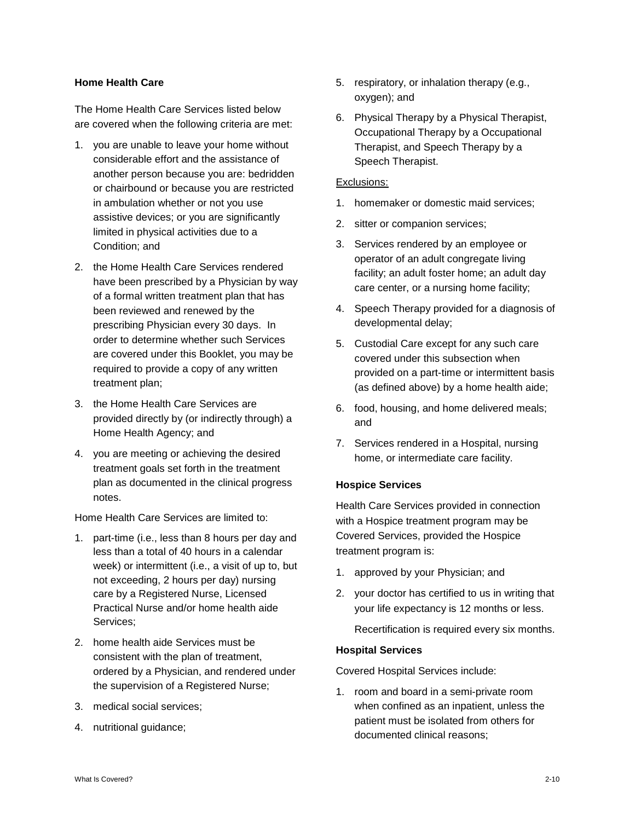#### **Home Health Care**

The Home Health Care Services listed below are covered when the following criteria are met:

- 1. you are unable to leave your home without considerable effort and the assistance of another person because you are: bedridden or chairbound or because you are restricted in ambulation whether or not you use assistive devices; or you are significantly limited in physical activities due to a Condition; and
- 2. the Home Health Care Services rendered have been prescribed by a Physician by way of a formal written treatment plan that has been reviewed and renewed by the prescribing Physician every 30 days. In order to determine whether such Services are covered under this Booklet, you may be required to provide a copy of any written treatment plan;
- 3. the Home Health Care Services are provided directly by (or indirectly through) a Home Health Agency; and
- 4. you are meeting or achieving the desired treatment goals set forth in the treatment plan as documented in the clinical progress notes.

Home Health Care Services are limited to:

- 1. part-time (i.e., less than 8 hours per day and less than a total of 40 hours in a calendar week) or intermittent (i.e., a visit of up to, but not exceeding, 2 hours per day) nursing care by a Registered Nurse, Licensed Practical Nurse and/or home health aide Services;
- 2. home health aide Services must be consistent with the plan of treatment, ordered by a Physician, and rendered under the supervision of a Registered Nurse;
- 3. medical social services;
- 4. nutritional guidance;
- 5. respiratory, or inhalation therapy (e.g., oxygen); and
- 6. Physical Therapy by a Physical Therapist, Occupational Therapy by a Occupational Therapist, and Speech Therapy by a Speech Therapist.

#### Exclusions:

- 1. homemaker or domestic maid services;
- 2. sitter or companion services;
- 3. Services rendered by an employee or operator of an adult congregate living facility; an adult foster home; an adult day care center, or a nursing home facility;
- 4. Speech Therapy provided for a diagnosis of developmental delay;
- 5. Custodial Care except for any such care covered under this subsection when provided on a part-time or intermittent basis (as defined above) by a home health aide;
- 6. food, housing, and home delivered meals; and
- 7. Services rendered in a Hospital, nursing home, or intermediate care facility.

# **Hospice Services**

Health Care Services provided in connection with a Hospice treatment program may be Covered Services, provided the Hospice treatment program is:

- 1. approved by your Physician; and
- 2. your doctor has certified to us in writing that your life expectancy is 12 months or less.

Recertification is required every six months.

#### **Hospital Services**

Covered Hospital Services include:

1. room and board in a semi-private room when confined as an inpatient, unless the patient must be isolated from others for documented clinical reasons;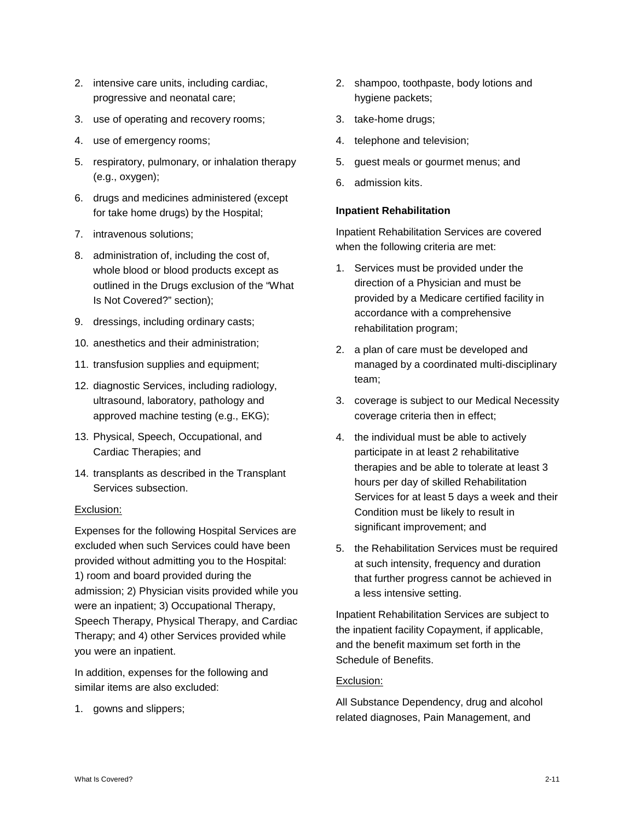- 2. intensive care units, including cardiac, progressive and neonatal care;
- 3. use of operating and recovery rooms;
- 4. use of emergency rooms;
- 5. respiratory, pulmonary, or inhalation therapy (e.g., oxygen);
- 6. drugs and medicines administered (except for take home drugs) by the Hospital;
- 7. intravenous solutions;
- 8. administration of, including the cost of, whole blood or blood products except as outlined in the Drugs exclusion of the "What Is Not Covered?" section);
- 9. dressings, including ordinary casts;
- 10. anesthetics and their administration;
- 11. transfusion supplies and equipment;
- 12. diagnostic Services, including radiology, ultrasound, laboratory, pathology and approved machine testing (e.g., EKG);
- 13. Physical, Speech, Occupational, and Cardiac Therapies; and
- 14. transplants as described in the Transplant Services subsection.

#### Exclusion:

Expenses for the following Hospital Services are excluded when such Services could have been provided without admitting you to the Hospital: 1) room and board provided during the admission; 2) Physician visits provided while you were an inpatient; 3) Occupational Therapy, Speech Therapy, Physical Therapy, and Cardiac Therapy; and 4) other Services provided while you were an inpatient.

In addition, expenses for the following and similar items are also excluded:

1. gowns and slippers;

- 2. shampoo, toothpaste, body lotions and hygiene packets;
- 3. take-home drugs;
- 4. telephone and television;
- 5. guest meals or gourmet menus; and
- 6. admission kits.

#### **Inpatient Rehabilitation**

Inpatient Rehabilitation Services are covered when the following criteria are met:

- 1. Services must be provided under the direction of a Physician and must be provided by a Medicare certified facility in accordance with a comprehensive rehabilitation program;
- 2. a plan of care must be developed and managed by a coordinated multi-disciplinary team;
- 3. coverage is subject to our Medical Necessity coverage criteria then in effect;
- 4. the individual must be able to actively participate in at least 2 rehabilitative therapies and be able to tolerate at least 3 hours per day of skilled Rehabilitation Services for at least 5 days a week and their Condition must be likely to result in significant improvement; and
- 5. the Rehabilitation Services must be required at such intensity, frequency and duration that further progress cannot be achieved in a less intensive setting.

Inpatient Rehabilitation Services are subject to the inpatient facility Copayment, if applicable, and the benefit maximum set forth in the Schedule of Benefits.

# Exclusion:

All Substance Dependency, drug and alcohol related diagnoses, Pain Management, and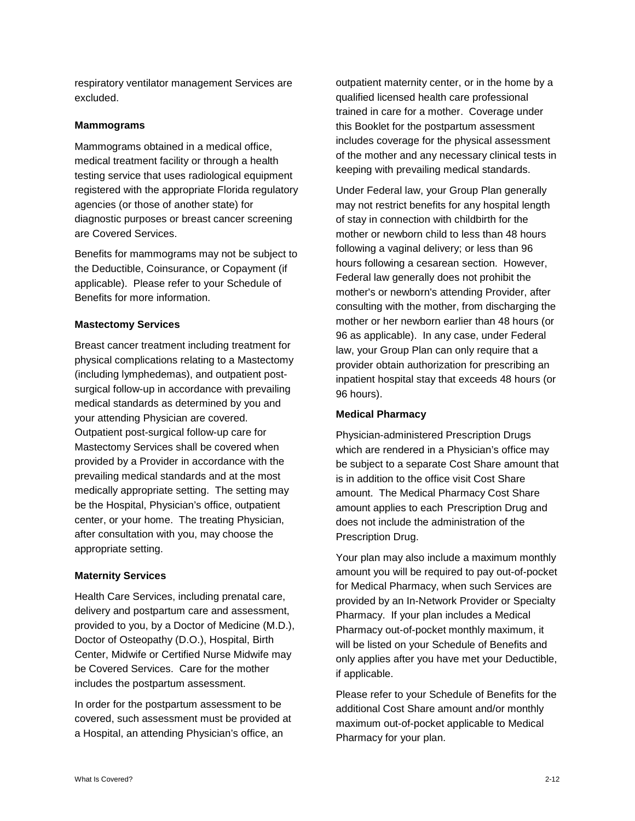respiratory ventilator management Services are excluded.

#### **Mammograms**

Mammograms obtained in a medical office, medical treatment facility or through a health testing service that uses radiological equipment registered with the appropriate Florida regulatory agencies (or those of another state) for diagnostic purposes or breast cancer screening are Covered Services.

Benefits for mammograms may not be subject to the Deductible, Coinsurance, or Copayment (if applicable). Please refer to your Schedule of Benefits for more information.

#### **Mastectomy Services**

Breast cancer treatment including treatment for physical complications relating to a Mastectomy (including lymphedemas), and outpatient postsurgical follow-up in accordance with prevailing medical standards as determined by you and your attending Physician are covered. Outpatient post-surgical follow-up care for Mastectomy Services shall be covered when provided by a Provider in accordance with the prevailing medical standards and at the most medically appropriate setting. The setting may be the Hospital, Physician's office, outpatient center, or your home. The treating Physician, after consultation with you, may choose the appropriate setting.

#### **Maternity Services**

Health Care Services, including prenatal care, delivery and postpartum care and assessment, provided to you, by a Doctor of Medicine (M.D.), Doctor of Osteopathy (D.O.), Hospital, Birth Center, Midwife or Certified Nurse Midwife may be Covered Services. Care for the mother includes the postpartum assessment.

In order for the postpartum assessment to be covered, such assessment must be provided at a Hospital, an attending Physician's office, an

outpatient maternity center, or in the home by a qualified licensed health care professional trained in care for a mother. Coverage under this Booklet for the postpartum assessment includes coverage for the physical assessment of the mother and any necessary clinical tests in keeping with prevailing medical standards.

Under Federal law, your Group Plan generally may not restrict benefits for any hospital length of stay in connection with childbirth for the mother or newborn child to less than 48 hours following a vaginal delivery; or less than 96 hours following a cesarean section. However, Federal law generally does not prohibit the mother's or newborn's attending Provider, after consulting with the mother, from discharging the mother or her newborn earlier than 48 hours (or 96 as applicable). In any case, under Federal law, your Group Plan can only require that a provider obtain authorization for prescribing an inpatient hospital stay that exceeds 48 hours (or 96 hours).

#### **Medical Pharmacy**

Physician-administered Prescription Drugs which are rendered in a Physician's office may be subject to a separate Cost Share amount that is in addition to the office visit Cost Share amount. The Medical Pharmacy Cost Share amount applies to each Prescription Drug and does not include the administration of the Prescription Drug.

Your plan may also include a maximum monthly amount you will be required to pay out-of-pocket for Medical Pharmacy, when such Services are provided by an In-Network Provider or Specialty Pharmacy. If your plan includes a Medical Pharmacy out-of-pocket monthly maximum, it will be listed on your Schedule of Benefits and only applies after you have met your Deductible, if applicable.

Please refer to your Schedule of Benefits for the additional Cost Share amount and/or monthly maximum out-of-pocket applicable to Medical Pharmacy for your plan.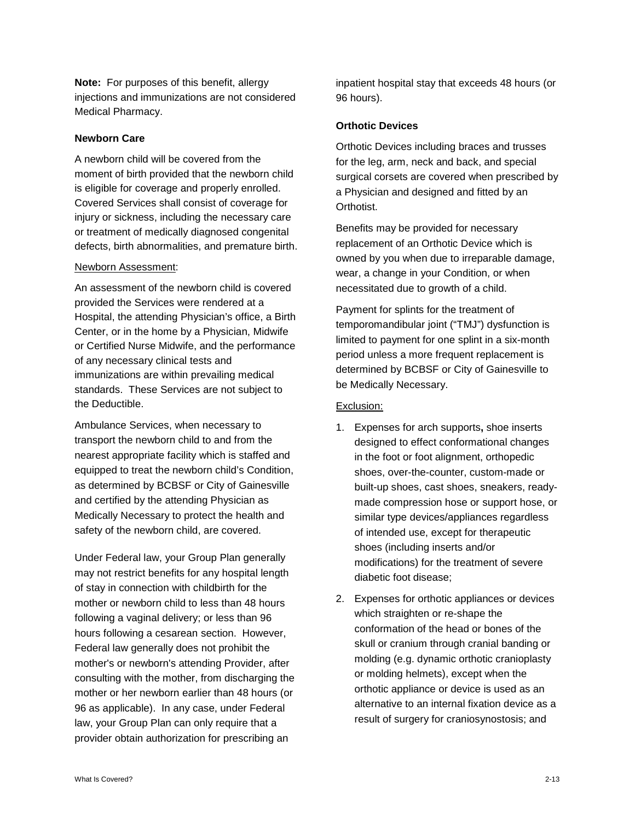**Note:** For purposes of this benefit, allergy injections and immunizations are not considered Medical Pharmacy.

#### **Newborn Care**

A newborn child will be covered from the moment of birth provided that the newborn child is eligible for coverage and properly enrolled. Covered Services shall consist of coverage for injury or sickness, including the necessary care or treatment of medically diagnosed congenital defects, birth abnormalities, and premature birth.

#### Newborn Assessment:

An assessment of the newborn child is covered provided the Services were rendered at a Hospital, the attending Physician's office, a Birth Center, or in the home by a Physician, Midwife or Certified Nurse Midwife, and the performance of any necessary clinical tests and immunizations are within prevailing medical standards. These Services are not subject to the Deductible.

Ambulance Services, when necessary to transport the newborn child to and from the nearest appropriate facility which is staffed and equipped to treat the newborn child's Condition, as determined by BCBSF or City of Gainesville and certified by the attending Physician as Medically Necessary to protect the health and safety of the newborn child, are covered.

Under Federal law, your Group Plan generally may not restrict benefits for any hospital length of stay in connection with childbirth for the mother or newborn child to less than 48 hours following a vaginal delivery; or less than 96 hours following a cesarean section. However, Federal law generally does not prohibit the mother's or newborn's attending Provider, after consulting with the mother, from discharging the mother or her newborn earlier than 48 hours (or 96 as applicable). In any case, under Federal law, your Group Plan can only require that a provider obtain authorization for prescribing an

inpatient hospital stay that exceeds 48 hours (or 96 hours).

#### **Orthotic Devices**

Orthotic Devices including braces and trusses for the leg, arm, neck and back, and special surgical corsets are covered when prescribed by a Physician and designed and fitted by an Orthotist.

Benefits may be provided for necessary replacement of an Orthotic Device which is owned by you when due to irreparable damage, wear, a change in your Condition, or when necessitated due to growth of a child.

Payment for splints for the treatment of temporomandibular joint ("TMJ") dysfunction is limited to payment for one splint in a six-month period unless a more frequent replacement is determined by BCBSF or City of Gainesville to be Medically Necessary.

#### Exclusion:

- 1. Expenses for arch supports**,** shoe inserts designed to effect conformational changes in the foot or foot alignment, orthopedic shoes, over-the-counter, custom-made or built-up shoes, cast shoes, sneakers, readymade compression hose or support hose, or similar type devices/appliances regardless of intended use, except for therapeutic shoes (including inserts and/or modifications) for the treatment of severe diabetic foot disease;
- 2. Expenses for orthotic appliances or devices which straighten or re-shape the conformation of the head or bones of the skull or cranium through cranial banding or molding (e.g. dynamic orthotic cranioplasty or molding helmets), except when the orthotic appliance or device is used as an alternative to an internal fixation device as a result of surgery for craniosynostosis; and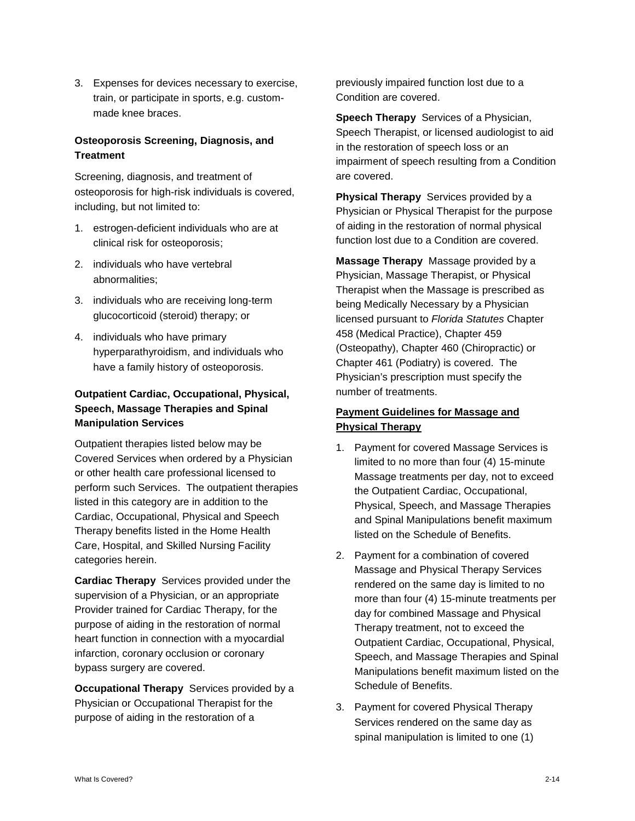3. Expenses for devices necessary to exercise, train, or participate in sports, e.g. custommade knee braces.

# **Osteoporosis Screening, Diagnosis, and Treatment**

Screening, diagnosis, and treatment of osteoporosis for high-risk individuals is covered, including, but not limited to:

- 1. estrogen-deficient individuals who are at clinical risk for osteoporosis;
- 2. individuals who have vertebral abnormalities;
- 3. individuals who are receiving long-term glucocorticoid (steroid) therapy; or
- 4. individuals who have primary hyperparathyroidism, and individuals who have a family history of osteoporosis.

# **Outpatient Cardiac, Occupational, Physical, Speech, Massage Therapies and Spinal Manipulation Services**

Outpatient therapies listed below may be Covered Services when ordered by a Physician or other health care professional licensed to perform such Services. The outpatient therapies listed in this category are in addition to the Cardiac, Occupational, Physical and Speech Therapy benefits listed in the Home Health Care, Hospital, and Skilled Nursing Facility categories herein.

**Cardiac Therapy** Services provided under the supervision of a Physician, or an appropriate Provider trained for Cardiac Therapy, for the purpose of aiding in the restoration of normal heart function in connection with a myocardial infarction, coronary occlusion or coronary bypass surgery are covered.

**Occupational Therapy** Services provided by a Physician or Occupational Therapist for the purpose of aiding in the restoration of a

previously impaired function lost due to a Condition are covered.

**Speech Therapy** Services of a Physician, Speech Therapist, or licensed audiologist to aid in the restoration of speech loss or an impairment of speech resulting from a Condition are covered.

**Physical Therapy** Services provided by a Physician or Physical Therapist for the purpose of aiding in the restoration of normal physical function lost due to a Condition are covered.

**Massage Therapy** Massage provided by a Physician, Massage Therapist, or Physical Therapist when the Massage is prescribed as being Medically Necessary by a Physician licensed pursuant to *Florida Statutes* Chapter 458 (Medical Practice), Chapter 459 (Osteopathy), Chapter 460 (Chiropractic) or Chapter 461 (Podiatry) is covered. The Physician's prescription must specify the number of treatments.

# **Payment Guidelines for Massage and Physical Therapy**

- 1. Payment for covered Massage Services is limited to no more than four (4) 15-minute Massage treatments per day, not to exceed the Outpatient Cardiac, Occupational, Physical, Speech, and Massage Therapies and Spinal Manipulations benefit maximum listed on the Schedule of Benefits.
- 2. Payment for a combination of covered Massage and Physical Therapy Services rendered on the same day is limited to no more than four (4) 15-minute treatments per day for combined Massage and Physical Therapy treatment, not to exceed the Outpatient Cardiac, Occupational, Physical, Speech, and Massage Therapies and Spinal Manipulations benefit maximum listed on the Schedule of Benefits.
- 3. Payment for covered Physical Therapy Services rendered on the same day as spinal manipulation is limited to one (1)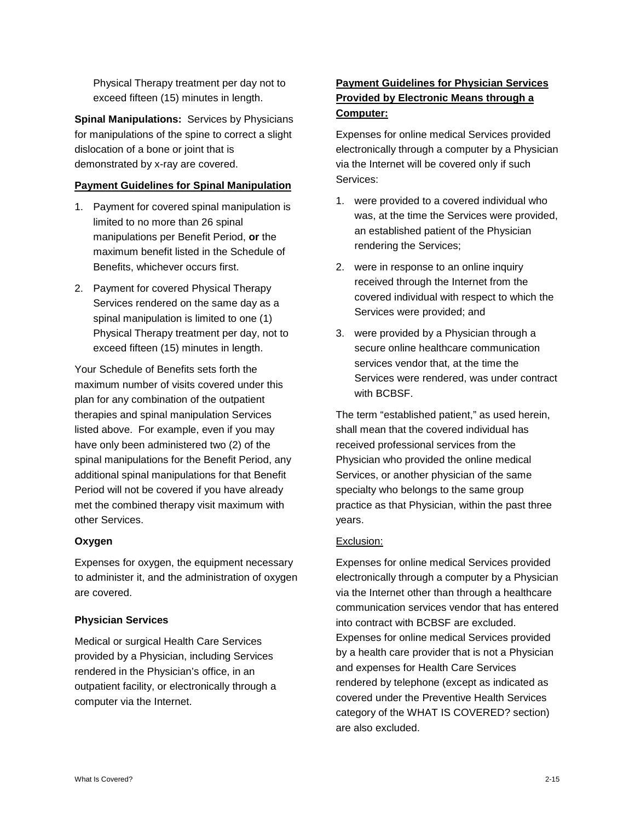Physical Therapy treatment per day not to exceed fifteen (15) minutes in length.

**Spinal Manipulations:** Services by Physicians for manipulations of the spine to correct a slight dislocation of a bone or joint that is demonstrated by x-ray are covered.

#### **Payment Guidelines for Spinal Manipulation**

- 1. Payment for covered spinal manipulation is limited to no more than 26 spinal manipulations per Benefit Period, **or** the maximum benefit listed in the Schedule of Benefits, whichever occurs first.
- 2. Payment for covered Physical Therapy Services rendered on the same day as a spinal manipulation is limited to one (1) Physical Therapy treatment per day, not to exceed fifteen (15) minutes in length.

Your Schedule of Benefits sets forth the maximum number of visits covered under this plan for any combination of the outpatient therapies and spinal manipulation Services listed above. For example, even if you may have only been administered two (2) of the spinal manipulations for the Benefit Period, any additional spinal manipulations for that Benefit Period will not be covered if you have already met the combined therapy visit maximum with other Services.

# **Oxygen**

Expenses for oxygen, the equipment necessary to administer it, and the administration of oxygen are covered.

#### **Physician Services**

Medical or surgical Health Care Services provided by a Physician, including Services rendered in the Physician's office, in an outpatient facility, or electronically through a computer via the Internet.

# **Payment Guidelines for Physician Services Provided by Electronic Means through a Computer:**

Expenses for online medical Services provided electronically through a computer by a Physician via the Internet will be covered only if such Services:

- 1. were provided to a covered individual who was, at the time the Services were provided, an established patient of the Physician rendering the Services;
- 2. were in response to an online inquiry received through the Internet from the covered individual with respect to which the Services were provided; and
- 3. were provided by a Physician through a secure online healthcare communication services vendor that, at the time the Services were rendered, was under contract with BCBSF.

The term "established patient," as used herein, shall mean that the covered individual has received professional services from the Physician who provided the online medical Services, or another physician of the same specialty who belongs to the same group practice as that Physician, within the past three years.

# Exclusion:

Expenses for online medical Services provided electronically through a computer by a Physician via the Internet other than through a healthcare communication services vendor that has entered into contract with BCBSF are excluded. Expenses for online medical Services provided by a health care provider that is not a Physician and expenses for Health Care Services rendered by telephone (except as indicated as covered under the Preventive Health Services category of the WHAT IS COVERED? section) are also excluded.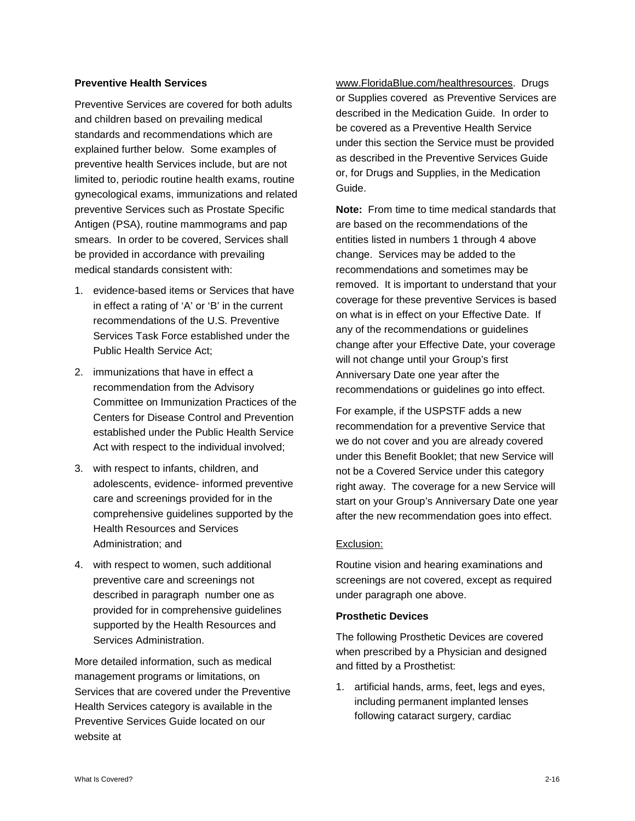#### **Preventive Health Services**

Preventive Services are covered for both adults and children based on prevailing medical standards and recommendations which are explained further below. Some examples of preventive health Services include, but are not limited to, periodic routine health exams, routine gynecological exams, immunizations and related preventive Services such as Prostate Specific Antigen (PSA), routine mammograms and pap smears. In order to be covered, Services shall be provided in accordance with prevailing medical standards consistent with:

- 1. evidence-based items or Services that have in effect a rating of 'A' or 'B' in the current recommendations of the U.S. Preventive Services Task Force established under the Public Health Service Act;
- 2. immunizations that have in effect a recommendation from the Advisory Committee on Immunization Practices of the Centers for Disease Control and Prevention established under the Public Health Service Act with respect to the individual involved;
- 3. with respect to infants, children, and adolescents, evidence- informed preventive care and screenings provided for in the comprehensive guidelines supported by the Health Resources and Services Administration; and
- 4. with respect to women, such additional preventive care and screenings not described in paragraph number one as provided for in comprehensive guidelines supported by the Health Resources and Services Administration.

More detailed information, such as medical management programs or limitations, on Services that are covered under the Preventive Health Services category is available in the Preventive Services Guide located on our website at

www.FloridaBlue.com/healthresources. Drugs or Supplies covered as Preventive Services are described in the Medication Guide. In order to be covered as a Preventive Health Service under this section the Service must be provided as described in the Preventive Services Guide or, for Drugs and Supplies, in the Medication Guide.

**Note:** From time to time medical standards that are based on the recommendations of the entities listed in numbers 1 through 4 above change. Services may be added to the recommendations and sometimes may be removed. It is important to understand that your coverage for these preventive Services is based on what is in effect on your Effective Date. If any of the recommendations or guidelines change after your Effective Date, your coverage will not change until your Group's first Anniversary Date one year after the recommendations or guidelines go into effect.

For example, if the USPSTF adds a new recommendation for a preventive Service that we do not cover and you are already covered under this Benefit Booklet; that new Service will not be a Covered Service under this category right away. The coverage for a new Service will start on your Group's Anniversary Date one year after the new recommendation goes into effect.

#### Exclusion:

Routine vision and hearing examinations and screenings are not covered, except as required under paragraph one above.

#### **Prosthetic Devices**

The following Prosthetic Devices are covered when prescribed by a Physician and designed and fitted by a Prosthetist:

1. artificial hands, arms, feet, legs and eyes, including permanent implanted lenses following cataract surgery, cardiac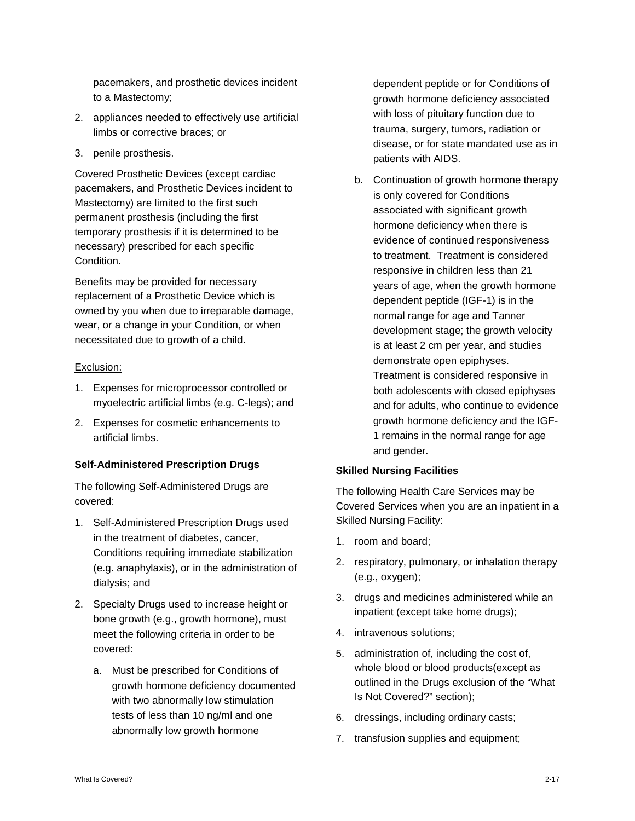pacemakers, and prosthetic devices incident to a Mastectomy;

- 2. appliances needed to effectively use artificial limbs or corrective braces; or
- 3. penile prosthesis.

Covered Prosthetic Devices (except cardiac pacemakers, and Prosthetic Devices incident to Mastectomy) are limited to the first such permanent prosthesis (including the first temporary prosthesis if it is determined to be necessary) prescribed for each specific Condition.

Benefits may be provided for necessary replacement of a Prosthetic Device which is owned by you when due to irreparable damage, wear, or a change in your Condition, or when necessitated due to growth of a child.

#### Exclusion:

- 1. Expenses for microprocessor controlled or myoelectric artificial limbs (e.g. C-legs); and
- 2. Expenses for cosmetic enhancements to artificial limbs.

#### **Self-Administered Prescription Drugs**

The following Self-Administered Drugs are covered:

- 1. Self-Administered Prescription Drugs used in the treatment of diabetes, cancer, Conditions requiring immediate stabilization (e.g. anaphylaxis), or in the administration of dialysis; and
- 2. Specialty Drugs used to increase height or bone growth (e.g., growth hormone), must meet the following criteria in order to be covered:
	- a. Must be prescribed for Conditions of growth hormone deficiency documented with two abnormally low stimulation tests of less than 10 ng/ml and one abnormally low growth hormone

dependent peptide or for Conditions of growth hormone deficiency associated with loss of pituitary function due to trauma, surgery, tumors, radiation or disease, or for state mandated use as in patients with AIDS.

b. Continuation of growth hormone therapy is only covered for Conditions associated with significant growth hormone deficiency when there is evidence of continued responsiveness to treatment. Treatment is considered responsive in children less than 21 years of age, when the growth hormone dependent peptide (IGF-1) is in the normal range for age and Tanner development stage; the growth velocity is at least 2 cm per year, and studies demonstrate open epiphyses. Treatment is considered responsive in both adolescents with closed epiphyses

and for adults, who continue to evidence growth hormone deficiency and the IGF-1 remains in the normal range for age and gender.

#### **Skilled Nursing Facilities**

The following Health Care Services may be Covered Services when you are an inpatient in a Skilled Nursing Facility:

- 1. room and board;
- 2. respiratory, pulmonary, or inhalation therapy (e.g., oxygen);
- 3. drugs and medicines administered while an inpatient (except take home drugs);
- 4. intravenous solutions;
- 5. administration of, including the cost of, whole blood or blood products(except as outlined in the Drugs exclusion of the "What Is Not Covered?" section);
- 6. dressings, including ordinary casts;
- 7. transfusion supplies and equipment;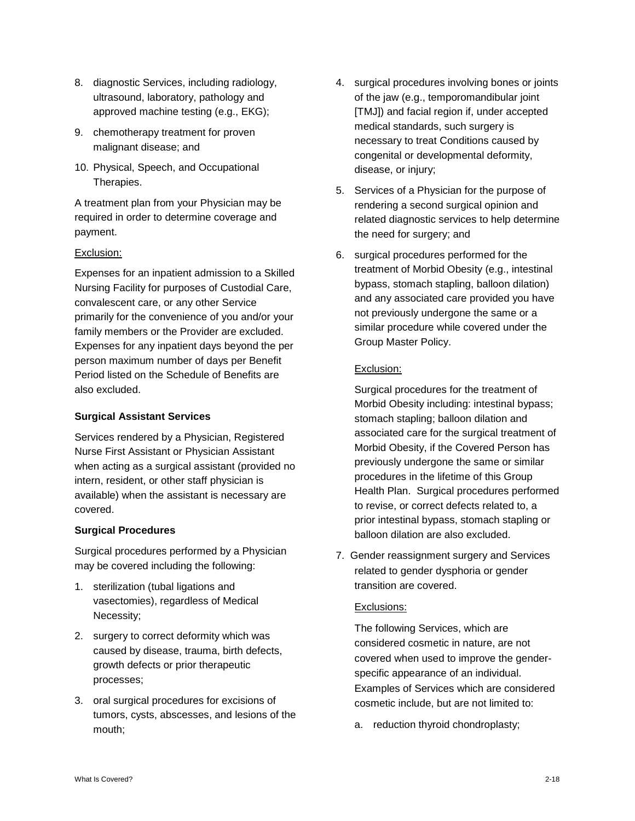- 8. diagnostic Services, including radiology, ultrasound, laboratory, pathology and approved machine testing (e.g., EKG);
- 9. chemotherapy treatment for proven malignant disease; and
- 10. Physical, Speech, and Occupational Therapies.

A treatment plan from your Physician may be required in order to determine coverage and payment.

#### Exclusion:

Expenses for an inpatient admission to a Skilled Nursing Facility for purposes of Custodial Care, convalescent care, or any other Service primarily for the convenience of you and/or your family members or the Provider are excluded. Expenses for any inpatient days beyond the per person maximum number of days per Benefit Period listed on the Schedule of Benefits are also excluded.

# **Surgical Assistant Services**

Services rendered by a Physician, Registered Nurse First Assistant or Physician Assistant when acting as a surgical assistant (provided no intern, resident, or other staff physician is available) when the assistant is necessary are covered.

# **Surgical Procedures**

Surgical procedures performed by a Physician may be covered including the following:

- 1. sterilization (tubal ligations and vasectomies), regardless of Medical Necessity;
- 2. surgery to correct deformity which was caused by disease, trauma, birth defects, growth defects or prior therapeutic processes;
- 3. oral surgical procedures for excisions of tumors, cysts, abscesses, and lesions of the mouth;
- 4. surgical procedures involving bones or joints of the jaw (e.g., temporomandibular joint [TMJ]) and facial region if, under accepted medical standards, such surgery is necessary to treat Conditions caused by congenital or developmental deformity, disease, or injury;
- 5. Services of a Physician for the purpose of rendering a second surgical opinion and related diagnostic services to help determine the need for surgery; and
- 6. surgical procedures performed for the treatment of Morbid Obesity (e.g., intestinal bypass, stomach stapling, balloon dilation) and any associated care provided you have not previously undergone the same or a similar procedure while covered under the Group Master Policy.

#### Exclusion:

Surgical procedures for the treatment of Morbid Obesity including: intestinal bypass; stomach stapling; balloon dilation and associated care for the surgical treatment of Morbid Obesity, if the Covered Person has previously undergone the same or similar procedures in the lifetime of this Group Health Plan. Surgical procedures performed to revise, or correct defects related to, a prior intestinal bypass, stomach stapling or balloon dilation are also excluded.

7. Gender reassignment surgery and Services related to gender dysphoria or gender transition are covered.

#### Exclusions:

The following Services, which are considered cosmetic in nature, are not covered when used to improve the genderspecific appearance of an individual. Examples of Services which are considered cosmetic include, but are not limited to:

a. reduction thyroid chondroplasty;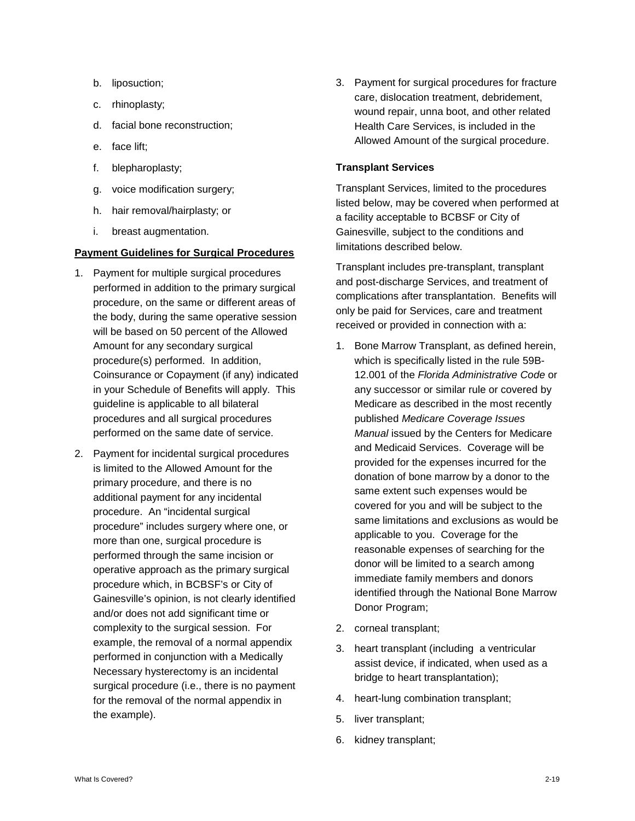- b. liposuction;
- c. rhinoplasty;
- d. facial bone reconstruction;
- e. face lift;
- f. blepharoplasty;
- g. voice modification surgery;
- h. hair removal/hairplasty; or
- i. breast augmentation.

#### **Payment Guidelines for Surgical Procedures**

- 1. Payment for multiple surgical procedures performed in addition to the primary surgical procedure, on the same or different areas of the body, during the same operative session will be based on 50 percent of the Allowed Amount for any secondary surgical procedure(s) performed. In addition, Coinsurance or Copayment (if any) indicated in your Schedule of Benefits will apply. This guideline is applicable to all bilateral procedures and all surgical procedures performed on the same date of service.
- 2. Payment for incidental surgical procedures is limited to the Allowed Amount for the primary procedure, and there is no additional payment for any incidental procedure. An "incidental surgical procedure" includes surgery where one, or more than one, surgical procedure is performed through the same incision or operative approach as the primary surgical procedure which, in BCBSF's or City of Gainesville's opinion, is not clearly identified and/or does not add significant time or complexity to the surgical session. For example, the removal of a normal appendix performed in conjunction with a Medically Necessary hysterectomy is an incidental surgical procedure (i.e., there is no payment for the removal of the normal appendix in the example).

3. Payment for surgical procedures for fracture care, dislocation treatment, debridement, wound repair, unna boot, and other related Health Care Services, is included in the Allowed Amount of the surgical procedure.

#### **Transplant Services**

Transplant Services, limited to the procedures listed below, may be covered when performed at a facility acceptable to BCBSF or City of Gainesville, subject to the conditions and limitations described below.

Transplant includes pre-transplant, transplant and post-discharge Services, and treatment of complications after transplantation. Benefits will only be paid for Services, care and treatment received or provided in connection with a:

- 1. Bone Marrow Transplant, as defined herein, which is specifically listed in the rule 59B-12.001 of the *Florida Administrative Code* or any successor or similar rule or covered by Medicare as described in the most recently published *Medicare Coverage Issues Manual* issued by the Centers for Medicare and Medicaid Services. Coverage will be provided for the expenses incurred for the donation of bone marrow by a donor to the same extent such expenses would be covered for you and will be subject to the same limitations and exclusions as would be applicable to you. Coverage for the reasonable expenses of searching for the donor will be limited to a search among immediate family members and donors identified through the National Bone Marrow Donor Program;
- 2. corneal transplant;
- 3. heart transplant (including a ventricular assist device, if indicated, when used as a bridge to heart transplantation);
- 4. heart-lung combination transplant;
- 5. liver transplant;
- 6. kidney transplant;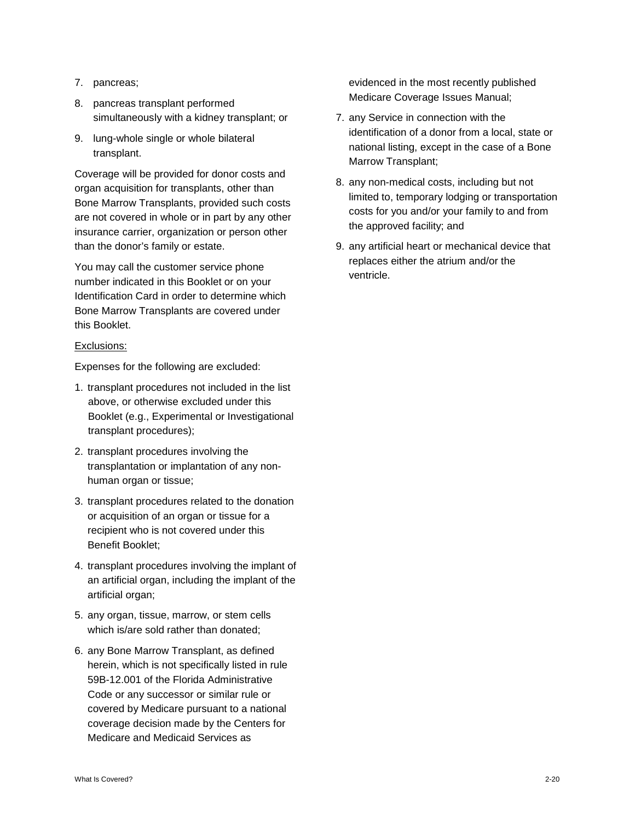- 7. pancreas;
- 8. pancreas transplant performed simultaneously with a kidney transplant; or
- 9. lung-whole single or whole bilateral transplant.

Coverage will be provided for donor costs and organ acquisition for transplants, other than Bone Marrow Transplants, provided such costs are not covered in whole or in part by any other insurance carrier, organization or person other than the donor's family or estate.

You may call the customer service phone number indicated in this Booklet or on your Identification Card in order to determine which Bone Marrow Transplants are covered under this Booklet.

#### Exclusions:

Expenses for the following are excluded:

- 1. transplant procedures not included in the list above, or otherwise excluded under this Booklet (e.g., Experimental or Investigational transplant procedures);
- 2. transplant procedures involving the transplantation or implantation of any nonhuman organ or tissue;
- 3. transplant procedures related to the donation or acquisition of an organ or tissue for a recipient who is not covered under this Benefit Booklet;
- 4. transplant procedures involving the implant of an artificial organ, including the implant of the artificial organ;
- 5. any organ, tissue, marrow, or stem cells which is/are sold rather than donated;
- 6. any Bone Marrow Transplant, as defined herein, which is not specifically listed in rule 59B-12.001 of the Florida Administrative Code or any successor or similar rule or covered by Medicare pursuant to a national coverage decision made by the Centers for Medicare and Medicaid Services as

evidenced in the most recently published Medicare Coverage Issues Manual;

- 7. any Service in connection with the identification of a donor from a local, state or national listing, except in the case of a Bone Marrow Transplant;
- 8. any non-medical costs, including but not limited to, temporary lodging or transportation costs for you and/or your family to and from the approved facility; and
- 9. any artificial heart or mechanical device that replaces either the atrium and/or the ventricle.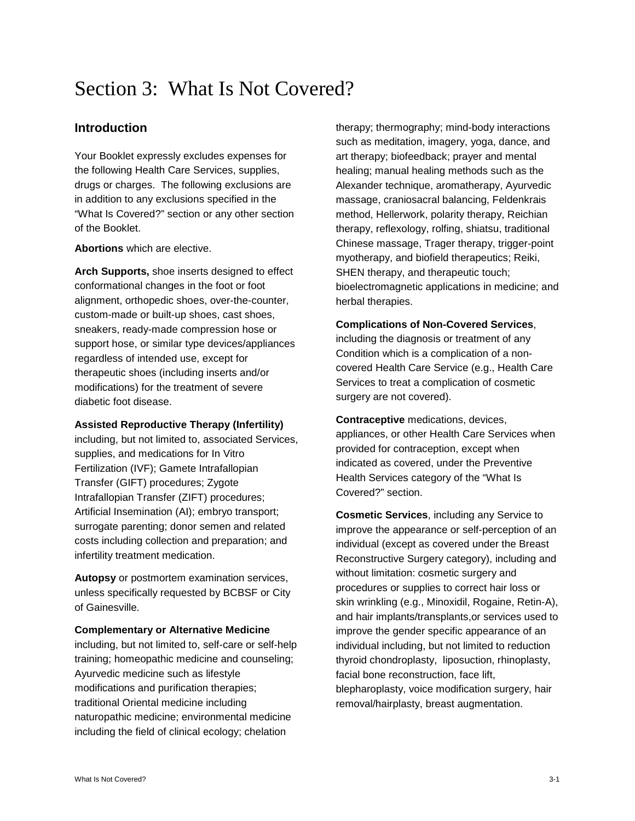# Section 3: What Is Not Covered?

# **Introduction**

Your Booklet expressly excludes expenses for the following Health Care Services, supplies, drugs or charges. The following exclusions are in addition to any exclusions specified in the "What Is Covered?" section or any other section of the Booklet.

#### **Abortions** which are elective.

**Arch Supports,** shoe inserts designed to effect conformational changes in the foot or foot alignment, orthopedic shoes, over-the-counter, custom-made or built-up shoes, cast shoes, sneakers, ready-made compression hose or support hose, or similar type devices/appliances regardless of intended use, except for therapeutic shoes (including inserts and/or modifications) for the treatment of severe diabetic foot disease.

#### **Assisted Reproductive Therapy (Infertility)**

including, but not limited to, associated Services, supplies, and medications for In Vitro Fertilization (IVF); Gamete Intrafallopian Transfer (GIFT) procedures; Zygote Intrafallopian Transfer (ZIFT) procedures; Artificial Insemination (AI); embryo transport; surrogate parenting; donor semen and related costs including collection and preparation; and infertility treatment medication.

**Autopsy** or postmortem examination services, unless specifically requested by BCBSF or City of Gainesville.

#### **Complementary or Alternative Medicine**

including, but not limited to, self-care or self-help training; homeopathic medicine and counseling; Ayurvedic medicine such as lifestyle modifications and purification therapies; traditional Oriental medicine including naturopathic medicine; environmental medicine including the field of clinical ecology; chelation

therapy; thermography; mind-body interactions such as meditation, imagery, yoga, dance, and art therapy; biofeedback; prayer and mental healing; manual healing methods such as the Alexander technique, aromatherapy, Ayurvedic massage, craniosacral balancing, Feldenkrais method, Hellerwork, polarity therapy, Reichian therapy, reflexology, rolfing, shiatsu, traditional Chinese massage, Trager therapy, trigger-point myotherapy, and biofield therapeutics; Reiki, SHEN therapy, and therapeutic touch; bioelectromagnetic applications in medicine; and herbal therapies.

#### **Complications of Non-Covered Services**,

including the diagnosis or treatment of any Condition which is a complication of a noncovered Health Care Service (e.g., Health Care Services to treat a complication of cosmetic surgery are not covered).

**Contraceptive** medications, devices, appliances, or other Health Care Services when provided for contraception, except when indicated as covered, under the Preventive Health Services category of the "What Is Covered?" section.

**Cosmetic Services**, including any Service to improve the appearance or self-perception of an individual (except as covered under the Breast Reconstructive Surgery category), including and without limitation: cosmetic surgery and procedures or supplies to correct hair loss or skin wrinkling (e.g., Minoxidil, Rogaine, Retin-A), and hair implants/transplants,or services used to improve the gender specific appearance of an individual including, but not limited to reduction thyroid chondroplasty, liposuction, rhinoplasty, facial bone reconstruction, face lift, blepharoplasty, voice modification surgery, hair removal/hairplasty, breast augmentation.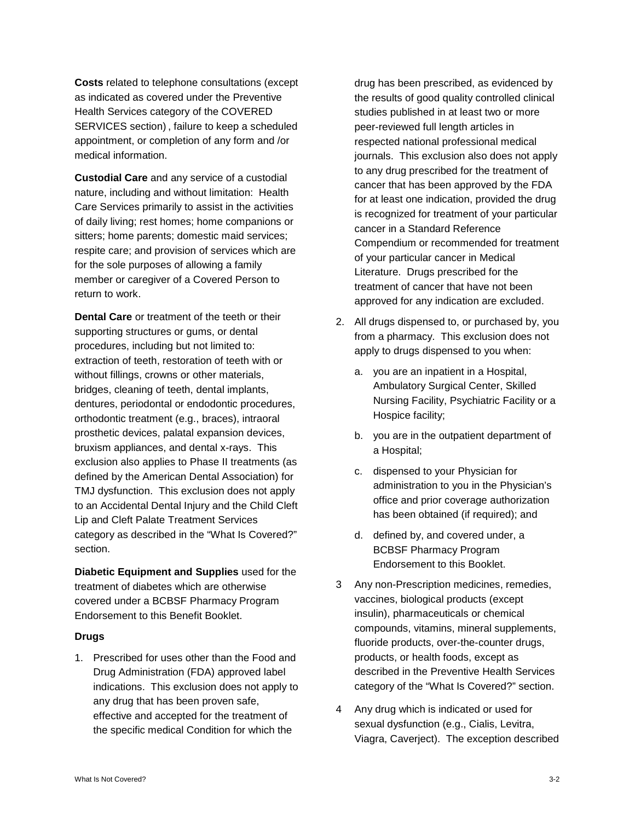**Costs** related to telephone consultations (except as indicated as covered under the Preventive Health Services category of the COVERED SERVICES section) , failure to keep a scheduled appointment, or completion of any form and /or medical information.

**Custodial Care** and any service of a custodial nature, including and without limitation: Health Care Services primarily to assist in the activities of daily living; rest homes; home companions or sitters; home parents; domestic maid services; respite care; and provision of services which are for the sole purposes of allowing a family member or caregiver of a Covered Person to return to work.

**Dental Care** or treatment of the teeth or their supporting structures or gums, or dental procedures, including but not limited to: extraction of teeth, restoration of teeth with or without fillings, crowns or other materials, bridges, cleaning of teeth, dental implants, dentures, periodontal or endodontic procedures, orthodontic treatment (e.g., braces), intraoral prosthetic devices, palatal expansion devices, bruxism appliances, and dental x-rays. This exclusion also applies to Phase II treatments (as defined by the American Dental Association) for TMJ dysfunction. This exclusion does not apply to an Accidental Dental Injury and the Child Cleft Lip and Cleft Palate Treatment Services category as described in the "What Is Covered?" section.

**Diabetic Equipment and Supplies** used for the treatment of diabetes which are otherwise covered under a BCBSF Pharmacy Program Endorsement to this Benefit Booklet.

#### **Drugs**

1. Prescribed for uses other than the Food and Drug Administration (FDA) approved label indications. This exclusion does not apply to any drug that has been proven safe, effective and accepted for the treatment of the specific medical Condition for which the

drug has been prescribed, as evidenced by the results of good quality controlled clinical studies published in at least two or more peer-reviewed full length articles in respected national professional medical journals. This exclusion also does not apply to any drug prescribed for the treatment of cancer that has been approved by the FDA for at least one indication, provided the drug is recognized for treatment of your particular cancer in a Standard Reference Compendium or recommended for treatment of your particular cancer in Medical Literature. Drugs prescribed for the treatment of cancer that have not been approved for any indication are excluded.

- 2. All drugs dispensed to, or purchased by, you from a pharmacy. This exclusion does not apply to drugs dispensed to you when:
	- a. you are an inpatient in a Hospital, Ambulatory Surgical Center, Skilled Nursing Facility, Psychiatric Facility or a Hospice facility;
	- b. you are in the outpatient department of a Hospital;
	- c. dispensed to your Physician for administration to you in the Physician's office and prior coverage authorization has been obtained (if required); and
	- d. defined by, and covered under, a BCBSF Pharmacy Program Endorsement to this Booklet.
- 3 Any non-Prescription medicines, remedies, vaccines, biological products (except insulin), pharmaceuticals or chemical compounds, vitamins, mineral supplements, fluoride products, over-the-counter drugs, products, or health foods, except as described in the Preventive Health Services category of the "What Is Covered?" section.
- 4 Any drug which is indicated or used for sexual dysfunction (e.g., Cialis, Levitra, Viagra, Caverject). The exception described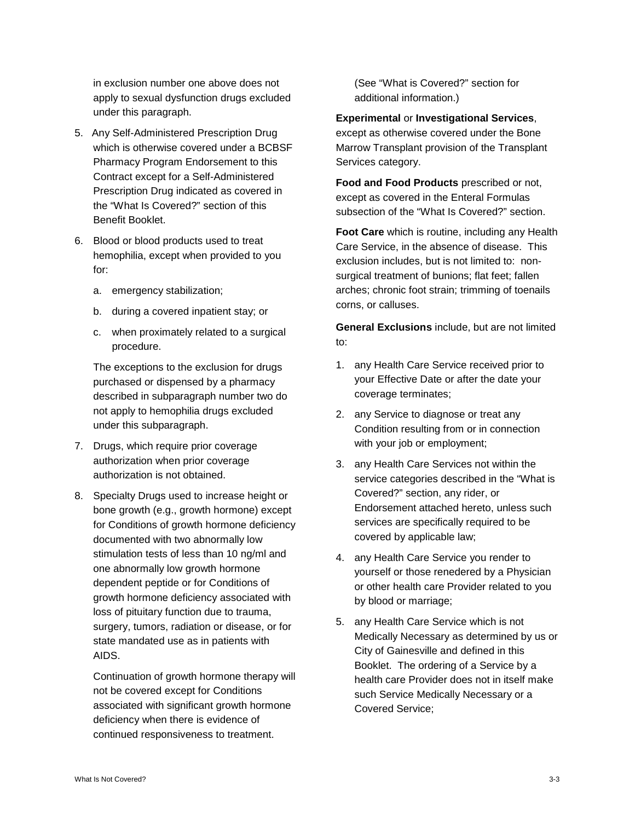in exclusion number one above does not apply to sexual dysfunction drugs excluded under this paragraph.

- 5. Any Self-Administered Prescription Drug which is otherwise covered under a BCBSF Pharmacy Program Endorsement to this Contract except for a Self-Administered Prescription Drug indicated as covered in the "What Is Covered?" section of this Benefit Booklet.
- 6. Blood or blood products used to treat hemophilia, except when provided to you for:
	- a. emergency stabilization;
	- b. during a covered inpatient stay; or
	- c. when proximately related to a surgical procedure.

The exceptions to the exclusion for drugs purchased or dispensed by a pharmacy described in subparagraph number two do not apply to hemophilia drugs excluded under this subparagraph.

- 7. Drugs, which require prior coverage authorization when prior coverage authorization is not obtained.
- 8. Specialty Drugs used to increase height or bone growth (e.g., growth hormone) except for Conditions of growth hormone deficiency documented with two abnormally low stimulation tests of less than 10 ng/ml and one abnormally low growth hormone dependent peptide or for Conditions of growth hormone deficiency associated with loss of pituitary function due to trauma, surgery, tumors, radiation or disease, or for state mandated use as in patients with AIDS.

Continuation of growth hormone therapy will not be covered except for Conditions associated with significant growth hormone deficiency when there is evidence of continued responsiveness to treatment.

(See "What is Covered?" section for additional information.)

**Experimental** or **Investigational Services**, except as otherwise covered under the Bone Marrow Transplant provision of the Transplant Services category.

**Food and Food Products** prescribed or not, except as covered in the Enteral Formulas subsection of the "What Is Covered?" section.

**Foot Care** which is routine, including any Health Care Service, in the absence of disease. This exclusion includes, but is not limited to: nonsurgical treatment of bunions; flat feet; fallen arches; chronic foot strain; trimming of toenails corns, or calluses.

**General Exclusions** include, but are not limited to:

- 1. any Health Care Service received prior to your Effective Date or after the date your coverage terminates;
- 2. any Service to diagnose or treat any Condition resulting from or in connection with your job or employment;
- 3. any Health Care Services not within the service categories described in the "What is Covered?" section, any rider, or Endorsement attached hereto, unless such services are specifically required to be covered by applicable law;
- 4. any Health Care Service you render to yourself or those renedered by a Physician or other health care Provider related to you by blood or marriage;
- 5. any Health Care Service which is not Medically Necessary as determined by us or City of Gainesville and defined in this Booklet. The ordering of a Service by a health care Provider does not in itself make such Service Medically Necessary or a Covered Service;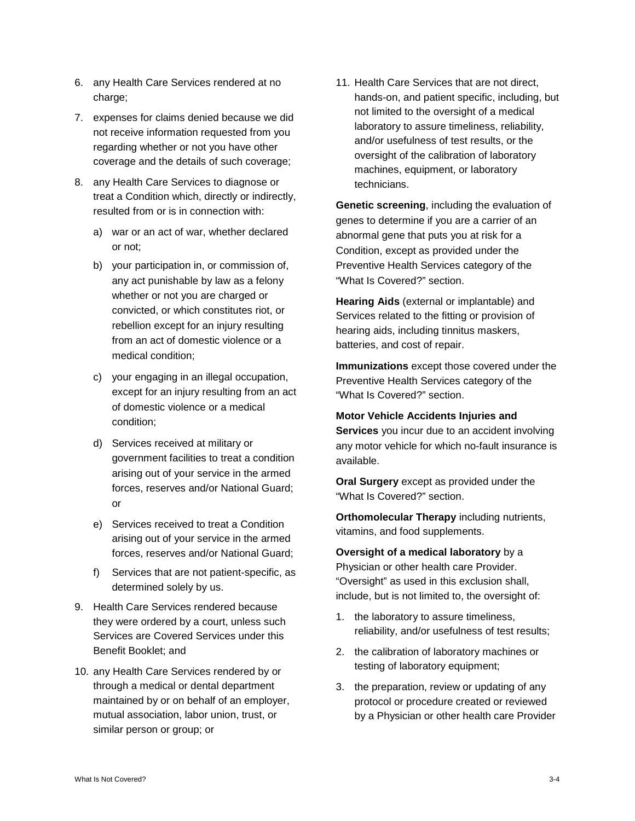- 6. any Health Care Services rendered at no charge;
- 7. expenses for claims denied because we did not receive information requested from you regarding whether or not you have other coverage and the details of such coverage;
- 8. any Health Care Services to diagnose or treat a Condition which, directly or indirectly, resulted from or is in connection with:
	- a) war or an act of war, whether declared or not;
	- b) your participation in, or commission of, any act punishable by law as a felony whether or not you are charged or convicted, or which constitutes riot, or rebellion except for an injury resulting from an act of domestic violence or a medical condition;
	- c) your engaging in an illegal occupation, except for an injury resulting from an act of domestic violence or a medical condition;
	- d) Services received at military or government facilities to treat a condition arising out of your service in the armed forces, reserves and/or National Guard; or
	- e) Services received to treat a Condition arising out of your service in the armed forces, reserves and/or National Guard;
	- f) Services that are not patient-specific, as determined solely by us.
- 9. Health Care Services rendered because they were ordered by a court, unless such Services are Covered Services under this Benefit Booklet; and
- 10. any Health Care Services rendered by or through a medical or dental department maintained by or on behalf of an employer, mutual association, labor union, trust, or similar person or group; or

11. Health Care Services that are not direct, hands-on, and patient specific, including, but not limited to the oversight of a medical laboratory to assure timeliness, reliability, and/or usefulness of test results, or the oversight of the calibration of laboratory machines, equipment, or laboratory technicians.

**Genetic screening**, including the evaluation of genes to determine if you are a carrier of an abnormal gene that puts you at risk for a Condition, except as provided under the Preventive Health Services category of the "What Is Covered?" section.

**Hearing Aids** (external or implantable) and Services related to the fitting or provision of hearing aids, including tinnitus maskers, batteries, and cost of repair.

**Immunizations** except those covered under the Preventive Health Services category of the "What Is Covered?" section.

**Motor Vehicle Accidents Injuries and** 

**Services** you incur due to an accident involving any motor vehicle for which no-fault insurance is available.

**Oral Surgery** except as provided under the "What Is Covered?" section.

**Orthomolecular Therapy** including nutrients, vitamins, and food supplements.

**Oversight of a medical laboratory** by a Physician or other health care Provider. "Oversight" as used in this exclusion shall, include, but is not limited to, the oversight of:

- 1. the laboratory to assure timeliness, reliability, and/or usefulness of test results;
- 2. the calibration of laboratory machines or testing of laboratory equipment;
- 3. the preparation, review or updating of any protocol or procedure created or reviewed by a Physician or other health care Provider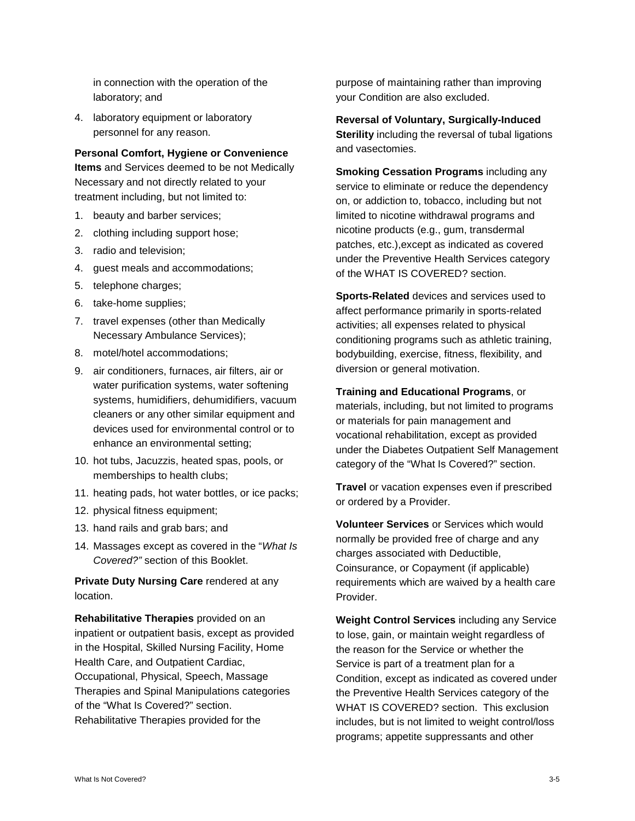in connection with the operation of the laboratory; and

4. laboratory equipment or laboratory personnel for any reason.

**Personal Comfort, Hygiene or Convenience** 

**Items** and Services deemed to be not Medically Necessary and not directly related to your treatment including, but not limited to:

- 1. beauty and barber services;
- 2. clothing including support hose;
- 3. radio and television;
- 4. guest meals and accommodations;
- 5. telephone charges;
- 6. take-home supplies;
- 7. travel expenses (other than Medically Necessary Ambulance Services);
- 8. motel/hotel accommodations;
- 9. air conditioners, furnaces, air filters, air or water purification systems, water softening systems, humidifiers, dehumidifiers, vacuum cleaners or any other similar equipment and devices used for environmental control or to enhance an environmental setting;
- 10. hot tubs, Jacuzzis, heated spas, pools, or memberships to health clubs;
- 11. heating pads, hot water bottles, or ice packs;
- 12. physical fitness equipment;
- 13. hand rails and grab bars; and
- 14. Massages except as covered in the "*What Is Covered?"* section of this Booklet.

**Private Duty Nursing Care** rendered at any location.

**Rehabilitative Therapies** provided on an inpatient or outpatient basis, except as provided in the Hospital, Skilled Nursing Facility, Home Health Care, and Outpatient Cardiac, Occupational, Physical, Speech, Massage Therapies and Spinal Manipulations categories of the "What Is Covered?" section. Rehabilitative Therapies provided for the

purpose of maintaining rather than improving your Condition are also excluded.

**Reversal of Voluntary, Surgically-Induced Sterility** including the reversal of tubal ligations and vasectomies.

**Smoking Cessation Programs** including any service to eliminate or reduce the dependency on, or addiction to, tobacco, including but not limited to nicotine withdrawal programs and nicotine products (e.g., gum, transdermal patches, etc.),except as indicated as covered under the Preventive Health Services category of the WHAT IS COVERED? section.

**Sports-Related** devices and services used to affect performance primarily in sports-related activities; all expenses related to physical conditioning programs such as athletic training, bodybuilding, exercise, fitness, flexibility, and diversion or general motivation.

**Training and Educational Programs**, or

materials, including, but not limited to programs or materials for pain management and vocational rehabilitation, except as provided under the Diabetes Outpatient Self Management category of the "What Is Covered?" section.

**Travel** or vacation expenses even if prescribed or ordered by a Provider.

**Volunteer Services** or Services which would normally be provided free of charge and any charges associated with Deductible, Coinsurance, or Copayment (if applicable) requirements which are waived by a health care Provider.

**Weight Control Services** including any Service to lose, gain, or maintain weight regardless of the reason for the Service or whether the Service is part of a treatment plan for a Condition, except as indicated as covered under the Preventive Health Services category of the WHAT IS COVERED? section. This exclusion includes, but is not limited to weight control/loss programs; appetite suppressants and other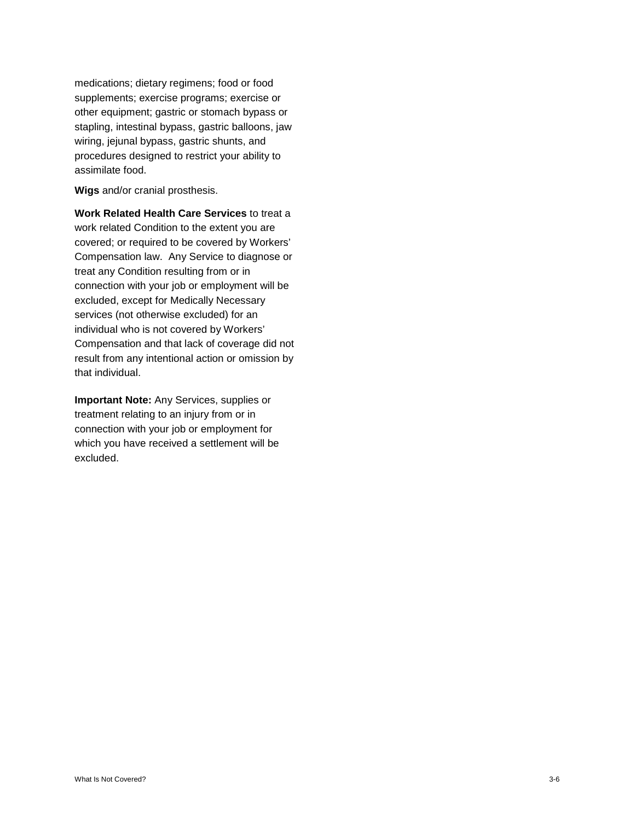medications; dietary regimens; food or food supplements; exercise programs; exercise or other equipment; gastric or stomach bypass or stapling, intestinal bypass, gastric balloons, jaw wiring, jejunal bypass, gastric shunts, and procedures designed to restrict your ability to assimilate food.

**Wigs** and/or cranial prosthesis.

**Work Related Health Care Services** to treat a work related Condition to the extent you are covered; or required to be covered by Workers' Compensation law. Any Service to diagnose or treat any Condition resulting from or in connection with your job or employment will be excluded, except for Medically Necessary services (not otherwise excluded) for an individual who is not covered by Workers' Compensation and that lack of coverage did not result from any intentional action or omission by that individual.

**Important Note:** Any Services, supplies or treatment relating to an injury from or in connection with your job or employment for which you have received a settlement will be excluded.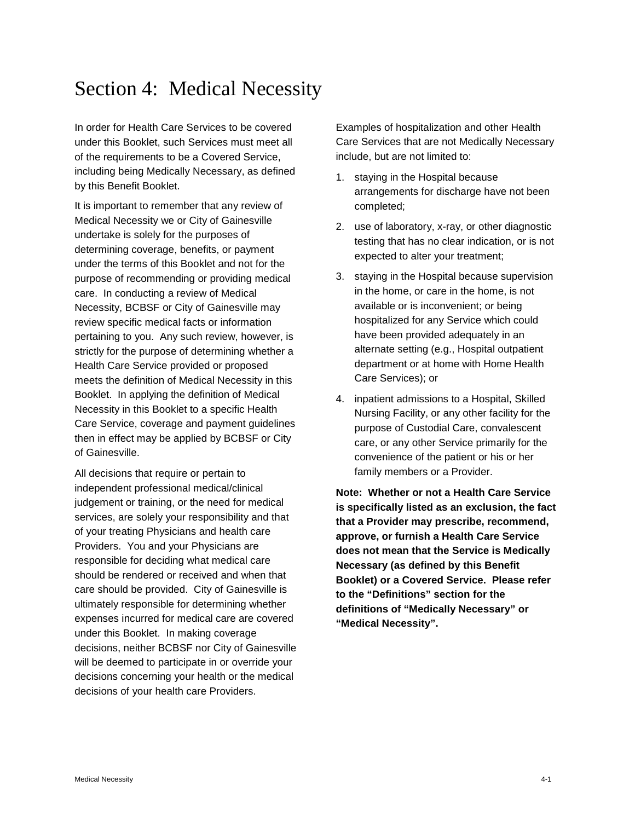# Section 4: Medical Necessity

In order for Health Care Services to be covered under this Booklet, such Services must meet all of the requirements to be a Covered Service, including being Medically Necessary, as defined by this Benefit Booklet.

It is important to remember that any review of Medical Necessity we or City of Gainesville undertake is solely for the purposes of determining coverage, benefits, or payment under the terms of this Booklet and not for the purpose of recommending or providing medical care. In conducting a review of Medical Necessity, BCBSF or City of Gainesville may review specific medical facts or information pertaining to you. Any such review, however, is strictly for the purpose of determining whether a Health Care Service provided or proposed meets the definition of Medical Necessity in this Booklet. In applying the definition of Medical Necessity in this Booklet to a specific Health Care Service, coverage and payment guidelines then in effect may be applied by BCBSF or City of Gainesville.

All decisions that require or pertain to independent professional medical/clinical judgement or training, or the need for medical services, are solely your responsibility and that of your treating Physicians and health care Providers. You and your Physicians are responsible for deciding what medical care should be rendered or received and when that care should be provided. City of Gainesville is ultimately responsible for determining whether expenses incurred for medical care are covered under this Booklet. In making coverage decisions, neither BCBSF nor City of Gainesville will be deemed to participate in or override your decisions concerning your health or the medical decisions of your health care Providers.

Examples of hospitalization and other Health Care Services that are not Medically Necessary include, but are not limited to:

- 1. staying in the Hospital because arrangements for discharge have not been completed;
- 2. use of laboratory, x-ray, or other diagnostic testing that has no clear indication, or is not expected to alter your treatment;
- 3. staying in the Hospital because supervision in the home, or care in the home, is not available or is inconvenient; or being hospitalized for any Service which could have been provided adequately in an alternate setting (e.g., Hospital outpatient department or at home with Home Health Care Services); or
- 4. inpatient admissions to a Hospital, Skilled Nursing Facility, or any other facility for the purpose of Custodial Care, convalescent care, or any other Service primarily for the convenience of the patient or his or her family members or a Provider.

**Note: Whether or not a Health Care Service is specifically listed as an exclusion, the fact that a Provider may prescribe, recommend, approve, or furnish a Health Care Service does not mean that the Service is Medically Necessary (as defined by this Benefit Booklet) or a Covered Service. Please refer to the "Definitions" section for the definitions of "Medically Necessary" or "Medical Necessity".**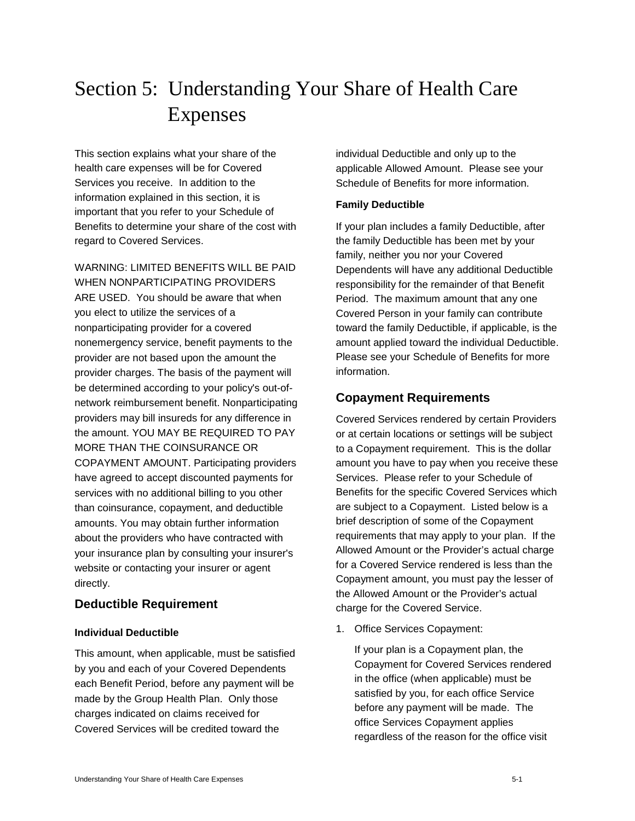# Section 5: Understanding Your Share of Health Care Expenses

This section explains what your share of the health care expenses will be for Covered Services you receive. In addition to the information explained in this section, it is important that you refer to your Schedule of Benefits to determine your share of the cost with regard to Covered Services.

WARNING: LIMITED BENEFITS WILL BE PAID WHEN NONPARTICIPATING PROVIDERS ARE USED. You should be aware that when you elect to utilize the services of a nonparticipating provider for a covered nonemergency service, benefit payments to the provider are not based upon the amount the provider charges. The basis of the payment will be determined according to your policy's out-ofnetwork reimbursement benefit. Nonparticipating providers may bill insureds for any difference in the amount. YOU MAY BE REQUIRED TO PAY MORE THAN THE COINSURANCE OR COPAYMENT AMOUNT. Participating providers have agreed to accept discounted payments for services with no additional billing to you other than coinsurance, copayment, and deductible amounts. You may obtain further information about the providers who have contracted with your insurance plan by consulting your insurer's website or contacting your insurer or agent directly.

# **Deductible Requirement**

#### **Individual Deductible**

This amount, when applicable, must be satisfied by you and each of your Covered Dependents each Benefit Period, before any payment will be made by the Group Health Plan. Only those charges indicated on claims received for Covered Services will be credited toward the

individual Deductible and only up to the applicable Allowed Amount. Please see your Schedule of Benefits for more information.

# **Family Deductible**

If your plan includes a family Deductible, after the family Deductible has been met by your family, neither you nor your Covered Dependents will have any additional Deductible responsibility for the remainder of that Benefit Period. The maximum amount that any one Covered Person in your family can contribute toward the family Deductible, if applicable, is the amount applied toward the individual Deductible. Please see your Schedule of Benefits for more information.

# **Copayment Requirements**

Covered Services rendered by certain Providers or at certain locations or settings will be subject to a Copayment requirement. This is the dollar amount you have to pay when you receive these Services. Please refer to your Schedule of Benefits for the specific Covered Services which are subject to a Copayment. Listed below is a brief description of some of the Copayment requirements that may apply to your plan. If the Allowed Amount or the Provider's actual charge for a Covered Service rendered is less than the Copayment amount, you must pay the lesser of the Allowed Amount or the Provider's actual charge for the Covered Service.

1. Office Services Copayment:

If your plan is a Copayment plan, the Copayment for Covered Services rendered in the office (when applicable) must be satisfied by you, for each office Service before any payment will be made. The office Services Copayment applies regardless of the reason for the office visit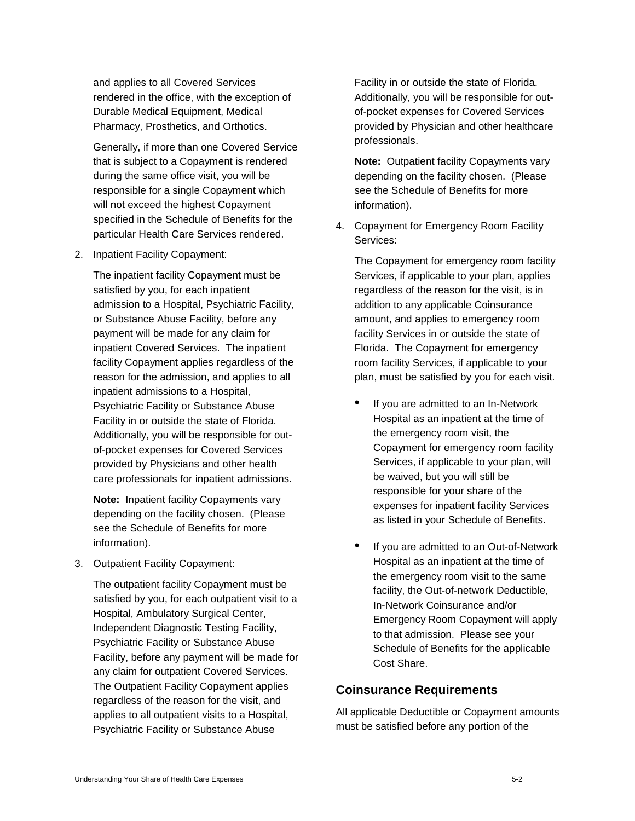and applies to all Covered Services rendered in the office, with the exception of Durable Medical Equipment, Medical Pharmacy, Prosthetics, and Orthotics.

Generally, if more than one Covered Service that is subject to a Copayment is rendered during the same office visit, you will be responsible for a single Copayment which will not exceed the highest Copayment specified in the Schedule of Benefits for the particular Health Care Services rendered.

2. Inpatient Facility Copayment:

The inpatient facility Copayment must be satisfied by you, for each inpatient admission to a Hospital, Psychiatric Facility, or Substance Abuse Facility, before any payment will be made for any claim for inpatient Covered Services. The inpatient facility Copayment applies regardless of the reason for the admission, and applies to all inpatient admissions to a Hospital, Psychiatric Facility or Substance Abuse Facility in or outside the state of Florida. Additionally, you will be responsible for outof-pocket expenses for Covered Services provided by Physicians and other health care professionals for inpatient admissions.

**Note:** Inpatient facility Copayments vary depending on the facility chosen. (Please see the Schedule of Benefits for more information).

3. Outpatient Facility Copayment:

The outpatient facility Copayment must be satisfied by you, for each outpatient visit to a Hospital, Ambulatory Surgical Center, Independent Diagnostic Testing Facility, Psychiatric Facility or Substance Abuse Facility, before any payment will be made for any claim for outpatient Covered Services. The Outpatient Facility Copayment applies regardless of the reason for the visit, and applies to all outpatient visits to a Hospital, Psychiatric Facility or Substance Abuse

Facility in or outside the state of Florida. Additionally, you will be responsible for outof-pocket expenses for Covered Services provided by Physician and other healthcare professionals.

**Note:** Outpatient facility Copayments vary depending on the facility chosen. (Please see the Schedule of Benefits for more information).

4. Copayment for Emergency Room Facility Services:

The Copayment for emergency room facility Services, if applicable to your plan, applies regardless of the reason for the visit, is in addition to any applicable Coinsurance amount, and applies to emergency room facility Services in or outside the state of Florida. The Copayment for emergency room facility Services, if applicable to your plan, must be satisfied by you for each visit.

- If you are admitted to an In-Network Hospital as an inpatient at the time of the emergency room visit, the Copayment for emergency room facility Services, if applicable to your plan, will be waived, but you will still be responsible for your share of the expenses for inpatient facility Services as listed in your Schedule of Benefits.
- If you are admitted to an Out-of-Network Hospital as an inpatient at the time of the emergency room visit to the same facility, the Out-of-network Deductible, In-Network Coinsurance and/or Emergency Room Copayment will apply to that admission. Please see your Schedule of Benefits for the applicable Cost Share.

# **Coinsurance Requirements**

All applicable Deductible or Copayment amounts must be satisfied before any portion of the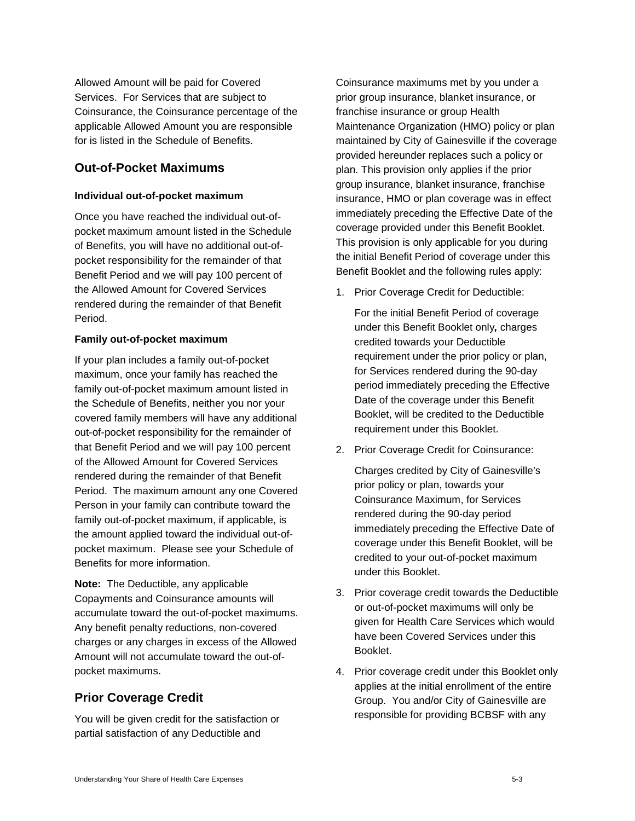Allowed Amount will be paid for Covered Services. For Services that are subject to Coinsurance, the Coinsurance percentage of the applicable Allowed Amount you are responsible for is listed in the Schedule of Benefits.

# **Out-of-Pocket Maximums**

#### **Individual out-of-pocket maximum**

Once you have reached the individual out-ofpocket maximum amount listed in the Schedule of Benefits, you will have no additional out-ofpocket responsibility for the remainder of that Benefit Period and we will pay 100 percent of the Allowed Amount for Covered Services rendered during the remainder of that Benefit Period.

#### **Family out-of-pocket maximum**

If your plan includes a family out-of-pocket maximum, once your family has reached the family out-of-pocket maximum amount listed in the Schedule of Benefits, neither you nor your covered family members will have any additional out-of-pocket responsibility for the remainder of that Benefit Period and we will pay 100 percent of the Allowed Amount for Covered Services rendered during the remainder of that Benefit Period. The maximum amount any one Covered Person in your family can contribute toward the family out-of-pocket maximum, if applicable, is the amount applied toward the individual out-ofpocket maximum. Please see your Schedule of Benefits for more information.

**Note:** The Deductible, any applicable Copayments and Coinsurance amounts will accumulate toward the out-of-pocket maximums. Any benefit penalty reductions, non-covered charges or any charges in excess of the Allowed Amount will not accumulate toward the out-ofpocket maximums.

# **Prior Coverage Credit**

You will be given credit for the satisfaction or partial satisfaction of any Deductible and

Coinsurance maximums met by you under a prior group insurance, blanket insurance, or franchise insurance or group Health Maintenance Organization (HMO) policy or plan maintained by City of Gainesville if the coverage provided hereunder replaces such a policy or plan. This provision only applies if the prior group insurance, blanket insurance, franchise insurance, HMO or plan coverage was in effect immediately preceding the Effective Date of the coverage provided under this Benefit Booklet. This provision is only applicable for you during the initial Benefit Period of coverage under this Benefit Booklet and the following rules apply:

1. Prior Coverage Credit for Deductible:

For the initial Benefit Period of coverage under this Benefit Booklet only*,* charges credited towards your Deductible requirement under the prior policy or plan, for Services rendered during the 90-day period immediately preceding the Effective Date of the coverage under this Benefit Booklet, will be credited to the Deductible requirement under this Booklet.

2. Prior Coverage Credit for Coinsurance:

Charges credited by City of Gainesville's prior policy or plan, towards your Coinsurance Maximum, for Services rendered during the 90-day period immediately preceding the Effective Date of coverage under this Benefit Booklet, will be credited to your out-of-pocket maximum under this Booklet.

- 3. Prior coverage credit towards the Deductible or out-of-pocket maximums will only be given for Health Care Services which would have been Covered Services under this Booklet.
- 4. Prior coverage credit under this Booklet only applies at the initial enrollment of the entire Group. You and/or City of Gainesville are responsible for providing BCBSF with any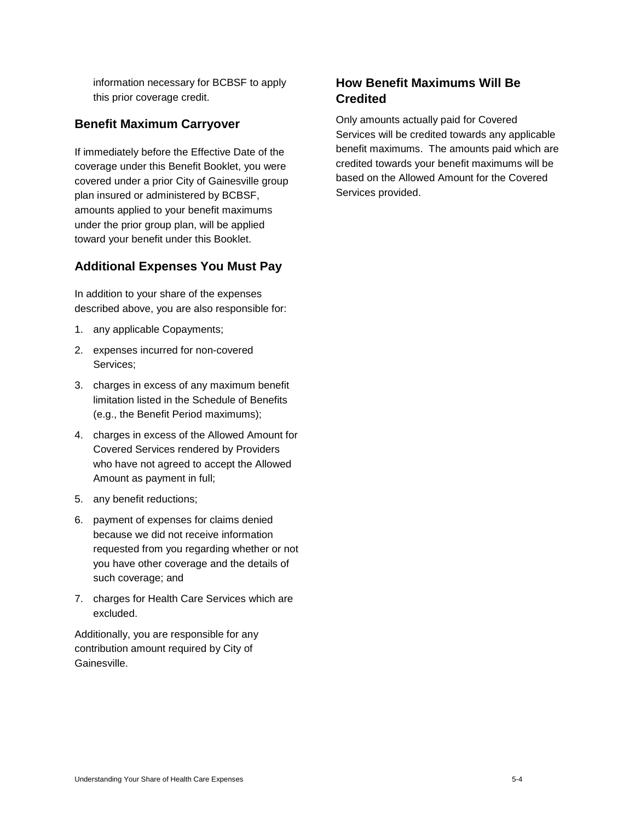information necessary for BCBSF to apply this prior coverage credit.

# **Benefit Maximum Carryover**

If immediately before the Effective Date of the coverage under this Benefit Booklet, you were covered under a prior City of Gainesville group plan insured or administered by BCBSF, amounts applied to your benefit maximums under the prior group plan, will be applied toward your benefit under this Booklet.

# **Additional Expenses You Must Pay**

In addition to your share of the expenses described above, you are also responsible for:

- 1. any applicable Copayments;
- 2. expenses incurred for non-covered Services;
- 3. charges in excess of any maximum benefit limitation listed in the Schedule of Benefits (e.g., the Benefit Period maximums);
- 4. charges in excess of the Allowed Amount for Covered Services rendered by Providers who have not agreed to accept the Allowed Amount as payment in full;
- 5. any benefit reductions;
- 6. payment of expenses for claims denied because we did not receive information requested from you regarding whether or not you have other coverage and the details of such coverage; and
- 7. charges for Health Care Services which are excluded.

Additionally, you are responsible for any contribution amount required by City of Gainesville.

# **How Benefit Maximums Will Be Credited**

Only amounts actually paid for Covered Services will be credited towards any applicable benefit maximums. The amounts paid which are credited towards your benefit maximums will be based on the Allowed Amount for the Covered Services provided.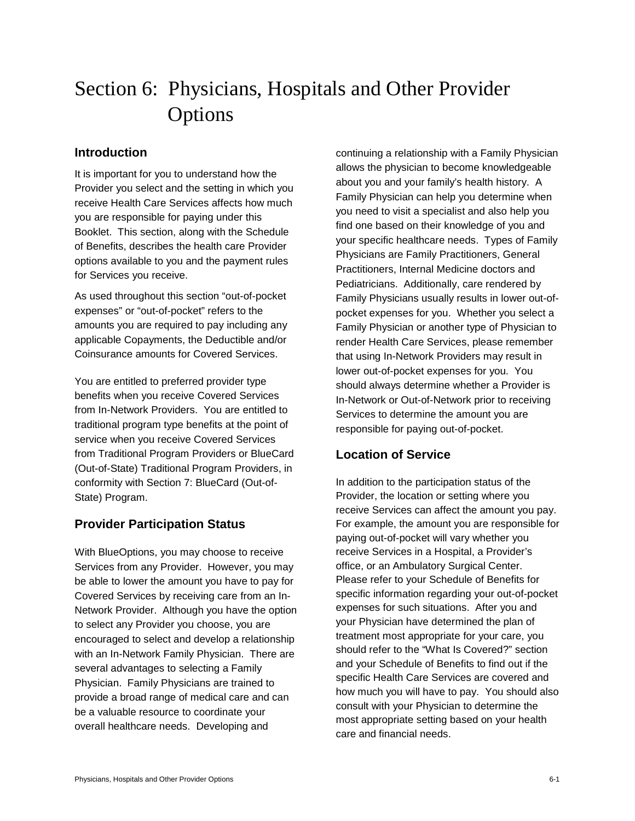# Section 6: Physicians, Hospitals and Other Provider Options

# **Introduction**

It is important for you to understand how the Provider you select and the setting in which you receive Health Care Services affects how much you are responsible for paying under this Booklet. This section, along with the Schedule of Benefits, describes the health care Provider options available to you and the payment rules for Services you receive.

As used throughout this section "out-of-pocket expenses" or "out-of-pocket" refers to the amounts you are required to pay including any applicable Copayments, the Deductible and/or Coinsurance amounts for Covered Services.

You are entitled to preferred provider type benefits when you receive Covered Services from In-Network Providers. You are entitled to traditional program type benefits at the point of service when you receive Covered Services from Traditional Program Providers or BlueCard (Out-of-State) Traditional Program Providers, in conformity with Section 7: BlueCard (Out-of-State) Program.

# **Provider Participation Status**

With BlueOptions, you may choose to receive Services from any Provider. However, you may be able to lower the amount you have to pay for Covered Services by receiving care from an In-Network Provider. Although you have the option to select any Provider you choose, you are encouraged to select and develop a relationship with an In-Network Family Physician. There are several advantages to selecting a Family Physician. Family Physicians are trained to provide a broad range of medical care and can be a valuable resource to coordinate your overall healthcare needs. Developing and

continuing a relationship with a Family Physician allows the physician to become knowledgeable about you and your family's health history. A Family Physician can help you determine when you need to visit a specialist and also help you find one based on their knowledge of you and your specific healthcare needs. Types of Family Physicians are Family Practitioners, General Practitioners, Internal Medicine doctors and Pediatricians. Additionally, care rendered by Family Physicians usually results in lower out-ofpocket expenses for you. Whether you select a Family Physician or another type of Physician to render Health Care Services, please remember that using In-Network Providers may result in lower out-of-pocket expenses for you. You should always determine whether a Provider is In-Network or Out-of-Network prior to receiving Services to determine the amount you are responsible for paying out-of-pocket.

# **Location of Service**

In addition to the participation status of the Provider, the location or setting where you receive Services can affect the amount you pay. For example, the amount you are responsible for paying out-of-pocket will vary whether you receive Services in a Hospital, a Provider's office, or an Ambulatory Surgical Center. Please refer to your Schedule of Benefits for specific information regarding your out-of-pocket expenses for such situations. After you and your Physician have determined the plan of treatment most appropriate for your care, you should refer to the "What Is Covered?" section and your Schedule of Benefits to find out if the specific Health Care Services are covered and how much you will have to pay. You should also consult with your Physician to determine the most appropriate setting based on your health care and financial needs.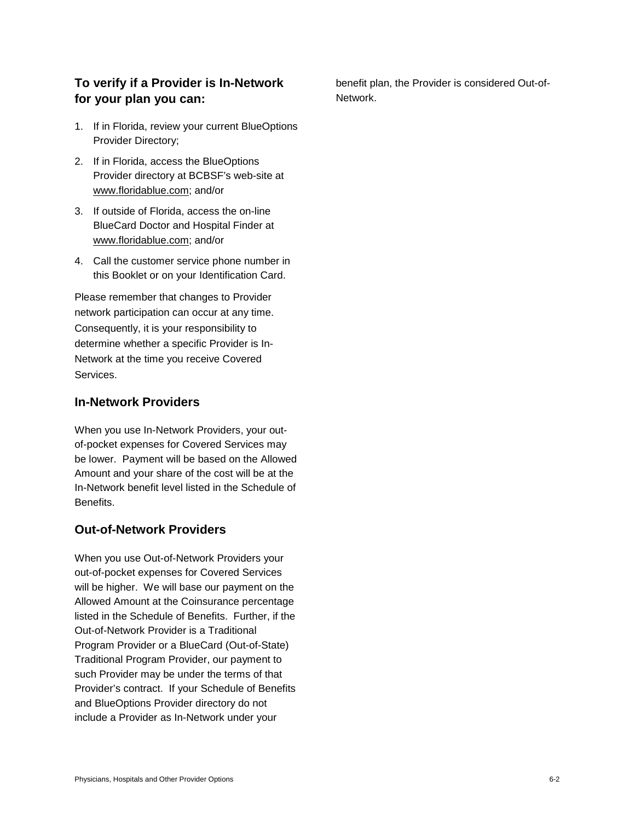# **To verify if a Provider is In-Network for your plan you can:**

- 1. If in Florida, review your current BlueOptions Provider Directory;
- 2. If in Florida, access the BlueOptions Provider directory at BCBSF's web-site at www.floridablue.com; and/or
- 3. If outside of Florida, access the on-line BlueCard Doctor and Hospital Finder at www.floridablue.com; and/or
- 4. Call the customer service phone number in this Booklet or on your Identification Card.

Please remember that changes to Provider network participation can occur at any time. Consequently, it is your responsibility to determine whether a specific Provider is In-Network at the time you receive Covered Services.

# **In-Network Providers**

When you use In-Network Providers, your outof-pocket expenses for Covered Services may be lower. Payment will be based on the Allowed Amount and your share of the cost will be at the In-Network benefit level listed in the Schedule of Benefits.

# **Out-of-Network Providers**

When you use Out-of-Network Providers your out-of-pocket expenses for Covered Services will be higher. We will base our payment on the Allowed Amount at the Coinsurance percentage listed in the Schedule of Benefits. Further, if the Out-of-Network Provider is a Traditional Program Provider or a BlueCard (Out-of-State) Traditional Program Provider, our payment to such Provider may be under the terms of that Provider's contract. If your Schedule of Benefits and BlueOptions Provider directory do not include a Provider as In-Network under your

benefit plan, the Provider is considered Out-of-Network.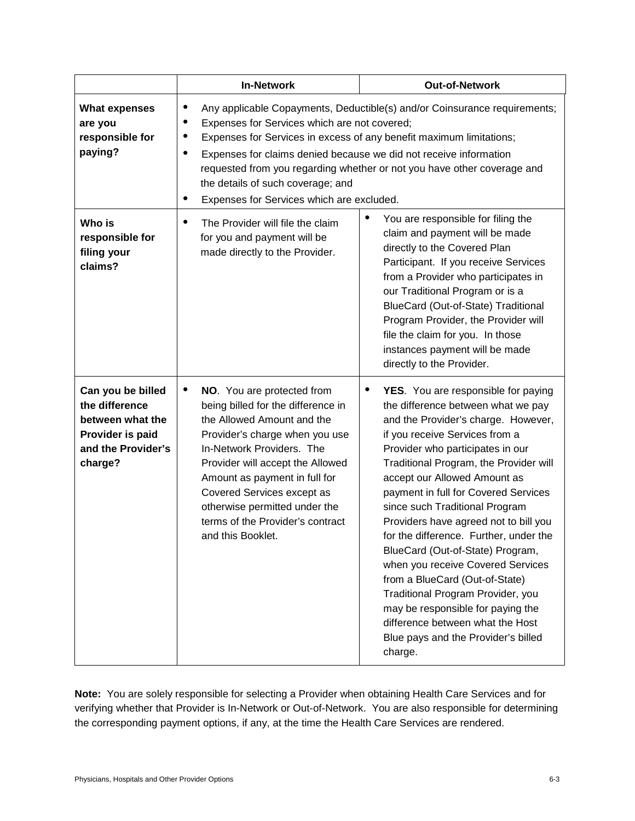|                                                                                                              | <b>In-Network</b>                                                                                                                                                                                                                                                                                                                                                                                                                  | <b>Out-of-Network</b>                                                                                                                                                                                                                                                                                                                                                                                                                                                                                                                                                                                                                                                                                                 |
|--------------------------------------------------------------------------------------------------------------|------------------------------------------------------------------------------------------------------------------------------------------------------------------------------------------------------------------------------------------------------------------------------------------------------------------------------------------------------------------------------------------------------------------------------------|-----------------------------------------------------------------------------------------------------------------------------------------------------------------------------------------------------------------------------------------------------------------------------------------------------------------------------------------------------------------------------------------------------------------------------------------------------------------------------------------------------------------------------------------------------------------------------------------------------------------------------------------------------------------------------------------------------------------------|
| <b>What expenses</b><br>are you<br>responsible for<br>paying?                                                | Any applicable Copayments, Deductible(s) and/or Coinsurance requirements;<br>Expenses for Services which are not covered;<br>Expenses for Services in excess of any benefit maximum limitations;<br>Expenses for claims denied because we did not receive information<br>requested from you regarding whether or not you have other coverage and<br>the details of such coverage; and<br>Expenses for Services which are excluded. |                                                                                                                                                                                                                                                                                                                                                                                                                                                                                                                                                                                                                                                                                                                       |
| Who is<br>responsible for<br>filing your<br>claims?                                                          | The Provider will file the claim<br>for you and payment will be<br>made directly to the Provider.                                                                                                                                                                                                                                                                                                                                  | ٠<br>You are responsible for filing the<br>claim and payment will be made<br>directly to the Covered Plan<br>Participant. If you receive Services<br>from a Provider who participates in<br>our Traditional Program or is a<br>BlueCard (Out-of-State) Traditional<br>Program Provider, the Provider will<br>file the claim for you. In those<br>instances payment will be made<br>directly to the Provider.                                                                                                                                                                                                                                                                                                          |
| Can you be billed<br>the difference<br>between what the<br>Provider is paid<br>and the Provider's<br>charge? | $\bullet$<br>NO. You are protected from<br>being billed for the difference in<br>the Allowed Amount and the<br>Provider's charge when you use<br>In-Network Providers. The<br>Provider will accept the Allowed<br>Amount as payment in full for<br>Covered Services except as<br>otherwise permitted under the<br>terms of the Provider's contract<br>and this Booklet.                                                            | $\bullet$<br>YES. You are responsible for paying<br>the difference between what we pay<br>and the Provider's charge. However,<br>if you receive Services from a<br>Provider who participates in our<br>Traditional Program, the Provider will<br>accept our Allowed Amount as<br>payment in full for Covered Services<br>since such Traditional Program<br>Providers have agreed not to bill you<br>for the difference. Further, under the<br>BlueCard (Out-of-State) Program,<br>when you receive Covered Services<br>from a BlueCard (Out-of-State)<br>Traditional Program Provider, you<br>may be responsible for paying the<br>difference between what the Host<br>Blue pays and the Provider's billed<br>charge. |

**Note:** You are solely responsible for selecting a Provider when obtaining Health Care Services and for verifying whether that Provider is In-Network or Out-of-Network. You are also responsible for determining the corresponding payment options, if any, at the time the Health Care Services are rendered.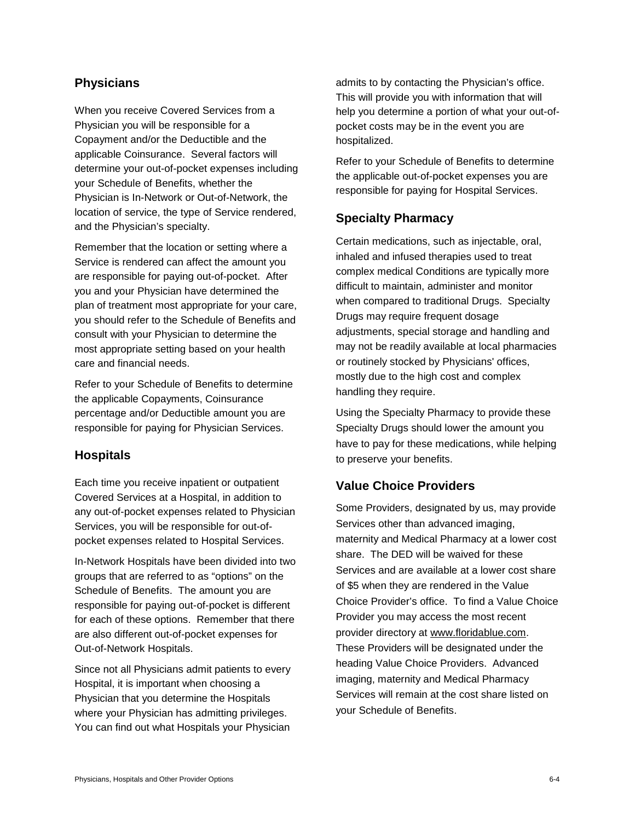# **Physicians**

When you receive Covered Services from a Physician you will be responsible for a Copayment and/or the Deductible and the applicable Coinsurance. Several factors will determine your out-of-pocket expenses including your Schedule of Benefits, whether the Physician is In-Network or Out-of-Network, the location of service, the type of Service rendered, and the Physician's specialty.

Remember that the location or setting where a Service is rendered can affect the amount you are responsible for paying out-of-pocket. After you and your Physician have determined the plan of treatment most appropriate for your care, you should refer to the Schedule of Benefits and consult with your Physician to determine the most appropriate setting based on your health care and financial needs.

Refer to your Schedule of Benefits to determine the applicable Copayments, Coinsurance percentage and/or Deductible amount you are responsible for paying for Physician Services.

# **Hospitals**

Each time you receive inpatient or outpatient Covered Services at a Hospital, in addition to any out-of-pocket expenses related to Physician Services, you will be responsible for out-ofpocket expenses related to Hospital Services.

In-Network Hospitals have been divided into two groups that are referred to as "options" on the Schedule of Benefits. The amount you are responsible for paying out-of-pocket is different for each of these options. Remember that there are also different out-of-pocket expenses for Out-of-Network Hospitals.

Since not all Physicians admit patients to every Hospital, it is important when choosing a Physician that you determine the Hospitals where your Physician has admitting privileges. You can find out what Hospitals your Physician

admits to by contacting the Physician's office. This will provide you with information that will help you determine a portion of what your out-ofpocket costs may be in the event you are hospitalized.

Refer to your Schedule of Benefits to determine the applicable out-of-pocket expenses you are responsible for paying for Hospital Services.

# **Specialty Pharmacy**

Certain medications, such as injectable, oral, inhaled and infused therapies used to treat complex medical Conditions are typically more difficult to maintain, administer and monitor when compared to traditional Drugs. Specialty Drugs may require frequent dosage adjustments, special storage and handling and may not be readily available at local pharmacies or routinely stocked by Physicians' offices, mostly due to the high cost and complex handling they require.

Using the Specialty Pharmacy to provide these Specialty Drugs should lower the amount you have to pay for these medications, while helping to preserve your benefits.

# **Value Choice Providers**

Some Providers, designated by us, may provide Services other than advanced imaging, maternity and Medical Pharmacy at a lower cost share. The DED will be waived for these Services and are available at a lower cost share of \$5 when they are rendered in the Value Choice Provider's office. To find a Value Choice Provider you may access the most recent provider directory at [www.floridablue.com.](http://www.floridablue.com/) These Providers will be designated under the heading Value Choice Providers. Advanced imaging, maternity and Medical Pharmacy Services will remain at the cost share listed on your Schedule of Benefits.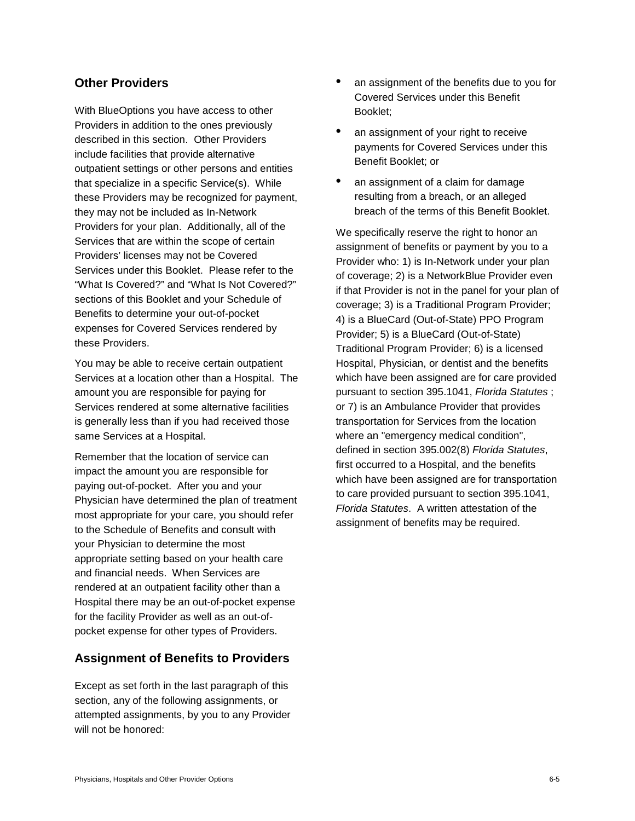## **Other Providers**

With BlueOptions you have access to other Providers in addition to the ones previously described in this section. Other Providers include facilities that provide alternative outpatient settings or other persons and entities that specialize in a specific Service(s). While these Providers may be recognized for payment, they may not be included as In-Network Providers for your plan. Additionally, all of the Services that are within the scope of certain Providers' licenses may not be Covered Services under this Booklet. Please refer to the "What Is Covered?" and "What Is Not Covered?" sections of this Booklet and your Schedule of Benefits to determine your out-of-pocket expenses for Covered Services rendered by these Providers.

You may be able to receive certain outpatient Services at a location other than a Hospital. The amount you are responsible for paying for Services rendered at some alternative facilities is generally less than if you had received those same Services at a Hospital.

Remember that the location of service can impact the amount you are responsible for paying out-of-pocket. After you and your Physician have determined the plan of treatment most appropriate for your care, you should refer to the Schedule of Benefits and consult with your Physician to determine the most appropriate setting based on your health care and financial needs. When Services are rendered at an outpatient facility other than a Hospital there may be an out-of-pocket expense for the facility Provider as well as an out-ofpocket expense for other types of Providers.

## **Assignment of Benefits to Providers**

Except as set forth in the last paragraph of this section, any of the following assignments, or attempted assignments, by you to any Provider will not be honored:

- an assignment of the benefits due to you for Covered Services under this Benefit Booklet;
- an assignment of your right to receive payments for Covered Services under this Benefit Booklet; or
- an assignment of a claim for damage resulting from a breach, or an alleged breach of the terms of this Benefit Booklet.

We specifically reserve the right to honor an assignment of benefits or payment by you to a Provider who: 1) is In-Network under your plan of coverage; 2) is a NetworkBlue Provider even if that Provider is not in the panel for your plan of coverage; 3) is a Traditional Program Provider; 4) is a BlueCard (Out-of-State) PPO Program Provider; 5) is a BlueCard (Out-of-State) Traditional Program Provider; 6) is a licensed Hospital, Physician, or dentist and the benefits which have been assigned are for care provided pursuant to section 395.1041, *Florida Statutes* ; or 7) is an Ambulance Provider that provides transportation for Services from the location where an "emergency medical condition", defined in section 395.002(8) *Florida Statutes*, first occurred to a Hospital, and the benefits which have been assigned are for transportation to care provided pursuant to section 395.1041, *Florida Statutes*. A written attestation of the assignment of benefits may be required.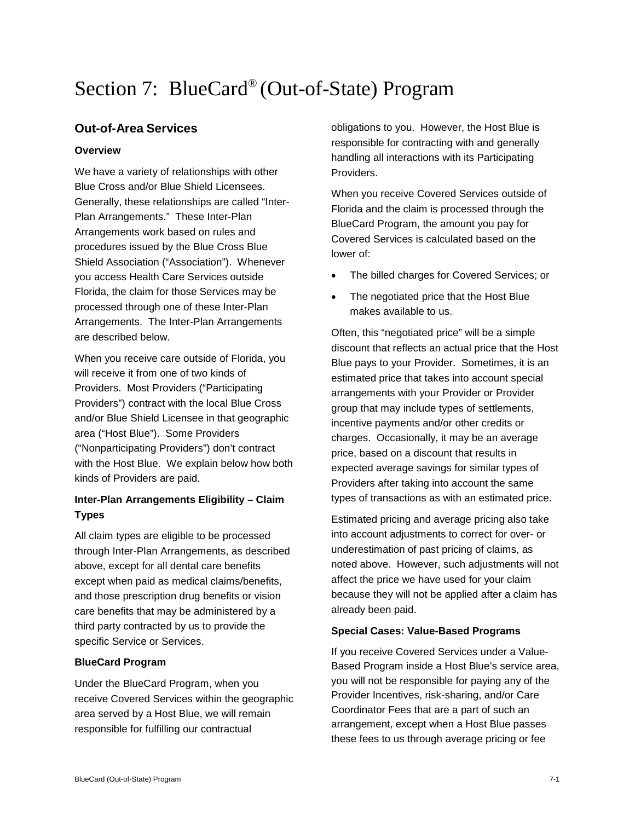# Section 7: BlueCard® (Out-of-State) Program

## **Out-of-Area Services**

#### **Overview**

We have a variety of relationships with other Blue Cross and/or Blue Shield Licensees. Generally, these relationships are called "Inter-Plan Arrangements." These Inter-Plan Arrangements work based on rules and procedures issued by the Blue Cross Blue Shield Association ("Association"). Whenever you access Health Care Services outside Florida, the claim for those Services may be processed through one of these Inter-Plan Arrangements. The Inter-Plan Arrangements are described below.

When you receive care outside of Florida, you will receive it from one of two kinds of Providers. Most Providers ("Participating Providers") contract with the local Blue Cross and/or Blue Shield Licensee in that geographic area ("Host Blue"). Some Providers ("Nonparticipating Providers") don't contract with the Host Blue. We explain below how both kinds of Providers are paid.

## **Inter-Plan Arrangements Eligibility – Claim Types**

All claim types are eligible to be processed through Inter-Plan Arrangements, as described above, except for all dental care benefits except when paid as medical claims/benefits, and those prescription drug benefits or vision care benefits that may be administered by a third party contracted by us to provide the specific Service or Services.

#### **BlueCard Program**

Under the BlueCard Program, when you receive Covered Services within the geographic area served by a Host Blue, we will remain responsible for fulfilling our contractual

obligations to you. However, the Host Blue is responsible for contracting with and generally handling all interactions with its Participating Providers.

When you receive Covered Services outside of Florida and the claim is processed through the BlueCard Program, the amount you pay for Covered Services is calculated based on the lower of:

- The billed charges for Covered Services; or
- The negotiated price that the Host Blue makes available to us.

Often, this "negotiated price" will be a simple discount that reflects an actual price that the Host Blue pays to your Provider. Sometimes, it is an estimated price that takes into account special arrangements with your Provider or Provider group that may include types of settlements, incentive payments and/or other credits or charges. Occasionally, it may be an average price, based on a discount that results in expected average savings for similar types of Providers after taking into account the same types of transactions as with an estimated price.

Estimated pricing and average pricing also take into account adjustments to correct for over- or underestimation of past pricing of claims, as noted above. However, such adjustments will not affect the price we have used for your claim because they will not be applied after a claim has already been paid.

#### **Special Cases: Value-Based Programs**

If you receive Covered Services under a Value-Based Program inside a Host Blue's service area, you will not be responsible for paying any of the Provider Incentives, risk-sharing, and/or Care Coordinator Fees that are a part of such an arrangement, except when a Host Blue passes these fees to us through average pricing or fee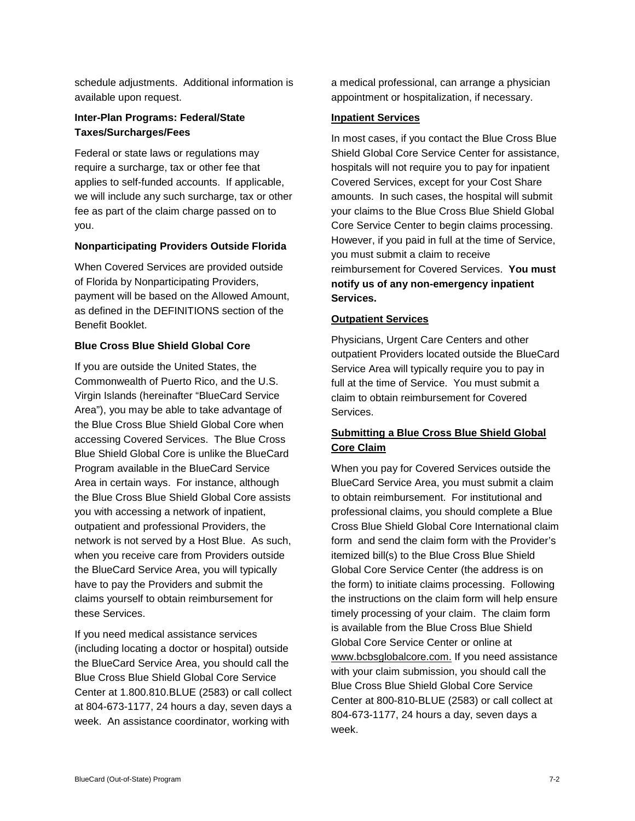schedule adjustments. Additional information is available upon request.

#### **Inter-Plan Programs: Federal/State Taxes/Surcharges/Fees**

Federal or state laws or regulations may require a surcharge, tax or other fee that applies to self-funded accounts. If applicable, we will include any such surcharge, tax or other fee as part of the claim charge passed on to you.

#### **Nonparticipating Providers Outside Florida**

When Covered Services are provided outside of Florida by Nonparticipating Providers, payment will be based on the Allowed Amount, as defined in the DEFINITIONS section of the Benefit Booklet.

#### **Blue Cross Blue Shield Global Core**

If you are outside the United States, the Commonwealth of Puerto Rico, and the U.S. Virgin Islands (hereinafter "BlueCard Service Area"), you may be able to take advantage of the Blue Cross Blue Shield Global Core when accessing Covered Services. The Blue Cross Blue Shield Global Core is unlike the BlueCard Program available in the BlueCard Service Area in certain ways. For instance, although the Blue Cross Blue Shield Global Core assists you with accessing a network of inpatient, outpatient and professional Providers, the network is not served by a Host Blue. As such, when you receive care from Providers outside the BlueCard Service Area, you will typically have to pay the Providers and submit the claims yourself to obtain reimbursement for these Services.

If you need medical assistance services (including locating a doctor or hospital) outside the BlueCard Service Area, you should call the Blue Cross Blue Shield Global Core Service Center at 1.800.810.BLUE (2583) or call collect at 804-673-1177, 24 hours a day, seven days a week. An assistance coordinator, working with

a medical professional, can arrange a physician appointment or hospitalization, if necessary.

#### **Inpatient Services**

In most cases, if you contact the Blue Cross Blue Shield Global Core Service Center for assistance, hospitals will not require you to pay for inpatient Covered Services, except for your Cost Share amounts. In such cases, the hospital will submit your claims to the Blue Cross Blue Shield Global Core Service Center to begin claims processing. However, if you paid in full at the time of Service, you must submit a claim to receive reimbursement for Covered Services. **You must notify us of any non-emergency inpatient Services.**

#### **Outpatient Services**

Physicians, Urgent Care Centers and other outpatient Providers located outside the BlueCard Service Area will typically require you to pay in full at the time of Service. You must submit a claim to obtain reimbursement for Covered Services.

## **Submitting a Blue Cross Blue Shield Global Core Claim**

When you pay for Covered Services outside the BlueCard Service Area, you must submit a claim to obtain reimbursement. For institutional and professional claims, you should complete a Blue Cross Blue Shield Global Core International claim form and send the claim form with the Provider's itemized bill(s) to the Blue Cross Blue Shield Global Core Service Center (the address is on the form) to initiate claims processing. Following the instructions on the claim form will help ensure timely processing of your claim. The claim form is available from the Blue Cross Blue Shield Global Core Service Center or online at www.bcbsglobalcore.com. If you need assistance with your claim submission, you should call the Blue Cross Blue Shield Global Core Service Center at 800-810-BLUE (2583) or call collect at 804-673-1177, 24 hours a day, seven days a week.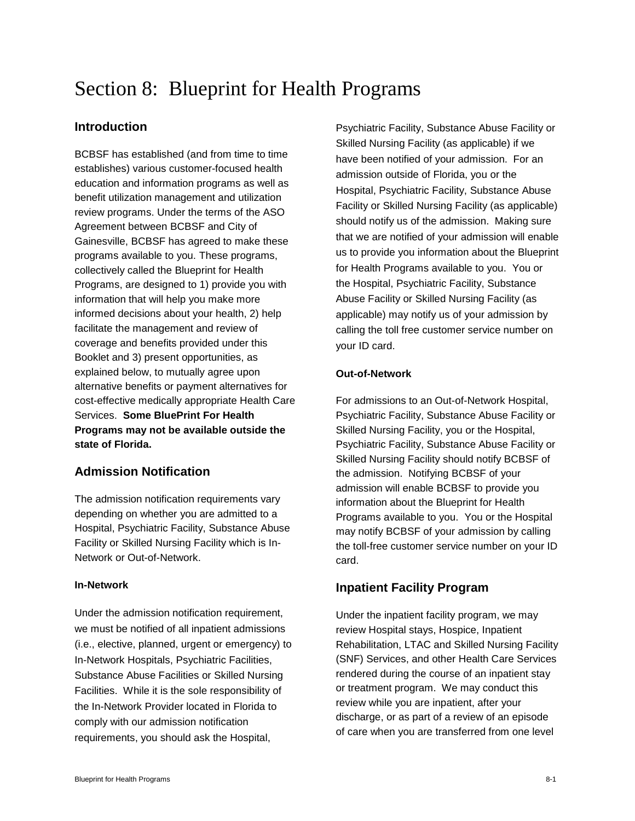# Section 8: Blueprint for Health Programs

## **Introduction**

BCBSF has established (and from time to time establishes) various customer-focused health education and information programs as well as benefit utilization management and utilization review programs. Under the terms of the ASO Agreement between BCBSF and City of Gainesville, BCBSF has agreed to make these programs available to you. These programs, collectively called the Blueprint for Health Programs, are designed to 1) provide you with information that will help you make more informed decisions about your health, 2) help facilitate the management and review of coverage and benefits provided under this Booklet and 3) present opportunities, as explained below, to mutually agree upon alternative benefits or payment alternatives for cost-effective medically appropriate Health Care Services. **Some BluePrint For Health Programs may not be available outside the state of Florida.**

# **Admission Notification**

The admission notification requirements vary depending on whether you are admitted to a Hospital, Psychiatric Facility, Substance Abuse Facility or Skilled Nursing Facility which is In-Network or Out-of-Network.

#### **In-Network**

Under the admission notification requirement, we must be notified of all inpatient admissions (i.e., elective, planned, urgent or emergency) to In-Network Hospitals, Psychiatric Facilities, Substance Abuse Facilities or Skilled Nursing Facilities. While it is the sole responsibility of the In-Network Provider located in Florida to comply with our admission notification requirements, you should ask the Hospital,

Psychiatric Facility, Substance Abuse Facility or Skilled Nursing Facility (as applicable) if we have been notified of your admission. For an admission outside of Florida, you or the Hospital, Psychiatric Facility, Substance Abuse Facility or Skilled Nursing Facility (as applicable) should notify us of the admission. Making sure that we are notified of your admission will enable us to provide you information about the Blueprint for Health Programs available to you. You or the Hospital, Psychiatric Facility, Substance Abuse Facility or Skilled Nursing Facility (as applicable) may notify us of your admission by calling the toll free customer service number on your ID card.

#### **Out-of-Network**

For admissions to an Out-of-Network Hospital, Psychiatric Facility, Substance Abuse Facility or Skilled Nursing Facility, you or the Hospital, Psychiatric Facility, Substance Abuse Facility or Skilled Nursing Facility should notify BCBSF of the admission. Notifying BCBSF of your admission will enable BCBSF to provide you information about the Blueprint for Health Programs available to you. You or the Hospital may notify BCBSF of your admission by calling the toll-free customer service number on your ID card.

#### **Inpatient Facility Program**

Under the inpatient facility program, we may review Hospital stays, Hospice, Inpatient Rehabilitation, LTAC and Skilled Nursing Facility (SNF) Services, and other Health Care Services rendered during the course of an inpatient stay or treatment program. We may conduct this review while you are inpatient, after your discharge, or as part of a review of an episode of care when you are transferred from one level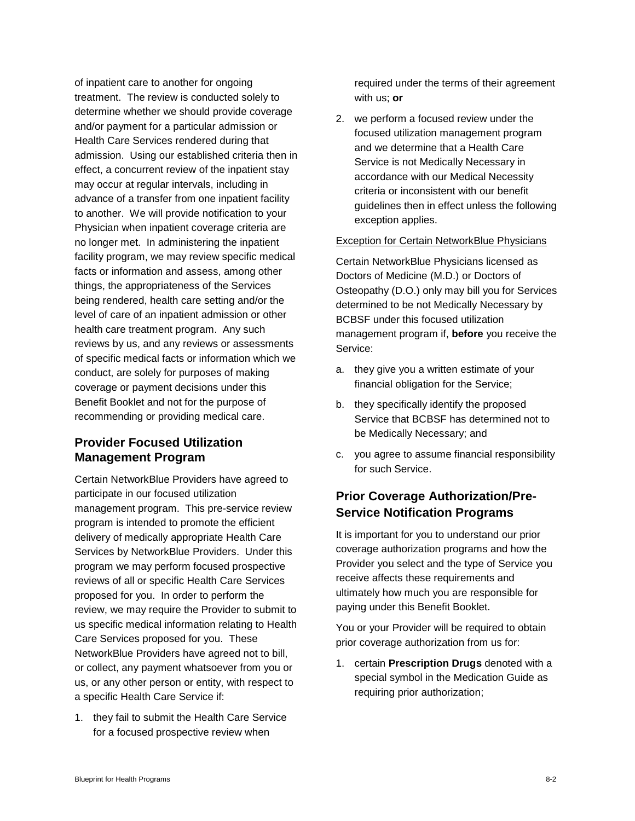of inpatient care to another for ongoing treatment. The review is conducted solely to determine whether we should provide coverage and/or payment for a particular admission or Health Care Services rendered during that admission. Using our established criteria then in effect, a concurrent review of the inpatient stay may occur at regular intervals, including in advance of a transfer from one inpatient facility to another. We will provide notification to your Physician when inpatient coverage criteria are no longer met. In administering the inpatient facility program, we may review specific medical facts or information and assess, among other things, the appropriateness of the Services being rendered, health care setting and/or the level of care of an inpatient admission or other health care treatment program. Any such reviews by us, and any reviews or assessments of specific medical facts or information which we conduct, are solely for purposes of making coverage or payment decisions under this Benefit Booklet and not for the purpose of recommending or providing medical care.

# **Provider Focused Utilization Management Program**

Certain NetworkBlue Providers have agreed to participate in our focused utilization management program. This pre-service review program is intended to promote the efficient delivery of medically appropriate Health Care Services by NetworkBlue Providers. Under this program we may perform focused prospective reviews of all or specific Health Care Services proposed for you. In order to perform the review, we may require the Provider to submit to us specific medical information relating to Health Care Services proposed for you. These NetworkBlue Providers have agreed not to bill, or collect, any payment whatsoever from you or us, or any other person or entity, with respect to a specific Health Care Service if:

1. they fail to submit the Health Care Service for a focused prospective review when

required under the terms of their agreement with us; **or**

2. we perform a focused review under the focused utilization management program and we determine that a Health Care Service is not Medically Necessary in accordance with our Medical Necessity criteria or inconsistent with our benefit guidelines then in effect unless the following exception applies.

#### Exception for Certain NetworkBlue Physicians

Certain NetworkBlue Physicians licensed as Doctors of Medicine (M.D.) or Doctors of Osteopathy (D.O.) only may bill you for Services determined to be not Medically Necessary by BCBSF under this focused utilization management program if, **before** you receive the Service:

- a. they give you a written estimate of your financial obligation for the Service;
- b. they specifically identify the proposed Service that BCBSF has determined not to be Medically Necessary; and
- c. you agree to assume financial responsibility for such Service.

## **Prior Coverage Authorization/Pre-Service Notification Programs**

It is important for you to understand our prior coverage authorization programs and how the Provider you select and the type of Service you receive affects these requirements and ultimately how much you are responsible for paying under this Benefit Booklet.

You or your Provider will be required to obtain prior coverage authorization from us for:

1. certain **Prescription Drugs** denoted with a special symbol in the Medication Guide as requiring prior authorization;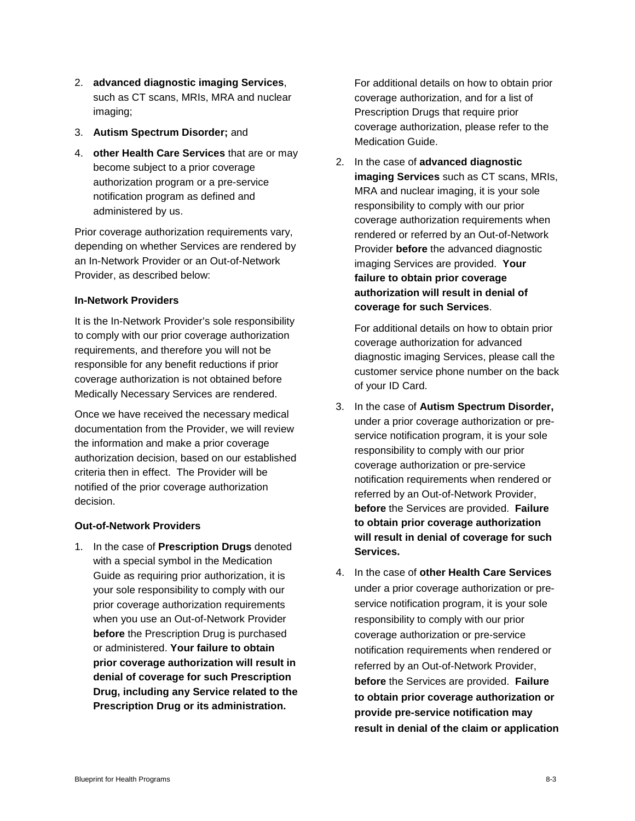- 2. **advanced diagnostic imaging Services**, such as CT scans, MRIs, MRA and nuclear imaging;
- 3. **Autism Spectrum Disorder;** and
- 4. **other Health Care Services** that are or may become subject to a prior coverage authorization program or a pre-service notification program as defined and administered by us.

Prior coverage authorization requirements vary, depending on whether Services are rendered by an In-Network Provider or an Out-of-Network Provider, as described below:

#### **In-Network Providers**

It is the In-Network Provider's sole responsibility to comply with our prior coverage authorization requirements, and therefore you will not be responsible for any benefit reductions if prior coverage authorization is not obtained before Medically Necessary Services are rendered.

Once we have received the necessary medical documentation from the Provider, we will review the information and make a prior coverage authorization decision, based on our established criteria then in effect. The Provider will be notified of the prior coverage authorization decision.

#### **Out-of-Network Providers**

1. In the case of **Prescription Drugs** denoted with a special symbol in the Medication Guide as requiring prior authorization, it is your sole responsibility to comply with our prior coverage authorization requirements when you use an Out-of-Network Provider **before** the Prescription Drug is purchased or administered. **Your failure to obtain prior coverage authorization will result in denial of coverage for such Prescription Drug, including any Service related to the Prescription Drug or its administration.**

For additional details on how to obtain prior coverage authorization, and for a list of Prescription Drugs that require prior coverage authorization, please refer to the Medication Guide.

2. In the case of **advanced diagnostic imaging Services** such as CT scans, MRIs, MRA and nuclear imaging, it is your sole responsibility to comply with our prior coverage authorization requirements when rendered or referred by an Out-of-Network Provider **before** the advanced diagnostic imaging Services are provided. **Your failure to obtain prior coverage authorization will result in denial of coverage for such Services**.

For additional details on how to obtain prior coverage authorization for advanced diagnostic imaging Services, please call the customer service phone number on the back of your ID Card.

- 3. In the case of **Autism Spectrum Disorder,**  under a prior coverage authorization or preservice notification program, it is your sole responsibility to comply with our prior coverage authorization or pre-service notification requirements when rendered or referred by an Out-of-Network Provider, **before** the Services are provided. **Failure to obtain prior coverage authorization will result in denial of coverage for such Services.**
- 4. In the case of **other Health Care Services** under a prior coverage authorization or preservice notification program, it is your sole responsibility to comply with our prior coverage authorization or pre-service notification requirements when rendered or referred by an Out-of-Network Provider, **before** the Services are provided. **Failure to obtain prior coverage authorization or provide pre-service notification may result in denial of the claim or application**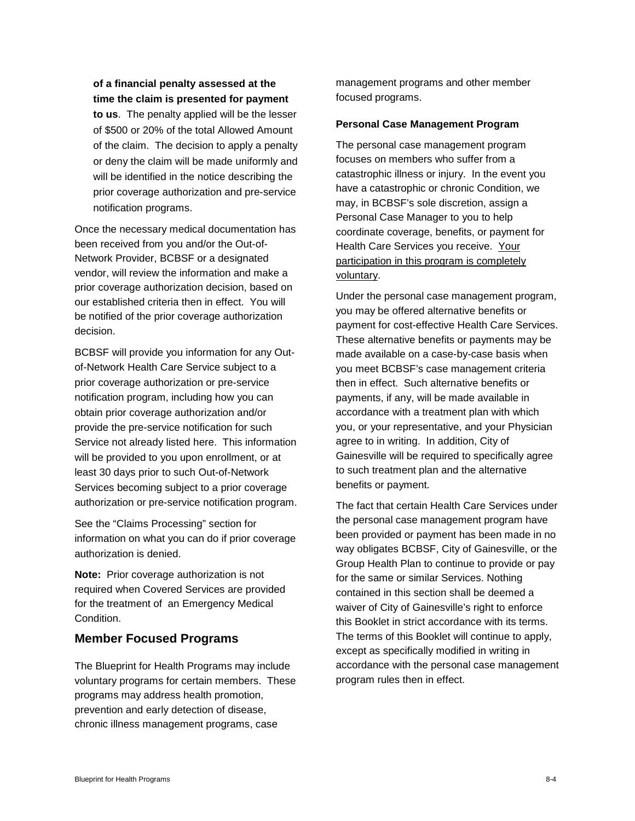**of a financial penalty assessed at the time the claim is presented for payment** 

**to us**. The penalty applied will be the lesser of \$500 or 20% of the total Allowed Amount of the claim. The decision to apply a penalty or deny the claim will be made uniformly and will be identified in the notice describing the prior coverage authorization and pre-service notification programs.

Once the necessary medical documentation has been received from you and/or the Out-of-Network Provider, BCBSF or a designated vendor, will review the information and make a prior coverage authorization decision, based on our established criteria then in effect. You will be notified of the prior coverage authorization decision.

BCBSF will provide you information for any Outof-Network Health Care Service subject to a prior coverage authorization or pre-service notification program, including how you can obtain prior coverage authorization and/or provide the pre-service notification for such Service not already listed here. This information will be provided to you upon enrollment, or at least 30 days prior to such Out-of-Network Services becoming subject to a prior coverage authorization or pre-service notification program.

See the "Claims Processing" section for information on what you can do if prior coverage authorization is denied.

**Note:** Prior coverage authorization is not required when Covered Services are provided for the treatment of an Emergency Medical Condition.

### **Member Focused Programs**

The Blueprint for Health Programs may include voluntary programs for certain members. These programs may address health promotion, prevention and early detection of disease, chronic illness management programs, case

management programs and other member focused programs.

#### **Personal Case Management Program**

The personal case management program focuses on members who suffer from a catastrophic illness or injury. In the event you have a catastrophic or chronic Condition, we may, in BCBSF's sole discretion, assign a Personal Case Manager to you to help coordinate coverage, benefits, or payment for Health Care Services you receive. Your participation in this program is completely voluntary.

Under the personal case management program, you may be offered alternative benefits or payment for cost-effective Health Care Services. These alternative benefits or payments may be made available on a case-by-case basis when you meet BCBSF's case management criteria then in effect. Such alternative benefits or payments, if any, will be made available in accordance with a treatment plan with which you, or your representative, and your Physician agree to in writing. In addition, City of Gainesville will be required to specifically agree to such treatment plan and the alternative benefits or payment.

The fact that certain Health Care Services under the personal case management program have been provided or payment has been made in no way obligates BCBSF, City of Gainesville, or the Group Health Plan to continue to provide or pay for the same or similar Services. Nothing contained in this section shall be deemed a waiver of City of Gainesville's right to enforce this Booklet in strict accordance with its terms. The terms of this Booklet will continue to apply, except as specifically modified in writing in accordance with the personal case management program rules then in effect.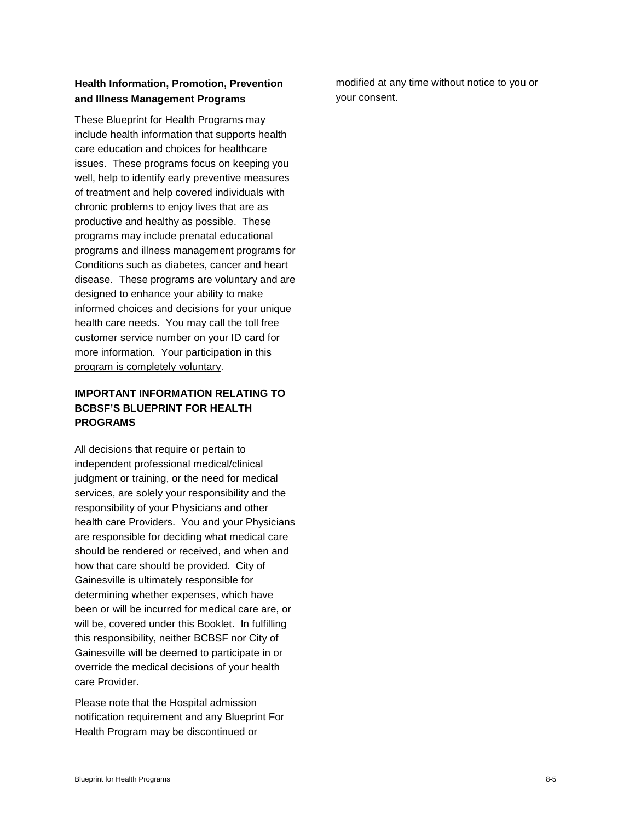## **Health Information, Promotion, Prevention and Illness Management Programs**

These Blueprint for Health Programs may include health information that supports health care education and choices for healthcare issues. These programs focus on keeping you well, help to identify early preventive measures of treatment and help covered individuals with chronic problems to enjoy lives that are as productive and healthy as possible. These programs may include prenatal educational programs and illness management programs for Conditions such as diabetes, cancer and heart disease. These programs are voluntary and are designed to enhance your ability to make informed choices and decisions for your unique health care needs. You may call the toll free customer service number on your ID card for more information. Your participation in this program is completely voluntary.

## **IMPORTANT INFORMATION RELATING TO BCBSF'S BLUEPRINT FOR HEALTH PROGRAMS**

All decisions that require or pertain to independent professional medical/clinical judgment or training, or the need for medical services, are solely your responsibility and the responsibility of your Physicians and other health care Providers. You and your Physicians are responsible for deciding what medical care should be rendered or received, and when and how that care should be provided. City of Gainesville is ultimately responsible for determining whether expenses, which have been or will be incurred for medical care are, or will be, covered under this Booklet. In fulfilling this responsibility, neither BCBSF nor City of Gainesville will be deemed to participate in or override the medical decisions of your health care Provider.

Please note that the Hospital admission notification requirement and any Blueprint For Health Program may be discontinued or

modified at any time without notice to you or your consent.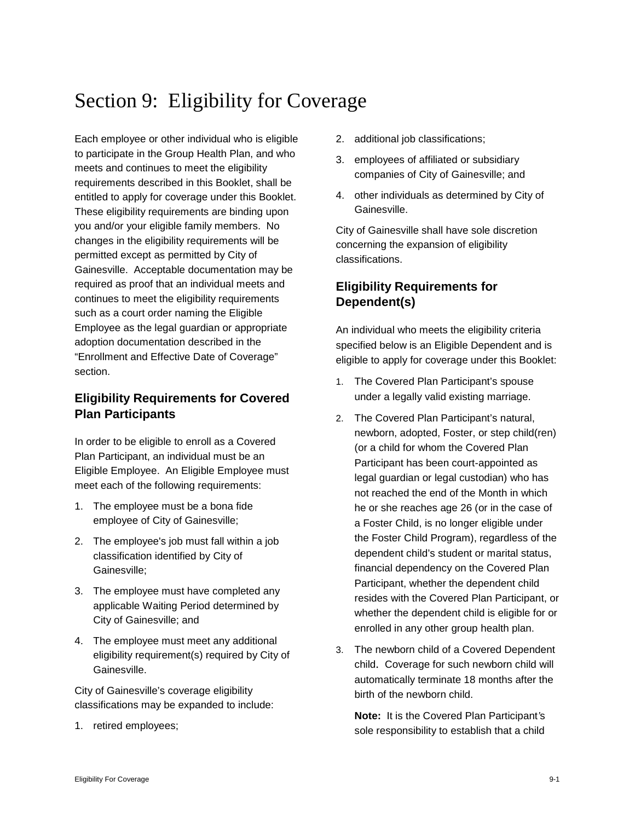# Section 9: Eligibility for Coverage

Each employee or other individual who is eligible to participate in the Group Health Plan, and who meets and continues to meet the eligibility requirements described in this Booklet, shall be entitled to apply for coverage under this Booklet. These eligibility requirements are binding upon you and/or your eligible family members. No changes in the eligibility requirements will be permitted except as permitted by City of Gainesville. Acceptable documentation may be required as proof that an individual meets and continues to meet the eligibility requirements such as a court order naming the Eligible Employee as the legal guardian or appropriate adoption documentation described in the "Enrollment and Effective Date of Coverage" section.

# **Eligibility Requirements for Covered Plan Participants**

In order to be eligible to enroll as a Covered Plan Participant, an individual must be an Eligible Employee. An Eligible Employee must meet each of the following requirements:

- 1. The employee must be a bona fide employee of City of Gainesville;
- 2. The employee's job must fall within a job classification identified by City of Gainesville;
- 3. The employee must have completed any applicable Waiting Period determined by City of Gainesville; and
- 4. The employee must meet any additional eligibility requirement(s) required by City of Gainesville.

City of Gainesville's coverage eligibility classifications may be expanded to include:

1. retired employees;

- 2. additional job classifications;
- 3. employees of affiliated or subsidiary companies of City of Gainesville; and
- 4. other individuals as determined by City of Gainesville.

City of Gainesville shall have sole discretion concerning the expansion of eligibility classifications.

# **Eligibility Requirements for Dependent(s)**

An individual who meets the eligibility criteria specified below is an Eligible Dependent and is eligible to apply for coverage under this Booklet:

- 1. The Covered Plan Participant's spouse under a legally valid existing marriage.
- 2. The Covered Plan Participant's natural, newborn, adopted, Foster, or step child(ren) (or a child for whom the Covered Plan Participant has been court-appointed as legal guardian or legal custodian) who has not reached the end of the Month in which he or she reaches age 26 (or in the case of a Foster Child, is no longer eligible under the Foster Child Program), regardless of the dependent child's student or marital status, financial dependency on the Covered Plan Participant, whether the dependent child resides with the Covered Plan Participant, or whether the dependent child is eligible for or enrolled in any other group health plan.
- 3. The newborn child of a Covered Dependent child. Coverage for such newborn child will automatically terminate 18 months after the birth of the newborn child.

**Note:** It is the Covered Plan Participant*'*s sole responsibility to establish that a child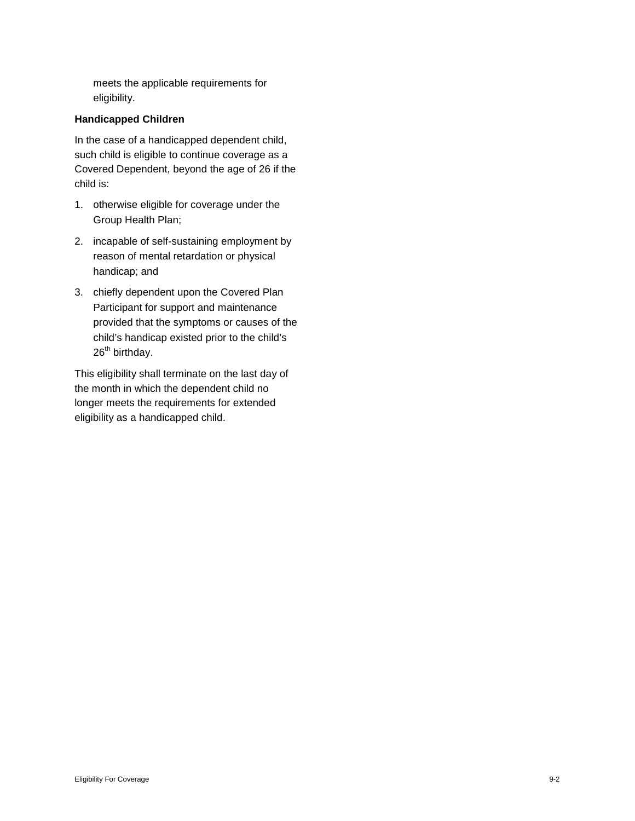meets the applicable requirements for eligibility.

#### **Handicapped Children**

In the case of a handicapped dependent child, such child is eligible to continue coverage as a Covered Dependent, beyond the age of 26 if the child is:

- 1. otherwise eligible for coverage under the Group Health Plan;
- 2. incapable of self-sustaining employment by reason of mental retardation or physical handicap; and
- 3. chiefly dependent upon the Covered Plan Participant for support and maintenance provided that the symptoms or causes of the child's handicap existed prior to the child's 26<sup>th</sup> birthday.

This eligibility shall terminate on the last day of the month in which the dependent child no longer meets the requirements for extended eligibility as a handicapped child.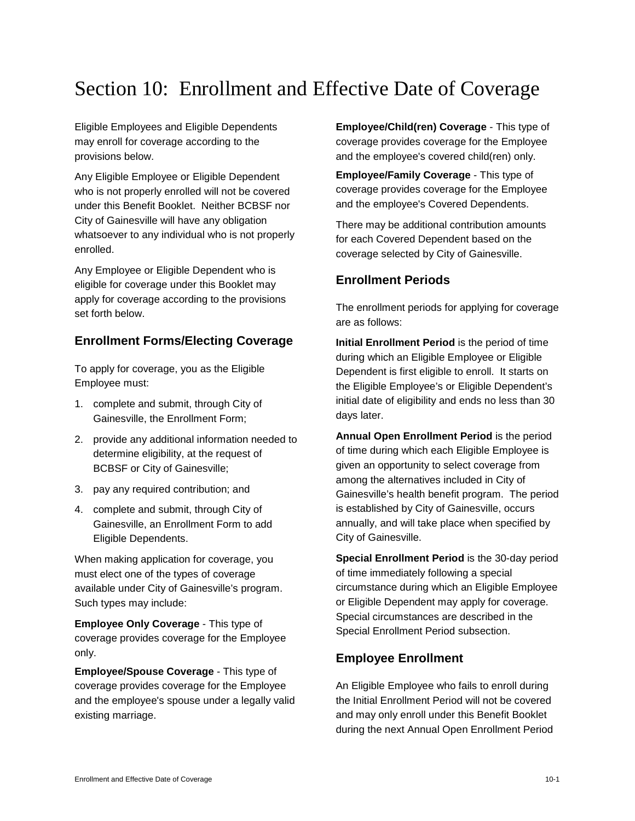# Section 10: Enrollment and Effective Date of Coverage

Eligible Employees and Eligible Dependents may enroll for coverage according to the provisions below.

Any Eligible Employee or Eligible Dependent who is not properly enrolled will not be covered under this Benefit Booklet. Neither BCBSF nor City of Gainesville will have any obligation whatsoever to any individual who is not properly enrolled.

Any Employee or Eligible Dependent who is eligible for coverage under this Booklet may apply for coverage according to the provisions set forth below.

## **Enrollment Forms/Electing Coverage**

To apply for coverage, you as the Eligible Employee must:

- 1. complete and submit, through City of Gainesville, the Enrollment Form;
- 2. provide any additional information needed to determine eligibility, at the request of BCBSF or City of Gainesville;
- 3. pay any required contribution; and
- 4. complete and submit, through City of Gainesville, an Enrollment Form to add Eligible Dependents.

When making application for coverage, you must elect one of the types of coverage available under City of Gainesville's program. Such types may include:

**Employee Only Coverage** - This type of coverage provides coverage for the Employee only.

**Employee/Spouse Coverage** - This type of coverage provides coverage for the Employee and the employee's spouse under a legally valid existing marriage.

**Employee/Child(ren) Coverage** - This type of coverage provides coverage for the Employee and the employee's covered child(ren) only.

**Employee/Family Coverage** - This type of coverage provides coverage for the Employee and the employee's Covered Dependents.

There may be additional contribution amounts for each Covered Dependent based on the coverage selected by City of Gainesville.

### **Enrollment Periods**

The enrollment periods for applying for coverage are as follows:

**Initial Enrollment Period** is the period of time during which an Eligible Employee or Eligible Dependent is first eligible to enroll. It starts on the Eligible Employee's or Eligible Dependent's initial date of eligibility and ends no less than 30 days later.

**Annual Open Enrollment Period** is the period of time during which each Eligible Employee is given an opportunity to select coverage from among the alternatives included in City of Gainesville's health benefit program. The period is established by City of Gainesville, occurs annually, and will take place when specified by City of Gainesville.

**Special Enrollment Period** is the 30-day period of time immediately following a special circumstance during which an Eligible Employee or Eligible Dependent may apply for coverage. Special circumstances are described in the Special Enrollment Period subsection.

## **Employee Enrollment**

An Eligible Employee who fails to enroll during the Initial Enrollment Period will not be covered and may only enroll under this Benefit Booklet during the next Annual Open Enrollment Period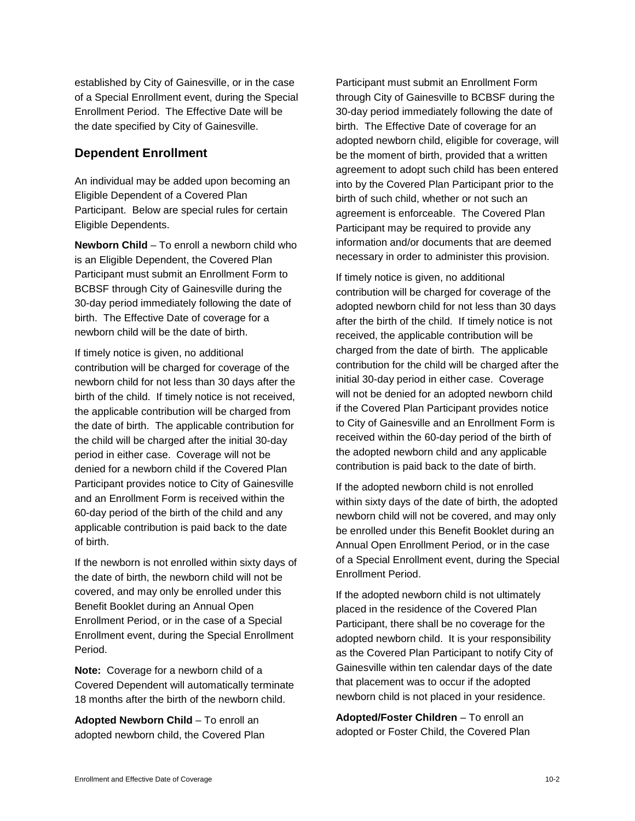established by City of Gainesville, or in the case of a Special Enrollment event, during the Special Enrollment Period. The Effective Date will be the date specified by City of Gainesville.

### **Dependent Enrollment**

An individual may be added upon becoming an Eligible Dependent of a Covered Plan Participant. Below are special rules for certain Eligible Dependents.

**Newborn Child** – To enroll a newborn child who is an Eligible Dependent, the Covered Plan Participant must submit an Enrollment Form to BCBSF through City of Gainesville during the 30-day period immediately following the date of birth. The Effective Date of coverage for a newborn child will be the date of birth.

If timely notice is given, no additional contribution will be charged for coverage of the newborn child for not less than 30 days after the birth of the child. If timely notice is not received, the applicable contribution will be charged from the date of birth. The applicable contribution for the child will be charged after the initial 30-day period in either case. Coverage will not be denied for a newborn child if the Covered Plan Participant provides notice to City of Gainesville and an Enrollment Form is received within the 60-day period of the birth of the child and any applicable contribution is paid back to the date of birth.

If the newborn is not enrolled within sixty days of the date of birth, the newborn child will not be covered, and may only be enrolled under this Benefit Booklet during an Annual Open Enrollment Period, or in the case of a Special Enrollment event, during the Special Enrollment Period.

**Note:** Coverage for a newborn child of a Covered Dependent will automatically terminate 18 months after the birth of the newborn child.

**Adopted Newborn Child** – To enroll an adopted newborn child, the Covered Plan

Participant must submit an Enrollment Form through City of Gainesville to BCBSF during the 30-day period immediately following the date of birth. The Effective Date of coverage for an adopted newborn child, eligible for coverage, will be the moment of birth, provided that a written agreement to adopt such child has been entered into by the Covered Plan Participant prior to the birth of such child, whether or not such an agreement is enforceable. The Covered Plan Participant may be required to provide any information and/or documents that are deemed necessary in order to administer this provision.

If timely notice is given, no additional contribution will be charged for coverage of the adopted newborn child for not less than 30 days after the birth of the child. If timely notice is not received, the applicable contribution will be charged from the date of birth. The applicable contribution for the child will be charged after the initial 30-day period in either case. Coverage will not be denied for an adopted newborn child if the Covered Plan Participant provides notice to City of Gainesville and an Enrollment Form is received within the 60-day period of the birth of the adopted newborn child and any applicable contribution is paid back to the date of birth.

If the adopted newborn child is not enrolled within sixty days of the date of birth, the adopted newborn child will not be covered, and may only be enrolled under this Benefit Booklet during an Annual Open Enrollment Period, or in the case of a Special Enrollment event, during the Special Enrollment Period.

If the adopted newborn child is not ultimately placed in the residence of the Covered Plan Participant, there shall be no coverage for the adopted newborn child. It is your responsibility as the Covered Plan Participant to notify City of Gainesville within ten calendar days of the date that placement was to occur if the adopted newborn child is not placed in your residence.

**Adopted/Foster Children** – To enroll an adopted or Foster Child, the Covered Plan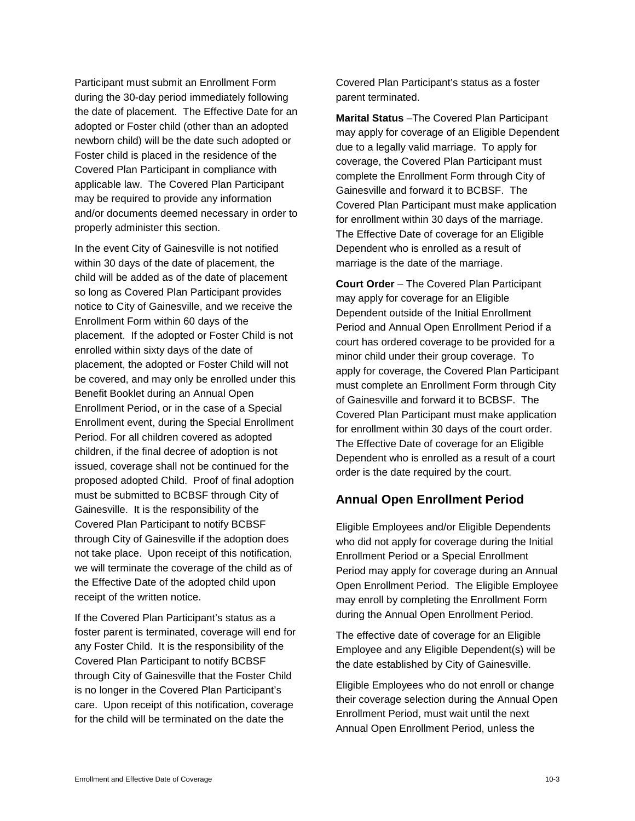Participant must submit an Enrollment Form during the 30-day period immediately following the date of placement. The Effective Date for an adopted or Foster child (other than an adopted newborn child) will be the date such adopted or Foster child is placed in the residence of the Covered Plan Participant in compliance with applicable law. The Covered Plan Participant may be required to provide any information and/or documents deemed necessary in order to properly administer this section.

In the event City of Gainesville is not notified within 30 days of the date of placement, the child will be added as of the date of placement so long as Covered Plan Participant provides notice to City of Gainesville, and we receive the Enrollment Form within 60 days of the placement. If the adopted or Foster Child is not enrolled within sixty days of the date of placement, the adopted or Foster Child will not be covered, and may only be enrolled under this Benefit Booklet during an Annual Open Enrollment Period, or in the case of a Special Enrollment event, during the Special Enrollment Period. For all children covered as adopted children, if the final decree of adoption is not issued, coverage shall not be continued for the proposed adopted Child. Proof of final adoption must be submitted to BCBSF through City of Gainesville. It is the responsibility of the Covered Plan Participant to notify BCBSF through City of Gainesville if the adoption does not take place. Upon receipt of this notification, we will terminate the coverage of the child as of the Effective Date of the adopted child upon receipt of the written notice.

If the Covered Plan Participant's status as a foster parent is terminated, coverage will end for any Foster Child. It is the responsibility of the Covered Plan Participant to notify BCBSF through City of Gainesville that the Foster Child is no longer in the Covered Plan Participant's care. Upon receipt of this notification, coverage for the child will be terminated on the date the

Covered Plan Participant's status as a foster parent terminated.

**Marital Status** –The Covered Plan Participant may apply for coverage of an Eligible Dependent due to a legally valid marriage. To apply for coverage, the Covered Plan Participant must complete the Enrollment Form through City of Gainesville and forward it to BCBSF. The Covered Plan Participant must make application for enrollment within 30 days of the marriage. The Effective Date of coverage for an Eligible Dependent who is enrolled as a result of marriage is the date of the marriage.

**Court Order** – The Covered Plan Participant may apply for coverage for an Eligible Dependent outside of the Initial Enrollment Period and Annual Open Enrollment Period if a court has ordered coverage to be provided for a minor child under their group coverage. To apply for coverage, the Covered Plan Participant must complete an Enrollment Form through City of Gainesville and forward it to BCBSF. The Covered Plan Participant must make application for enrollment within 30 days of the court order. The Effective Date of coverage for an Eligible Dependent who is enrolled as a result of a court order is the date required by the court.

#### **Annual Open Enrollment Period**

Eligible Employees and/or Eligible Dependents who did not apply for coverage during the Initial Enrollment Period or a Special Enrollment Period may apply for coverage during an Annual Open Enrollment Period. The Eligible Employee may enroll by completing the Enrollment Form during the Annual Open Enrollment Period.

The effective date of coverage for an Eligible Employee and any Eligible Dependent(s) will be the date established by City of Gainesville.

Eligible Employees who do not enroll or change their coverage selection during the Annual Open Enrollment Period, must wait until the next Annual Open Enrollment Period, unless the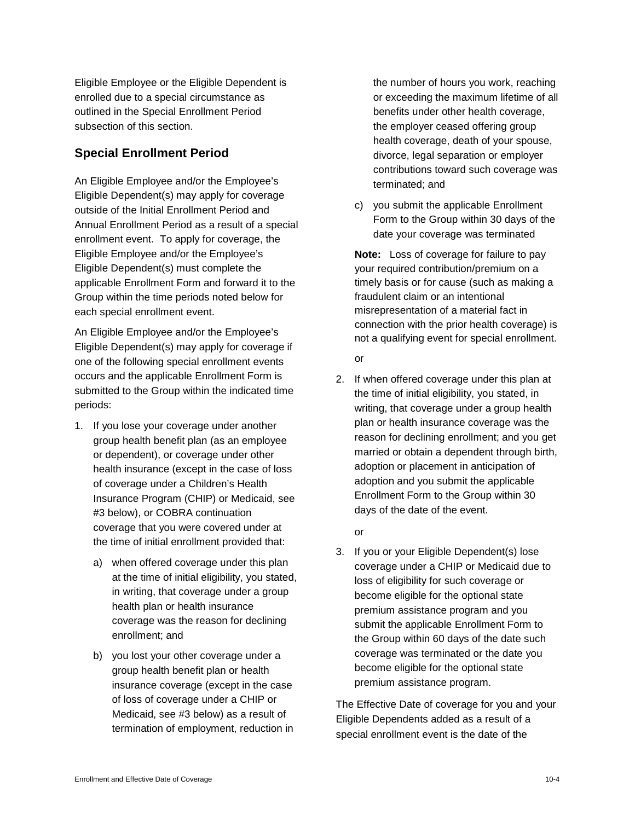Eligible Employee or the Eligible Dependent is enrolled due to a special circumstance as outlined in the Special Enrollment Period subsection of this section.

## **Special Enrollment Period**

An Eligible Employee and/or the Employee's Eligible Dependent(s) may apply for coverage outside of the Initial Enrollment Period and Annual Enrollment Period as a result of a special enrollment event. To apply for coverage, the Eligible Employee and/or the Employee's Eligible Dependent(s) must complete the applicable Enrollment Form and forward it to the Group within the time periods noted below for each special enrollment event.

An Eligible Employee and/or the Employee's Eligible Dependent(s) may apply for coverage if one of the following special enrollment events occurs and the applicable Enrollment Form is submitted to the Group within the indicated time periods:

- 1. If you lose your coverage under another group health benefit plan (as an employee or dependent), or coverage under other health insurance (except in the case of loss of coverage under a Children's Health Insurance Program (CHIP) or Medicaid, see #3 below), or COBRA continuation coverage that you were covered under at the time of initial enrollment provided that:
	- a) when offered coverage under this plan at the time of initial eligibility, you stated, in writing, that coverage under a group health plan or health insurance coverage was the reason for declining enrollment; and
	- b) you lost your other coverage under a group health benefit plan or health insurance coverage (except in the case of loss of coverage under a CHIP or Medicaid, see #3 below) as a result of termination of employment, reduction in

the number of hours you work, reaching or exceeding the maximum lifetime of all benefits under other health coverage, the employer ceased offering group health coverage, death of your spouse, divorce, legal separation or employer contributions toward such coverage was terminated; and

c) you submit the applicable Enrollment Form to the Group within 30 days of the date your coverage was terminated

**Note:** Loss of coverage for failure to pay your required contribution/premium on a timely basis or for cause (such as making a fraudulent claim or an intentional misrepresentation of a material fact in connection with the prior health coverage) is not a qualifying event for special enrollment.

- or
- 2. If when offered coverage under this plan at the time of initial eligibility, you stated, in writing, that coverage under a group health plan or health insurance coverage was the reason for declining enrollment; and you get married or obtain a dependent through birth, adoption or placement in anticipation of adoption and you submit the applicable Enrollment Form to the Group within 30 days of the date of the event.

or

3. If you or your Eligible Dependent(s) lose coverage under a CHIP or Medicaid due to loss of eligibility for such coverage or become eligible for the optional state premium assistance program and you submit the applicable Enrollment Form to the Group within 60 days of the date such coverage was terminated or the date you become eligible for the optional state premium assistance program.

The Effective Date of coverage for you and your Eligible Dependents added as a result of a special enrollment event is the date of the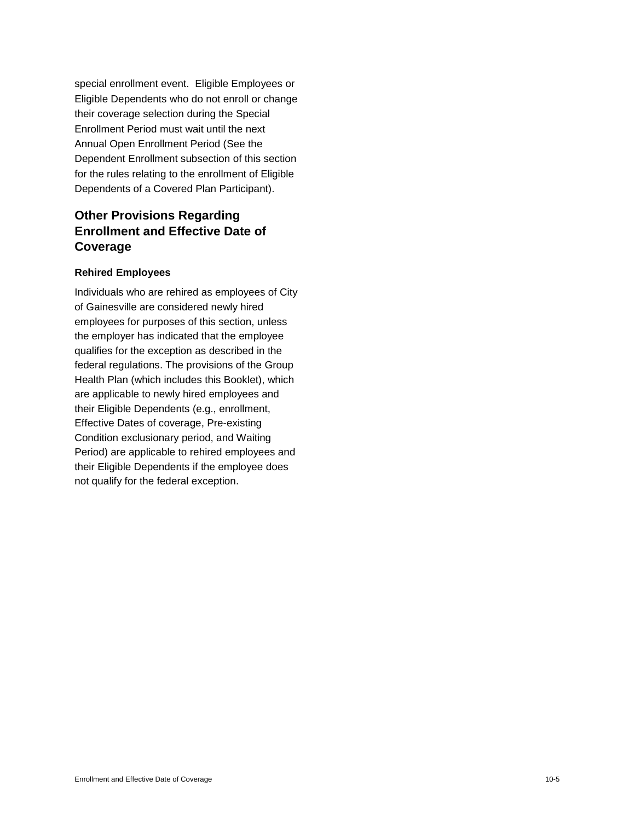special enrollment event. Eligible Employees or Eligible Dependents who do not enroll or change their coverage selection during the Special Enrollment Period must wait until the next Annual Open Enrollment Period (See the Dependent Enrollment subsection of this section for the rules relating to the enrollment of Eligible Dependents of a Covered Plan Participant).

# **Other Provisions Regarding Enrollment and Effective Date of Coverage**

#### **Rehired Employees**

Individuals who are rehired as employees of City of Gainesville are considered newly hired employees for purposes of this section, unless the employer has indicated that the employee qualifies for the exception as described in the federal regulations. The provisions of the Group Health Plan (which includes this Booklet), which are applicable to newly hired employees and their Eligible Dependents (e.g., enrollment, Effective Dates of coverage, Pre-existing Condition exclusionary period, and Waiting Period) are applicable to rehired employees and their Eligible Dependents if the employee does not qualify for the federal exception.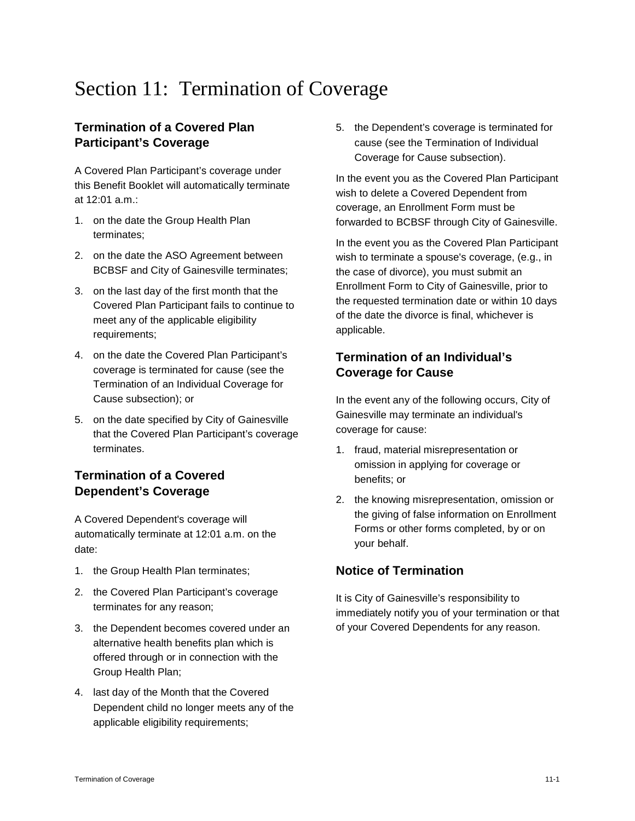# Section 11: Termination of Coverage

# **Termination of a Covered Plan Participant's Coverage**

A Covered Plan Participant's coverage under this Benefit Booklet will automatically terminate at 12:01 a.m.:

- 1. on the date the Group Health Plan terminates;
- 2. on the date the ASO Agreement between BCBSF and City of Gainesville terminates;
- 3. on the last day of the first month that the Covered Plan Participant fails to continue to meet any of the applicable eligibility requirements;
- 4. on the date the Covered Plan Participant's coverage is terminated for cause (see the Termination of an Individual Coverage for Cause subsection); or
- 5. on the date specified by City of Gainesville that the Covered Plan Participant's coverage terminates.

# **Termination of a Covered Dependent's Coverage**

A Covered Dependent's coverage will automatically terminate at 12:01 a.m. on the date:

- 1. the Group Health Plan terminates;
- 2. the Covered Plan Participant's coverage terminates for any reason;
- 3. the Dependent becomes covered under an alternative health benefits plan which is offered through or in connection with the Group Health Plan;
- 4. last day of the Month that the Covered Dependent child no longer meets any of the applicable eligibility requirements;

5. the Dependent's coverage is terminated for cause (see the Termination of Individual Coverage for Cause subsection).

In the event you as the Covered Plan Participant wish to delete a Covered Dependent from coverage, an Enrollment Form must be forwarded to BCBSF through City of Gainesville.

In the event you as the Covered Plan Participant wish to terminate a spouse's coverage, (e.g., in the case of divorce), you must submit an Enrollment Form to City of Gainesville, prior to the requested termination date or within 10 days of the date the divorce is final, whichever is applicable.

# **Termination of an Individual's Coverage for Cause**

In the event any of the following occurs, City of Gainesville may terminate an individual's coverage for cause:

- 1. fraud, material misrepresentation or omission in applying for coverage or benefits; or
- 2. the knowing misrepresentation, omission or the giving of false information on Enrollment Forms or other forms completed, by or on your behalf.

# **Notice of Termination**

It is City of Gainesville's responsibility to immediately notify you of your termination or that of your Covered Dependents for any reason.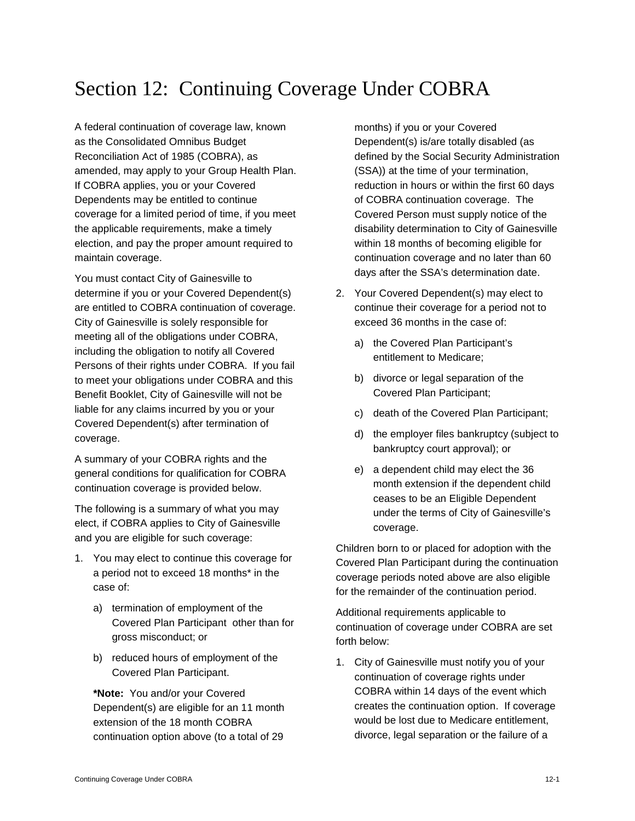# Section 12: Continuing Coverage Under COBRA

A federal continuation of coverage law, known as the Consolidated Omnibus Budget Reconciliation Act of 1985 (COBRA), as amended, may apply to your Group Health Plan. If COBRA applies, you or your Covered Dependents may be entitled to continue coverage for a limited period of time, if you meet the applicable requirements, make a timely election, and pay the proper amount required to maintain coverage.

You must contact City of Gainesville to determine if you or your Covered Dependent(s) are entitled to COBRA continuation of coverage. City of Gainesville is solely responsible for meeting all of the obligations under COBRA, including the obligation to notify all Covered Persons of their rights under COBRA. If you fail to meet your obligations under COBRA and this Benefit Booklet, City of Gainesville will not be liable for any claims incurred by you or your Covered Dependent(s) after termination of coverage.

A summary of your COBRA rights and the general conditions for qualification for COBRA continuation coverage is provided below.

The following is a summary of what you may elect, if COBRA applies to City of Gainesville and you are eligible for such coverage:

- 1. You may elect to continue this coverage for a period not to exceed 18 months\* in the case of:
	- a) termination of employment of the Covered Plan Participant other than for gross misconduct; or
	- b) reduced hours of employment of the Covered Plan Participant.

**\*Note:** You and/or your Covered Dependent(s) are eligible for an 11 month extension of the 18 month COBRA continuation option above (to a total of 29

months) if you or your Covered Dependent(s) is/are totally disabled (as defined by the Social Security Administration (SSA)) at the time of your termination, reduction in hours or within the first 60 days of COBRA continuation coverage. The Covered Person must supply notice of the disability determination to City of Gainesville within 18 months of becoming eligible for continuation coverage and no later than 60 days after the SSA's determination date.

- 2. Your Covered Dependent(s) may elect to continue their coverage for a period not to exceed 36 months in the case of:
	- a) the Covered Plan Participant's entitlement to Medicare;
	- b) divorce or legal separation of the Covered Plan Participant;
	- c) death of the Covered Plan Participant;
	- d) the employer files bankruptcy (subject to bankruptcy court approval); or
	- e) a dependent child may elect the 36 month extension if the dependent child ceases to be an Eligible Dependent under the terms of City of Gainesville's coverage.

Children born to or placed for adoption with the Covered Plan Participant during the continuation coverage periods noted above are also eligible for the remainder of the continuation period.

Additional requirements applicable to continuation of coverage under COBRA are set forth below:

1. City of Gainesville must notify you of your continuation of coverage rights under COBRA within 14 days of the event which creates the continuation option. If coverage would be lost due to Medicare entitlement, divorce, legal separation or the failure of a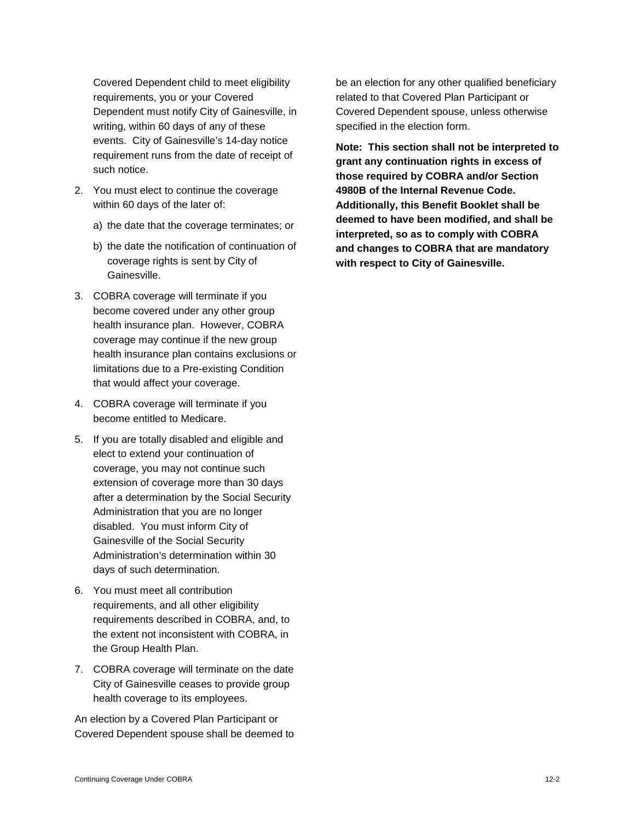Covered Dependent child to meet eligibility requirements, you or your Covered Dependent must notify City of Gainesville, in writing, within 60 days of any of these events. City of Gainesville's 14-day notice requirement runs from the date of receipt of such notice.

- 2. You must elect to continue the coverage within 60 days of the later of:
	- a) the date that the coverage terminates; or
	- b) the date the notification of continuation of coverage rights is sent by City of Gainesville.
- 3. COBRA coverage will terminate if you become covered under any other group health insurance plan. However, COBRA coverage may continue if the new group health insurance plan contains exclusions or limitations due to a Pre-existing Condition that would affect your coverage.
- 4. COBRA coverage will terminate if you become entitled to Medicare.
- 5. If you are totally disabled and eligible and elect to extend your continuation of coverage, you may not continue such extension of coverage more than 30 days after a determination by the Social Security Administration that you are no longer disabled. You must inform City of Gainesville of the Social Security Administration's determination within 30 days of such determination.
- 6. You must meet all contribution requirements, and all other eligibility requirements described in COBRA, and, to the extent not inconsistent with COBRA, in the Group Health Plan.
- 7. COBRA coverage will terminate on the date City of Gainesville ceases to provide group health coverage to its employees.

An election by a Covered Plan Participant or Covered Dependent spouse shall be deemed to be an election for any other qualified beneficiary related to that Covered Plan Participant or Covered Dependent spouse, unless otherwise specified in the election form.

**Note: This section shall not be interpreted to grant any continuation rights in excess of those required by COBRA and/or Section 4980B of the Internal Revenue Code. Additionally, this Benefit Booklet shall be deemed to have been modified, and shall be interpreted, so as to comply with COBRA and changes to COBRA that are mandatory with respect to City of Gainesville.**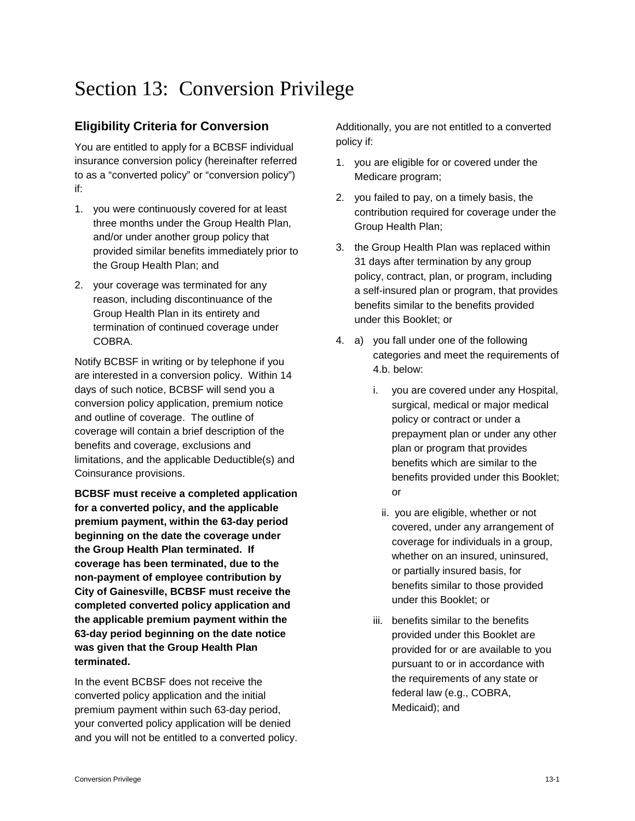# Section 13: Conversion Privilege

# **Eligibility Criteria for Conversion**

You are entitled to apply for a BCBSF individual insurance conversion policy (hereinafter referred to as a "converted policy" or "conversion policy") if:

- 1. you were continuously covered for at least three months under the Group Health Plan, and/or under another group policy that provided similar benefits immediately prior to the Group Health Plan; and
- 2. your coverage was terminated for any reason, including discontinuance of the Group Health Plan in its entirety and termination of continued coverage under COBRA.

Notify BCBSF in writing or by telephone if you are interested in a conversion policy. Within 14 days of such notice, BCBSF will send you a conversion policy application, premium notice and outline of coverage. The outline of coverage will contain a brief description of the benefits and coverage, exclusions and limitations, and the applicable Deductible(s) and Coinsurance provisions.

**BCBSF must receive a completed application for a converted policy, and the applicable premium payment, within the 63-day period beginning on the date the coverage under the Group Health Plan terminated. If coverage has been terminated, due to the non-payment of employee contribution by City of Gainesville, BCBSF must receive the completed converted policy application and the applicable premium payment within the 63-day period beginning on the date notice was given that the Group Health Plan terminated.**

In the event BCBSF does not receive the converted policy application and the initial premium payment within such 63-day period, your converted policy application will be denied and you will not be entitled to a converted policy. Additionally, you are not entitled to a converted policy if:

- 1. you are eligible for or covered under the Medicare program;
- 2. you failed to pay, on a timely basis, the contribution required for coverage under the Group Health Plan;
- 3. the Group Health Plan was replaced within 31 days after termination by any group policy, contract, plan, or program, including a self-insured plan or program, that provides benefits similar to the benefits provided under this Booklet; or
- 4. a) you fall under one of the following categories and meet the requirements of 4.b. below:
	- i. you are covered under any Hospital, surgical, medical or major medical policy or contract or under a prepayment plan or under any other plan or program that provides benefits which are similar to the benefits provided under this Booklet; or
		- ii. you are eligible, whether or not covered, under any arrangement of coverage for individuals in a group, whether on an insured, uninsured, or partially insured basis, for benefits similar to those provided under this Booklet; or
		- iii. benefits similar to the benefits provided under this Booklet are provided for or are available to you pursuant to or in accordance with the requirements of any state or federal law (e.g., COBRA, Medicaid); and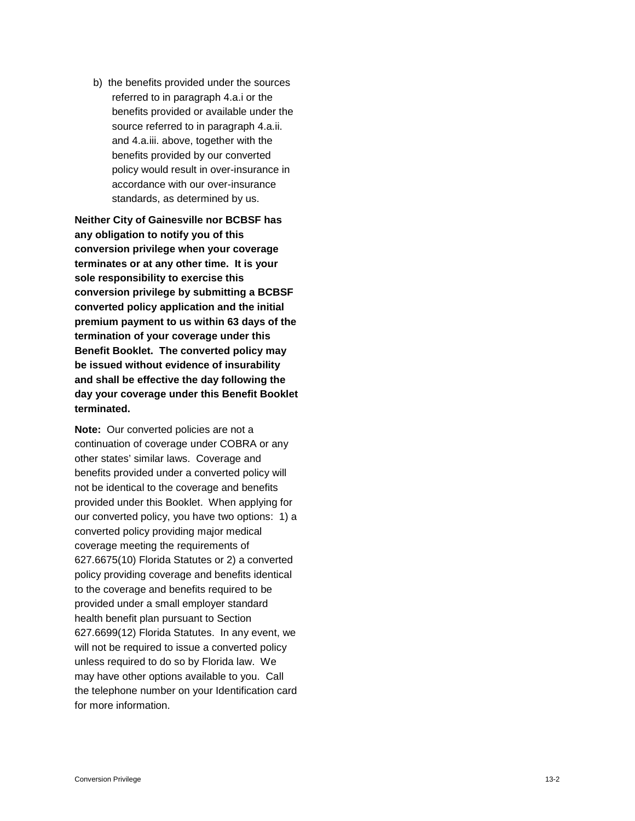b) the benefits provided under the sources referred to in paragraph 4.a.i or the benefits provided or available under the source referred to in paragraph 4.a.ii. and 4.a.iii. above, together with the benefits provided by our converted policy would result in over -insurance in accordance with our over -insurance standards, as determined by us.

**Neither City of Gainesville nor BCBSF has any obligation to notify you of this conversion privilege when your coverage terminates or at any other time. It is your sole responsibility to exercise this conversion privilege by submitting a BCBSF converted policy application and the initial premium payment to us within 63 days of the termination of your coverage under this Benefit Booklet. The converted policy may be issued without evidence of insurability and shall be effective the day following the day your coverage under this Benefit Booklet terminated.**

**Note:** Our converted policies are not a continuation of coverage under COBRA or any other states' similar laws. Coverage and benefits provided under a converted policy will not be identical to the coverage and benefits provided under this Booklet. When applying for our converted policy, you have two options: 1) a converted policy providing major medical coverage meeting the requirements of 627.6675(10) Florida Statutes or 2) a converted policy providing coverage and benefits identical to the coverage and benefits required to be provided under a small employer standard health benefit plan pursuant to Section 627.6699(12) Florida Statutes. In any event, we will not be required to issue a converted policy unless required to do so by Florida law. We may have other options available to you. Call the telephone number on your Identification card for more information.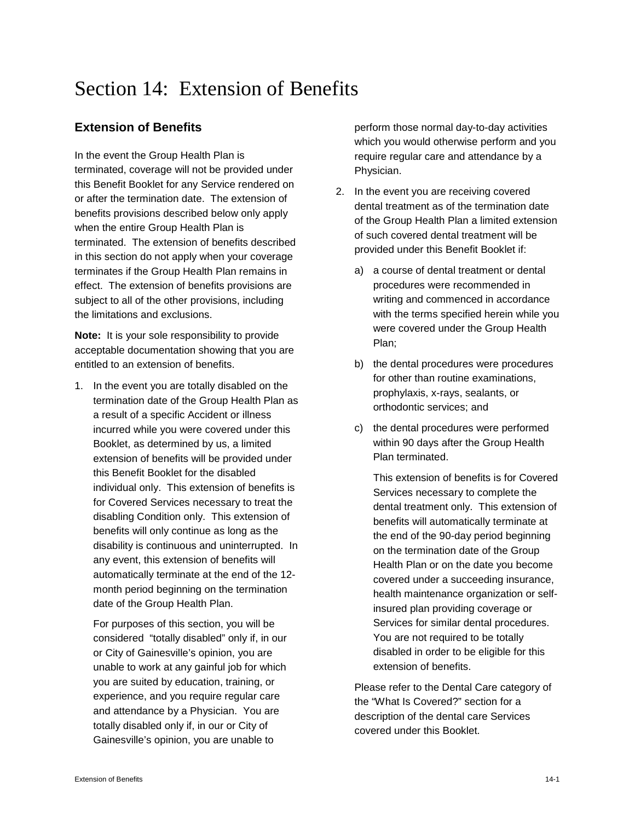# Section 14: Extension of Benefits

# **Extension of Benefits**

In the event the Group Health Plan is terminated, coverage will not be provided under this Benefit Booklet for any Service rendered on or after the termination date. The extension of benefits provisions described below only apply when the entire Group Health Plan is terminated. The extension of benefits described in this section do not apply when your coverage terminates if the Group Health Plan remains in effect. The extension of benefits provisions are subject to all of the other provisions, including the limitations and exclusions.

**Note:** It is your sole responsibility to provide acceptable documentation showing that you are entitled to an extension of benefits.

1. In the event you are totally disabled on the termination date of the Group Health Plan as a result of a specific Accident or illness incurred while you were covered under this Booklet, as determined by us, a limited extension of benefits will be provided under this Benefit Booklet for the disabled individual only. This extension of benefits is for Covered Services necessary to treat the disabling Condition only. This extension of benefits will only continue as long as the disability is continuous and uninterrupted. In any event, this extension of benefits will automatically terminate at the end of the 12 month period beginning on the termination date of the Group Health Plan.

For purposes of this section, you will be considered "totally disabled" only if, in our or City of Gainesville's opinion, you are unable to work at any gainful job for which you are suited by education, training, or experience, and you require regular care and attendance by a Physician. You are totally disabled only if, in our or City of Gainesville's opinion, you are unable to

perform those normal day-to-day activities which you would otherwise perform and you require regular care and attendance by a Physician.

- 2. In the event you are receiving covered dental treatment as of the termination date of the Group Health Plan a limited extension of such covered dental treatment will be provided under this Benefit Booklet if:
	- a) a course of dental treatment or dental procedures were recommended in writing and commenced in accordance with the terms specified herein while you were covered under the Group Health Plan;
	- b) the dental procedures were procedures for other than routine examinations, prophylaxis, x-rays, sealants, or orthodontic services; and
	- c) the dental procedures were performed within 90 days after the Group Health Plan terminated.

This extension of benefits is for Covered Services necessary to complete the dental treatment only. This extension of benefits will automatically terminate at the end of the 90-day period beginning on the termination date of the Group Health Plan or on the date you become covered under a succeeding insurance, health maintenance organization or selfinsured plan providing coverage or Services for similar dental procedures. You are not required to be totally disabled in order to be eligible for this extension of benefits.

Please refer to the Dental Care category of the "What Is Covered?" section for a description of the dental care Services covered under this Booklet.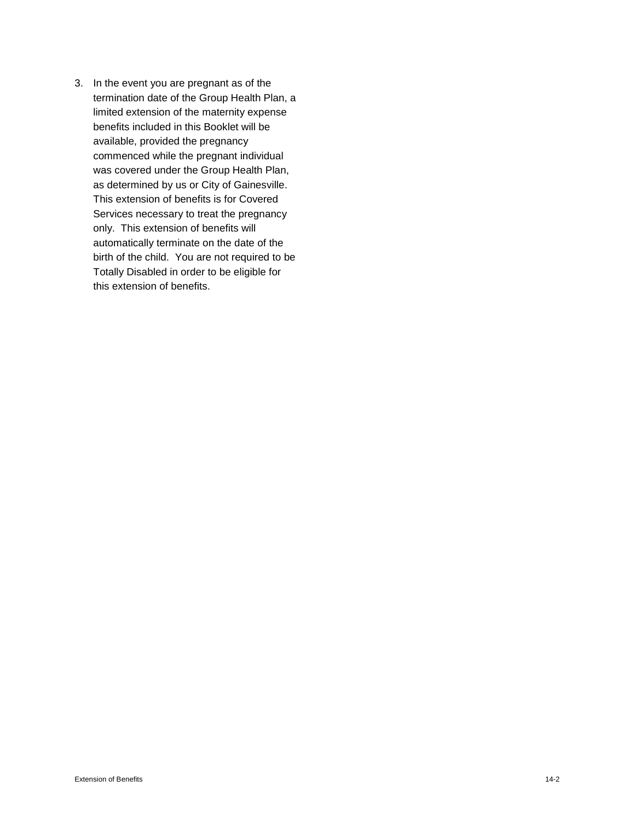3. In the event you are pregnant as of the termination date of the Group Health Plan, a limited extension of the maternity expense benefits included in this Booklet will be available, provided the pregnancy commenced while the pregnant individual was covered under the Group Health Plan, as determined by us or City of Gainesville. This extension of benefits is for Covered Services necessary to treat the pregnancy only. This extension of benefits will automatically terminate on the date of the birth of the child. You are not required to be Totally Disabled in order to be eligible for this extension of benefits.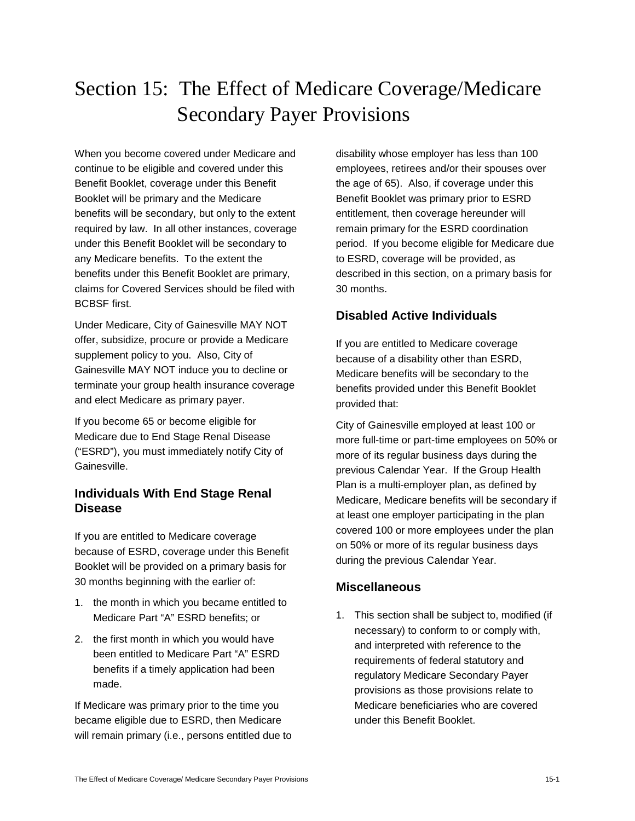# Section 15: The Effect of Medicare Coverage/Medicare Secondary Payer Provisions

When you become covered under Medicare and continue to be eligible and covered under this Benefit Booklet, coverage under this Benefit Booklet will be primary and the Medicare benefits will be secondary, but only to the extent required by law. In all other instances, coverage under this Benefit Booklet will be secondary to any Medicare benefits. To the extent the benefits under this Benefit Booklet are primary, claims for Covered Services should be filed with BCBSF first.

Under Medicare, City of Gainesville MAY NOT offer, subsidize, procure or provide a Medicare supplement policy to you. Also, City of Gainesville MAY NOT induce you to decline or terminate your group health insurance coverage and elect Medicare as primary payer.

If you become 65 or become eligible for Medicare due to End Stage Renal Disease ("ESRD"), you must immediately notify City of Gainesville.

# **Individuals With End Stage Renal Disease**

If you are entitled to Medicare coverage because of ESRD, coverage under this Benefit Booklet will be provided on a primary basis for 30 months beginning with the earlier of:

- 1. the month in which you became entitled to Medicare Part "A" ESRD benefits; or
- 2. the first month in which you would have been entitled to Medicare Part "A" ESRD benefits if a timely application had been made.

If Medicare was primary prior to the time you became eligible due to ESRD, then Medicare will remain primary (i.e., persons entitled due to

disability whose employer has less than 100 employees, retirees and/or their spouses over the age of 65). Also, if coverage under this Benefit Booklet was primary prior to ESRD entitlement, then coverage hereunder will remain primary for the ESRD coordination period. If you become eligible for Medicare due to ESRD, coverage will be provided, as described in this section, on a primary basis for 30 months.

# **Disabled Active Individuals**

If you are entitled to Medicare coverage because of a disability other than ESRD, Medicare benefits will be secondary to the benefits provided under this Benefit Booklet provided that:

City of Gainesville employed at least 100 or more full-time or part-time employees on 50% or more of its regular business days during the previous Calendar Year. If the Group Health Plan is a multi-employer plan, as defined by Medicare, Medicare benefits will be secondary if at least one employer participating in the plan covered 100 or more employees under the plan on 50% or more of its regular business days during the previous Calendar Year.

# **Miscellaneous**

1. This section shall be subject to, modified (if necessary) to conform to or comply with, and interpreted with reference to the requirements of federal statutory and regulatory Medicare Secondary Payer provisions as those provisions relate to Medicare beneficiaries who are covered under this Benefit Booklet.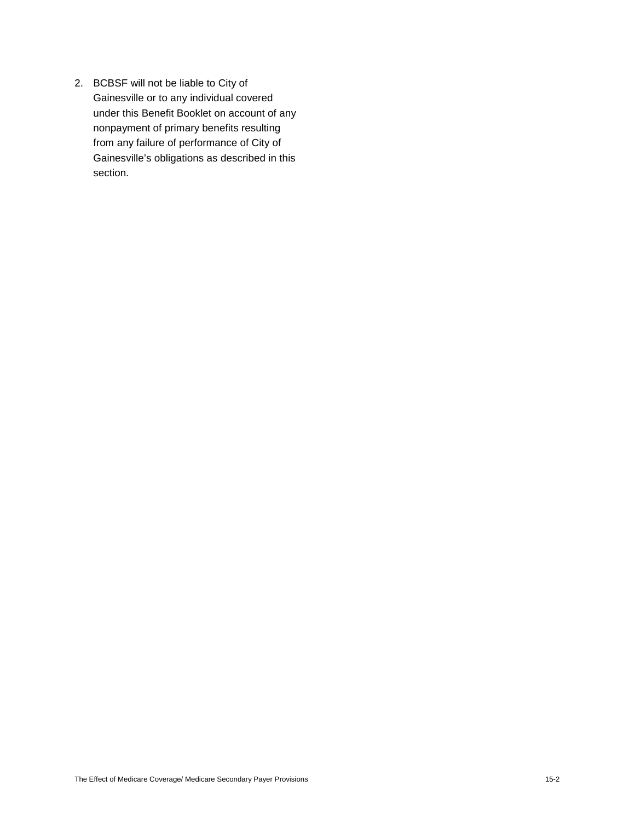2. BCBSF will not be liable to City of Gainesville or to any individual covered under this Benefit Booklet on account of any nonpayment of primary benefits resulting from any failure of performance of City of Gainesville's obligations as described in this section.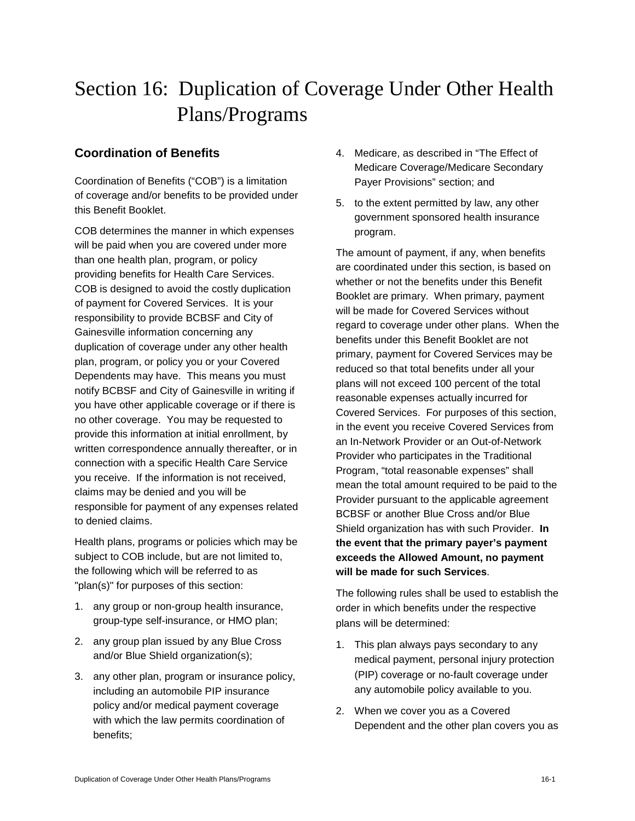# Section 16: Duplication of Coverage Under Other Health Plans/Programs

## **Coordination of Benefits**

Coordination of Benefits ("COB") is a limitation of coverage and/or benefits to be provided under this Benefit Booklet.

COB determines the manner in which expenses will be paid when you are covered under more than one health plan, program, or policy providing benefits for Health Care Services. COB is designed to avoid the costly duplication of payment for Covered Services. It is your responsibility to provide BCBSF and City of Gainesville information concerning any duplication of coverage under any other health plan, program, or policy you or your Covered Dependents may have. This means you must notify BCBSF and City of Gainesville in writing if you have other applicable coverage or if there is no other coverage. You may be requested to provide this information at initial enrollment, by written correspondence annually thereafter, or in connection with a specific Health Care Service you receive. If the information is not received, claims may be denied and you will be responsible for payment of any expenses related to denied claims.

Health plans, programs or policies which may be subject to COB include, but are not limited to, the following which will be referred to as "plan(s)" for purposes of this section:

- 1. any group or non-group health insurance, group-type self-insurance, or HMO plan;
- 2. any group plan issued by any Blue Cross and/or Blue Shield organization(s);
- 3. any other plan, program or insurance policy, including an automobile PIP insurance policy and/or medical payment coverage with which the law permits coordination of benefits;
- 4. Medicare, as described in "The Effect of Medicare Coverage/Medicare Secondary Payer Provisions" section; and
- 5. to the extent permitted by law, any other government sponsored health insurance program.

The amount of payment, if any, when benefits are coordinated under this section, is based on whether or not the benefits under this Benefit Booklet are primary. When primary, payment will be made for Covered Services without regard to coverage under other plans. When the benefits under this Benefit Booklet are not primary, payment for Covered Services may be reduced so that total benefits under all your plans will not exceed 100 percent of the total reasonable expenses actually incurred for Covered Services. For purposes of this section, in the event you receive Covered Services from an In-Network Provider or an Out-of-Network Provider who participates in the Traditional Program, "total reasonable expenses" shall mean the total amount required to be paid to the Provider pursuant to the applicable agreement BCBSF or another Blue Cross and/or Blue Shield organization has with such Provider. **In the event that the primary payer's payment exceeds the Allowed Amount, no payment will be made for such Services**.

The following rules shall be used to establish the order in which benefits under the respective plans will be determined:

- 1. This plan always pays secondary to any medical payment, personal injury protection (PIP) coverage or no-fault coverage under any automobile policy available to you.
- 2. When we cover you as a Covered Dependent and the other plan covers you as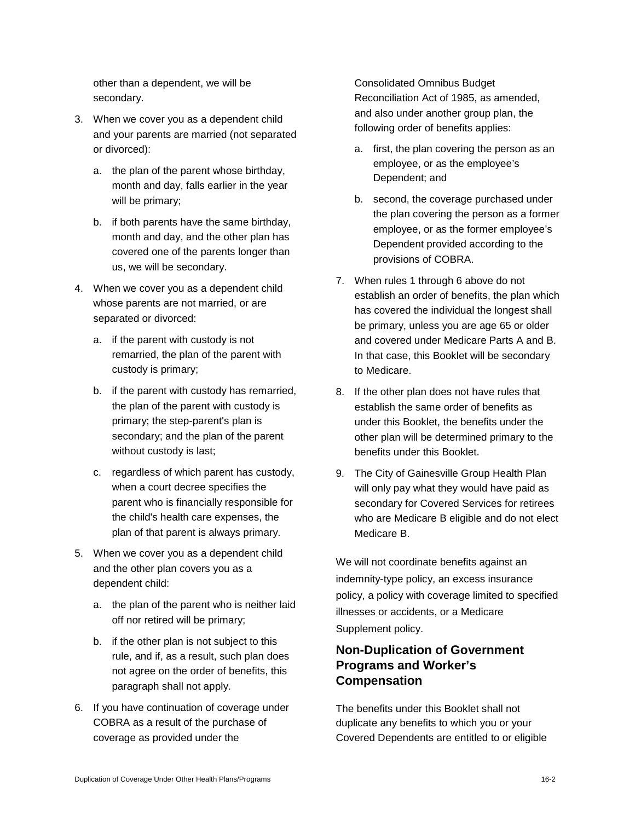other than a dependent, we will be secondary.

- 3. When we cover you as a dependent child and your parents are married (not separated or divorced):
	- a. the plan of the parent whose birthday, month and day, falls earlier in the year will be primary;
	- b. if both parents have the same birthday, month and day, and the other plan has covered one of the parents longer than us, we will be secondary.
- 4. When we cover you as a dependent child whose parents are not married, or are separated or divorced:
	- a. if the parent with custody is not remarried, the plan of the parent with custody is primary;
	- b. if the parent with custody has remarried, the plan of the parent with custody is primary; the step-parent's plan is secondary; and the plan of the parent without custody is last;
	- c. regardless of which parent has custody, when a court decree specifies the parent who is financially responsible for the child's health care expenses, the plan of that parent is always primary.
- 5. When we cover you as a dependent child and the other plan covers you as a dependent child:
	- a. the plan of the parent who is neither laid off nor retired will be primary;
	- b. if the other plan is not subject to this rule, and if, as a result, such plan does not agree on the order of benefits, this paragraph shall not apply.
- 6. If you have continuation of coverage under COBRA as a result of the purchase of coverage as provided under the

Consolidated Omnibus Budget Reconciliation Act of 1985, as amended, and also under another group plan, the following order of benefits applies:

- a. first, the plan covering the person as an employee, or as the employee's Dependent; and
- b. second, the coverage purchased under the plan covering the person as a former employee, or as the former employee's Dependent provided according to the provisions of COBRA.
- 7. When rules 1 through 6 above do not establish an order of benefits, the plan which has covered the individual the longest shall be primary, unless you are age 65 or older and covered under Medicare Parts A and B. In that case, this Booklet will be secondary to Medicare.
- 8. If the other plan does not have rules that establish the same order of benefits as under this Booklet, the benefits under the other plan will be determined primary to the benefits under this Booklet.
- 9. The City of Gainesville Group Health Plan will only pay what they would have paid as secondary for Covered Services for retirees who are Medicare B eligible and do not elect Medicare B.

We will not coordinate benefits against an indemnity-type policy, an excess insurance policy, a policy with coverage limited to specified illnesses or accidents, or a Medicare Supplement policy.

# **Non-Duplication of Government Programs and Worker's Compensation**

The benefits under this Booklet shall not duplicate any benefits to which you or your Covered Dependents are entitled to or eligible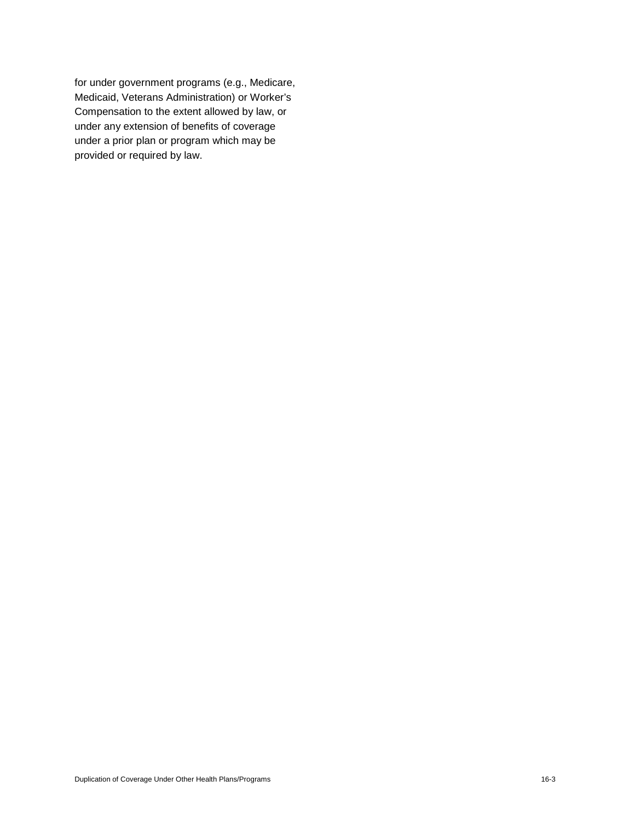for under government programs (e.g., Medicare, Medicaid, Veterans Administration) or Worker's Compensation to the extent allowed by law, or under any extension of benefits of coverage under a prior plan or program which may be provided or required by law.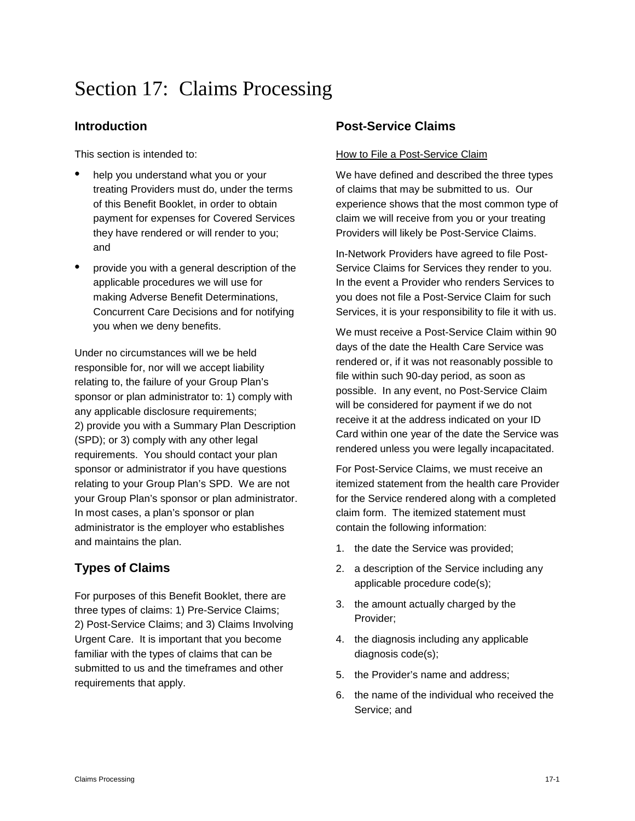# Section 17: Claims Processing

## **Introduction**

This section is intended to:

- help you understand what you or your treating Providers must do, under the terms of this Benefit Booklet, in order to obtain payment for expenses for Covered Services they have rendered or will render to you; and
- provide you with a general description of the applicable procedures we will use for making Adverse Benefit Determinations, Concurrent Care Decisions and for notifying you when we deny benefits.

Under no circumstances will we be held responsible for, nor will we accept liability relating to, the failure of your Group Plan's sponsor or plan administrator to: 1) comply with any applicable disclosure requirements; 2) provide you with a Summary Plan Description (SPD); or 3) comply with any other legal requirements. You should contact your plan sponsor or administrator if you have questions relating to your Group Plan's SPD. We are not your Group Plan's sponsor or plan administrator. In most cases, a plan's sponsor or plan administrator is the employer who establishes and maintains the plan.

# **Types of Claims**

For purposes of this Benefit Booklet, there are three types of claims: 1) Pre-Service Claims; 2) Post-Service Claims; and 3) Claims Involving Urgent Care. It is important that you become familiar with the types of claims that can be submitted to us and the timeframes and other requirements that apply.

# **Post-Service Claims**

#### How to File a Post-Service Claim

We have defined and described the three types of claims that may be submitted to us. Our experience shows that the most common type of claim we will receive from you or your treating Providers will likely be Post-Service Claims.

In-Network Providers have agreed to file Post-Service Claims for Services they render to you. In the event a Provider who renders Services to you does not file a Post-Service Claim for such Services, it is your responsibility to file it with us.

We must receive a Post-Service Claim within 90 days of the date the Health Care Service was rendered or, if it was not reasonably possible to file within such 90-day period, as soon as possible. In any event, no Post-Service Claim will be considered for payment if we do not receive it at the address indicated on your ID Card within one year of the date the Service was rendered unless you were legally incapacitated.

For Post-Service Claims, we must receive an itemized statement from the health care Provider for the Service rendered along with a completed claim form. The itemized statement must contain the following information:

- 1. the date the Service was provided;
- 2. a description of the Service including any applicable procedure code(s);
- 3. the amount actually charged by the Provider;
- 4. the diagnosis including any applicable diagnosis code(s);
- 5. the Provider's name and address;
- 6. the name of the individual who received the Service; and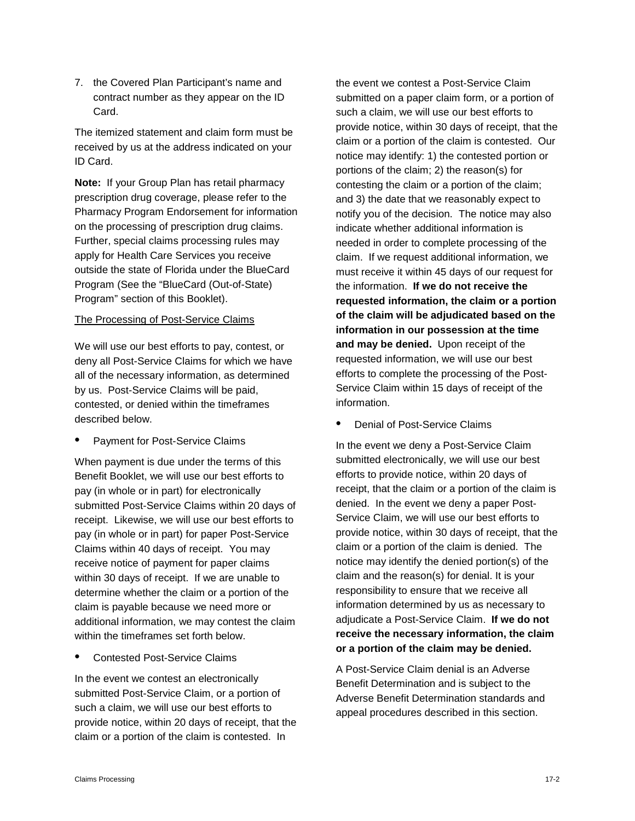7. the Covered Plan Participant's name and contract number as they appear on the ID Card.

The itemized statement and claim form must be received by us at the address indicated on your ID Card.

**Note:** If your Group Plan has retail pharmacy prescription drug coverage, please refer to the Pharmacy Program Endorsement for information on the processing of prescription drug claims. Further, special claims processing rules may apply for Health Care Services you receive outside the state of Florida under the BlueCard Program (See the "BlueCard (Out-of-State) Program" section of this Booklet).

#### The Processing of Post-Service Claims

We will use our best efforts to pay, contest, or deny all Post-Service Claims for which we have all of the necessary information, as determined by us. Post-Service Claims will be paid, contested, or denied within the timeframes described below.

• Payment for Post-Service Claims

When payment is due under the terms of this Benefit Booklet, we will use our best efforts to pay (in whole or in part) for electronically submitted Post-Service Claims within 20 days of receipt. Likewise, we will use our best efforts to pay (in whole or in part) for paper Post-Service Claims within 40 days of receipt. You may receive notice of payment for paper claims within 30 days of receipt. If we are unable to determine whether the claim or a portion of the claim is payable because we need more or additional information, we may contest the claim within the timeframes set forth below.

• Contested Post-Service Claims

In the event we contest an electronically submitted Post-Service Claim, or a portion of such a claim, we will use our best efforts to provide notice, within 20 days of receipt, that the claim or a portion of the claim is contested. In

the event we contest a Post-Service Claim submitted on a paper claim form, or a portion of such a claim, we will use our best efforts to provide notice, within 30 days of receipt, that the claim or a portion of the claim is contested. Our notice may identify: 1) the contested portion or portions of the claim; 2) the reason(s) for contesting the claim or a portion of the claim; and 3) the date that we reasonably expect to notify you of the decision. The notice may also indicate whether additional information is needed in order to complete processing of the claim. If we request additional information, we must receive it within 45 days of our request for the information. **If we do not receive the requested information, the claim or a portion of the claim will be adjudicated based on the information in our possession at the time and may be denied.** Upon receipt of the requested information, we will use our best efforts to complete the processing of the Post-Service Claim within 15 days of receipt of the information.

• Denial of Post-Service Claims

In the event we deny a Post-Service Claim submitted electronically, we will use our best efforts to provide notice, within 20 days of receipt, that the claim or a portion of the claim is denied. In the event we deny a paper Post-Service Claim, we will use our best efforts to provide notice, within 30 days of receipt, that the claim or a portion of the claim is denied. The notice may identify the denied portion(s) of the claim and the reason(s) for denial. It is your responsibility to ensure that we receive all information determined by us as necessary to adjudicate a Post-Service Claim. **If we do not receive the necessary information, the claim or a portion of the claim may be denied.** 

A Post-Service Claim denial is an Adverse Benefit Determination and is subject to the Adverse Benefit Determination standards and appeal procedures described in this section.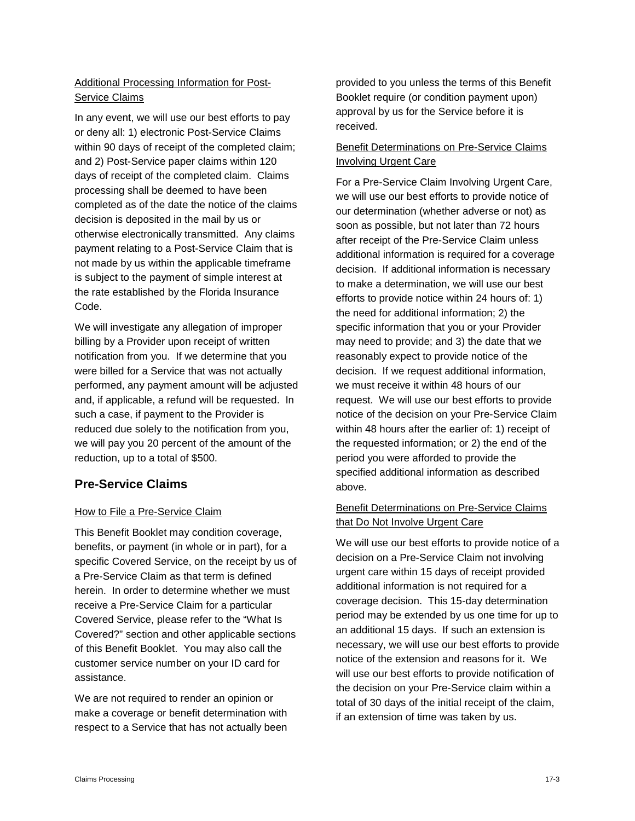## Additional Processing Information for Post-Service Claims

In any event, we will use our best efforts to pay or deny all: 1) electronic Post-Service Claims within 90 days of receipt of the completed claim; and 2) Post-Service paper claims within 120 days of receipt of the completed claim. Claims processing shall be deemed to have been completed as of the date the notice of the claims decision is deposited in the mail by us or otherwise electronically transmitted. Any claims payment relating to a Post-Service Claim that is not made by us within the applicable timeframe is subject to the payment of simple interest at the rate established by the Florida Insurance Code.

We will investigate any allegation of improper billing by a Provider upon receipt of written notification from you. If we determine that you were billed for a Service that was not actually performed, any payment amount will be adjusted and, if applicable, a refund will be requested. In such a case, if payment to the Provider is reduced due solely to the notification from you, we will pay you 20 percent of the amount of the reduction, up to a total of \$500.

# **Pre-Service Claims**

## How to File a Pre-Service Claim

This Benefit Booklet may condition coverage, benefits, or payment (in whole or in part), for a specific Covered Service, on the receipt by us of a Pre-Service Claim as that term is defined herein. In order to determine whether we must receive a Pre-Service Claim for a particular Covered Service, please refer to the "What Is Covered?" section and other applicable sections of this Benefit Booklet. You may also call the customer service number on your ID card for assistance.

We are not required to render an opinion or make a coverage or benefit determination with respect to a Service that has not actually been

provided to you unless the terms of this Benefit Booklet require (or condition payment upon) approval by us for the Service before it is received.

### Benefit Determinations on Pre-Service Claims Involving Urgent Care

For a Pre-Service Claim Involving Urgent Care, we will use our best efforts to provide notice of our determination (whether adverse or not) as soon as possible, but not later than 72 hours after receipt of the Pre-Service Claim unless additional information is required for a coverage decision. If additional information is necessary to make a determination, we will use our best efforts to provide notice within 24 hours of: 1) the need for additional information; 2) the specific information that you or your Provider may need to provide; and 3) the date that we reasonably expect to provide notice of the decision. If we request additional information, we must receive it within 48 hours of our request. We will use our best efforts to provide notice of the decision on your Pre-Service Claim within 48 hours after the earlier of: 1) receipt of the requested information; or 2) the end of the period you were afforded to provide the specified additional information as described above.

## Benefit Determinations on Pre-Service Claims that Do Not Involve Urgent Care

We will use our best efforts to provide notice of a decision on a Pre-Service Claim not involving urgent care within 15 days of receipt provided additional information is not required for a coverage decision. This 15-day determination period may be extended by us one time for up to an additional 15 days. If such an extension is necessary, we will use our best efforts to provide notice of the extension and reasons for it. We will use our best efforts to provide notification of the decision on your Pre-Service claim within a total of 30 days of the initial receipt of the claim, if an extension of time was taken by us.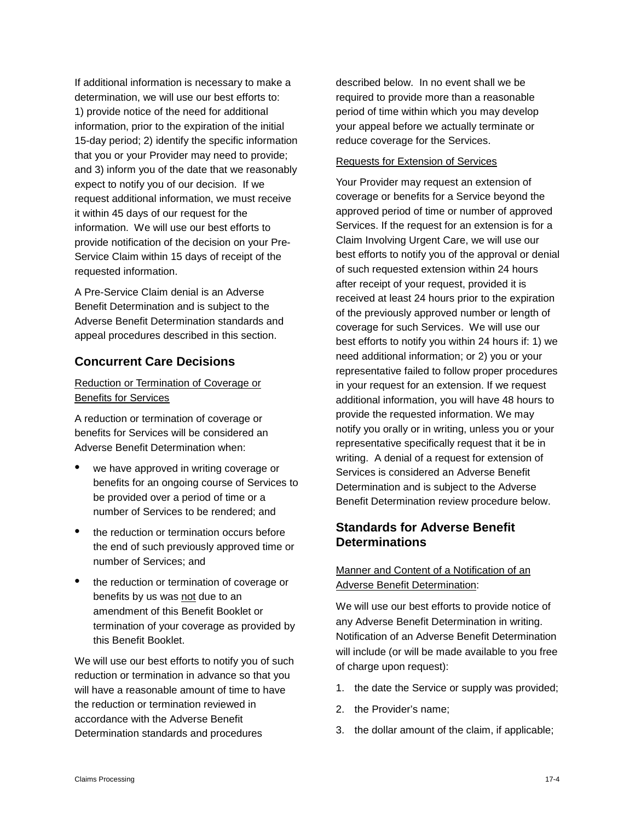If additional information is necessary to make a determination, we will use our best efforts to: 1) provide notice of the need for additional information, prior to the expiration of the initial 15-day period; 2) identify the specific information that you or your Provider may need to provide; and 3) inform you of the date that we reasonably expect to notify you of our decision. If we request additional information, we must receive it within 45 days of our request for the information. We will use our best efforts to provide notification of the decision on your Pre-Service Claim within 15 days of receipt of the requested information.

A Pre-Service Claim denial is an Adverse Benefit Determination and is subject to the Adverse Benefit Determination standards and appeal procedures described in this section.

## **Concurrent Care Decisions**

#### Reduction or Termination of Coverage or Benefits for Services

A reduction or termination of coverage or benefits for Services will be considered an Adverse Benefit Determination when:

- we have approved in writing coverage or benefits for an ongoing course of Services to be provided over a period of time or a number of Services to be rendered; and
- the reduction or termination occurs before the end of such previously approved time or number of Services; and
- the reduction or termination of coverage or benefits by us was not due to an amendment of this Benefit Booklet or termination of your coverage as provided by this Benefit Booklet.

We will use our best efforts to notify you of such reduction or termination in advance so that you will have a reasonable amount of time to have the reduction or termination reviewed in accordance with the Adverse Benefit Determination standards and procedures

described below. In no event shall we be required to provide more than a reasonable period of time within which you may develop your appeal before we actually terminate or reduce coverage for the Services.

#### Requests for Extension of Services

Your Provider may request an extension of coverage or benefits for a Service beyond the approved period of time or number of approved Services. If the request for an extension is for a Claim Involving Urgent Care, we will use our best efforts to notify you of the approval or denial of such requested extension within 24 hours after receipt of your request, provided it is received at least 24 hours prior to the expiration of the previously approved number or length of coverage for such Services. We will use our best efforts to notify you within 24 hours if: 1) we need additional information; or 2) you or your representative failed to follow proper procedures in your request for an extension. If we request additional information, you will have 48 hours to provide the requested information. We may notify you orally or in writing, unless you or your representative specifically request that it be in writing. A denial of a request for extension of Services is considered an Adverse Benefit Determination and is subject to the Adverse Benefit Determination review procedure below.

## **Standards for Adverse Benefit Determinations**

## Manner and Content of a Notification of an Adverse Benefit Determination:

We will use our best efforts to provide notice of any Adverse Benefit Determination in writing. Notification of an Adverse Benefit Determination will include (or will be made available to you free of charge upon request):

- 1. the date the Service or supply was provided;
- 2. the Provider's name;
- 3. the dollar amount of the claim, if applicable;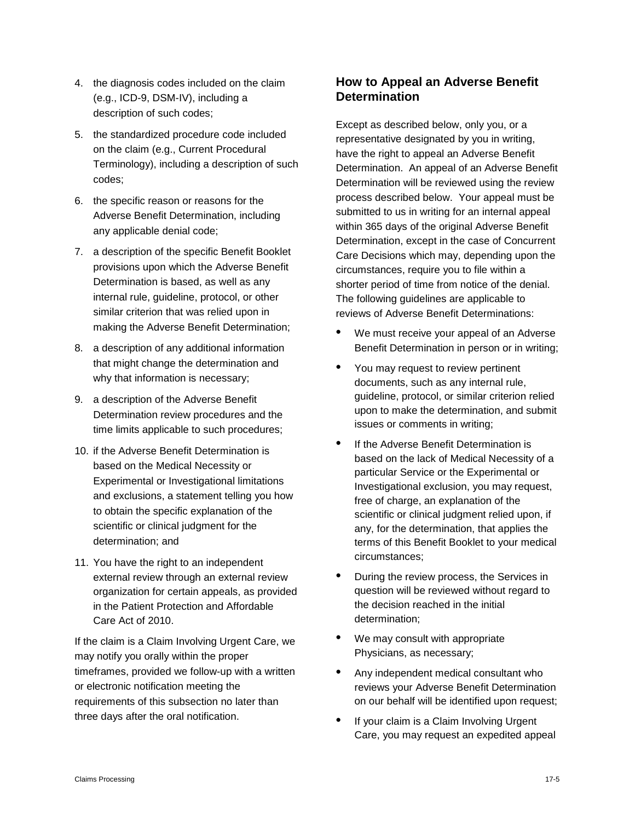- 4. the diagnosis codes included on the claim (e.g., ICD-9, DSM-IV), including a description of such codes;
- 5. the standardized procedure code included on the claim (e.g., Current Procedural Terminology), including a description of such codes;
- 6. the specific reason or reasons for the Adverse Benefit Determination, including any applicable denial code;
- 7. a description of the specific Benefit Booklet provisions upon which the Adverse Benefit Determination is based, as well as any internal rule, guideline, protocol, or other similar criterion that was relied upon in making the Adverse Benefit Determination;
- 8. a description of any additional information that might change the determination and why that information is necessary;
- 9. a description of the Adverse Benefit Determination review procedures and the time limits applicable to such procedures;
- 10. if the Adverse Benefit Determination is based on the Medical Necessity or Experimental or Investigational limitations and exclusions, a statement telling you how to obtain the specific explanation of the scientific or clinical judgment for the determination; and
- 11. You have the right to an independent external review through an external review organization for certain appeals, as provided in the Patient Protection and Affordable Care Act of 2010.

If the claim is a Claim Involving Urgent Care, we may notify you orally within the proper timeframes, provided we follow-up with a written or electronic notification meeting the requirements of this subsection no later than three days after the oral notification.

# **How to Appeal an Adverse Benefit Determination**

Except as described below, only you, or a representative designated by you in writing, have the right to appeal an Adverse Benefit Determination. An appeal of an Adverse Benefit Determination will be reviewed using the review process described below. Your appeal must be submitted to us in writing for an internal appeal within 365 days of the original Adverse Benefit Determination, except in the case of Concurrent Care Decisions which may, depending upon the circumstances, require you to file within a shorter period of time from notice of the denial. The following guidelines are applicable to reviews of Adverse Benefit Determinations:

- We must receive your appeal of an Adverse Benefit Determination in person or in writing;
- You may request to review pertinent documents, such as any internal rule, guideline, protocol, or similar criterion relied upon to make the determination, and submit issues or comments in writing;
- If the Adverse Benefit Determination is based on the lack of Medical Necessity of a particular Service or the Experimental or Investigational exclusion, you may request, free of charge, an explanation of the scientific or clinical judgment relied upon, if any, for the determination, that applies the terms of this Benefit Booklet to your medical circumstances;
- During the review process, the Services in question will be reviewed without regard to the decision reached in the initial determination;
- We may consult with appropriate Physicians, as necessary;
- Any independent medical consultant who reviews your Adverse Benefit Determination on our behalf will be identified upon request;
- If your claim is a Claim Involving Urgent Care, you may request an expedited appeal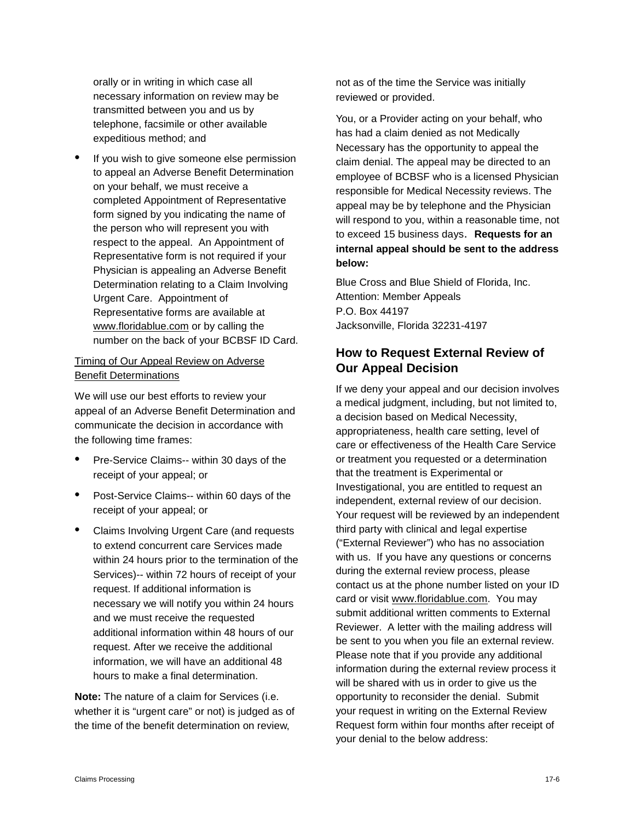orally or in writing in which case all necessary information on review may be transmitted between you and us by telephone, facsimile or other available expeditious method; and

If you wish to give someone else permission to appeal an Adverse Benefit Determination on your behalf, we must receive a completed Appointment of Representative form signed by you indicating the name of the person who will represent you with respect to the appeal. An Appointment of Representative form is not required if your Physician is appealing an Adverse Benefit Determination relating to a Claim Involving Urgent Care. Appointment of Representative forms are available at [www.floridablue.com](http://www.bcbsfl.com/) or by calling the number on the back of your BCBSF ID Card.

#### Timing of Our Appeal Review on Adverse Benefit Determinations

We will use our best efforts to review your appeal of an Adverse Benefit Determination and communicate the decision in accordance with the following time frames:

- Pre-Service Claims-- within 30 days of the receipt of your appeal; or
- Post-Service Claims-- within 60 days of the receipt of your appeal; or
- Claims Involving Urgent Care (and requests to extend concurrent care Services made within 24 hours prior to the termination of the Services)-- within 72 hours of receipt of your request. If additional information is necessary we will notify you within 24 hours and we must receive the requested additional information within 48 hours of our request. After we receive the additional information, we will have an additional 48 hours to make a final determination.

**Note:** The nature of a claim for Services (i.e. whether it is "urgent care" or not) is judged as of the time of the benefit determination on review,

not as of the time the Service was initially reviewed or provided.

You, or a Provider acting on your behalf, who has had a claim denied as not Medically Necessary has the opportunity to appeal the claim denial. The appeal may be directed to an employee of BCBSF who is a licensed Physician responsible for Medical Necessity reviews. The appeal may be by telephone and the Physician will respond to you, within a reasonable time, not to exceed 15 business days. **Requests for an internal appeal should be sent to the address below:**

Blue Cross and Blue Shield of Florida, Inc. Attention: Member Appeals P.O. Box 44197 Jacksonville, Florida 32231-4197

# **How to Request External Review of Our Appeal Decision**

If we deny your appeal and our decision involves a medical judgment, including, but not limited to, a decision based on Medical Necessity, appropriateness, health care setting, level of care or effectiveness of the Health Care Service or treatment you requested or a determination that the treatment is Experimental or Investigational, you are entitled to request an independent, external review of our decision. Your request will be reviewed by an independent third party with clinical and legal expertise ("External Reviewer") who has no association with us. If you have any questions or concerns during the external review process, please contact us at the phone number listed on your ID card or visit www.floridablue.com. You may submit additional written comments to External Reviewer. A letter with the mailing address will be sent to you when you file an external review. Please note that if you provide any additional information during the external review process it will be shared with us in order to give us the opportunity to reconsider the denial. Submit your request in writing on the External Review Request form within four months after receipt of your denial to the below address: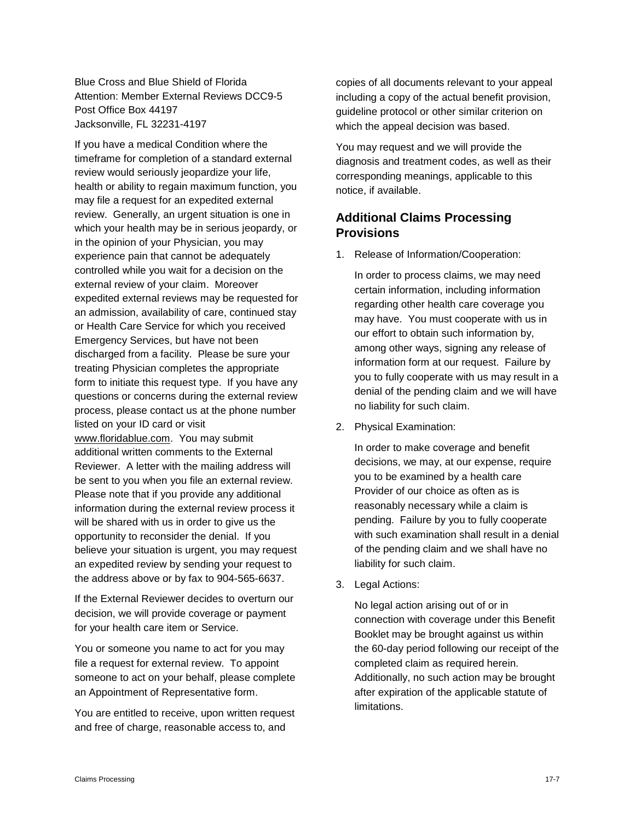Blue Cross and Blue Shield of Florida Attention: Member External Reviews DCC9-5 Post Office Box 44197 Jacksonville, FL 32231-4197

If you have a medical Condition where the timeframe for completion of a standard external review would seriously jeopardize your life, health or ability to regain maximum function, you may file a request for an expedited external review. Generally, an urgent situation is one in which your health may be in serious jeopardy, or in the opinion of your Physician, you may experience pain that cannot be adequately controlled while you wait for a decision on the external review of your claim. Moreover expedited external reviews may be requested for an admission, availability of care, continued stay or Health Care Service for which you received Emergency Services, but have not been discharged from a facility. Please be sure your treating Physician completes the appropriate form to initiate this request type. If you have any questions or concerns during the external review process, please contact us at the phone number listed on your ID card or visit www.floridablue.com. You may submit additional written comments to the External Reviewer. A letter with the mailing address will be sent to you when you file an external review. Please note that if you provide any additional information during the external review process it will be shared with us in order to give us the opportunity to reconsider the denial. If you believe your situation is urgent, you may request an expedited review by sending your request to the address above or by fax to 904-565-6637.

If the External Reviewer decides to overturn our decision, we will provide coverage or payment for your health care item or Service.

You or someone you name to act for you may file a request for external review. To appoint someone to act on your behalf, please complete an Appointment of Representative form.

You are entitled to receive, upon written request and free of charge, reasonable access to, and

copies of all documents relevant to your appeal including a copy of the actual benefit provision, guideline protocol or other similar criterion on which the appeal decision was based.

You may request and we will provide the diagnosis and treatment codes, as well as their corresponding meanings, applicable to this notice, if available.

## **Additional Claims Processing Provisions**

1. Release of Information/Cooperation:

In order to process claims, we may need certain information, including information regarding other health care coverage you may have. You must cooperate with us in our effort to obtain such information by, among other ways, signing any release of information form at our request. Failure by you to fully cooperate with us may result in a denial of the pending claim and we will have no liability for such claim.

2. Physical Examination:

In order to make coverage and benefit decisions, we may, at our expense, require you to be examined by a health care Provider of our choice as often as is reasonably necessary while a claim is pending. Failure by you to fully cooperate with such examination shall result in a denial of the pending claim and we shall have no liability for such claim.

3. Legal Actions:

No legal action arising out of or in connection with coverage under this Benefit Booklet may be brought against us within the 60-day period following our receipt of the completed claim as required herein. Additionally, no such action may be brought after expiration of the applicable statute of limitations.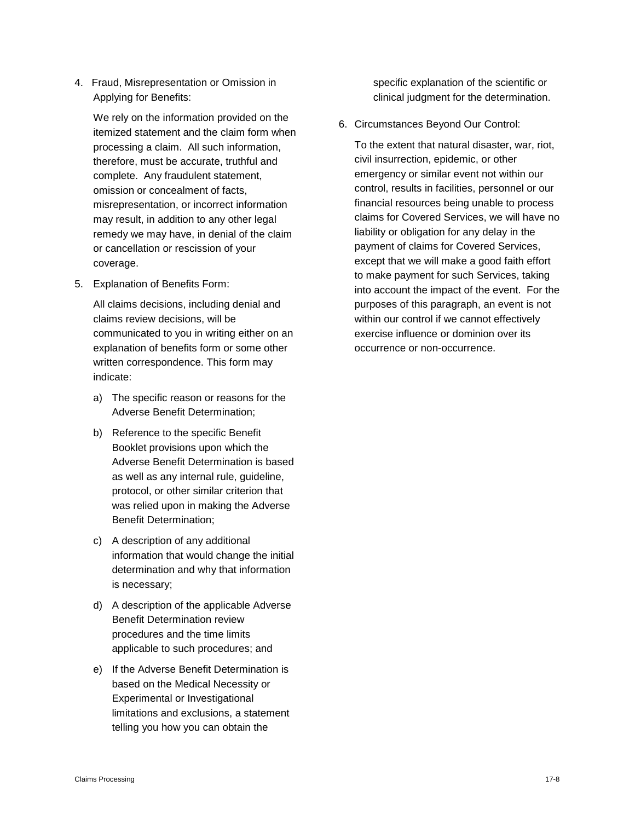4. Fraud, Misrepresentation or Omission in Applying for Benefits:

We rely on the information provided on the itemized statement and the claim form when processing a claim. All such information, therefore, must be accurate, truthful and complete. Any fraudulent statement, omission or concealment of facts, misrepresentation, or incorrect information may result, in addition to any other legal remedy we may have, in denial of the claim or cancellation or rescission of your coverage.

5. Explanation of Benefits Form:

All claims decisions, including denial and claims review decisions, will be communicated to you in writing either on an explanation of benefits form or some other written correspondence. This form may indicate:

- a) The specific reason or reasons for the Adverse Benefit Determination;
- b) Reference to the specific Benefit Booklet provisions upon which the Adverse Benefit Determination is based as well as any internal rule, guideline, protocol, or other similar criterion that was relied upon in making the Adverse Benefit Determination;
- c) A description of any additional information that would change the initial determination and why that information is necessary;
- d) A description of the applicable Adverse Benefit Determination review procedures and the time limits applicable to such procedures; and
- e) If the Adverse Benefit Determination is based on the Medical Necessity or Experimental or Investigational limitations and exclusions, a statement telling you how you can obtain the

specific explanation of the scientific or clinical judgment for the determination.

6. Circumstances Beyond Our Control:

To the extent that natural disaster, war, riot, civil insurrection, epidemic, or other emergency or similar event not within our control, results in facilities, personnel or our financial resources being unable to process claims for Covered Services, we will have no liability or obligation for any delay in the payment of claims for Covered Services, except that we will make a good faith effort to make payment for such Services, taking into account the impact of the event. For the purposes of this paragraph, an event is not within our control if we cannot effectively exercise influence or dominion over its occurrence or non-occurrence.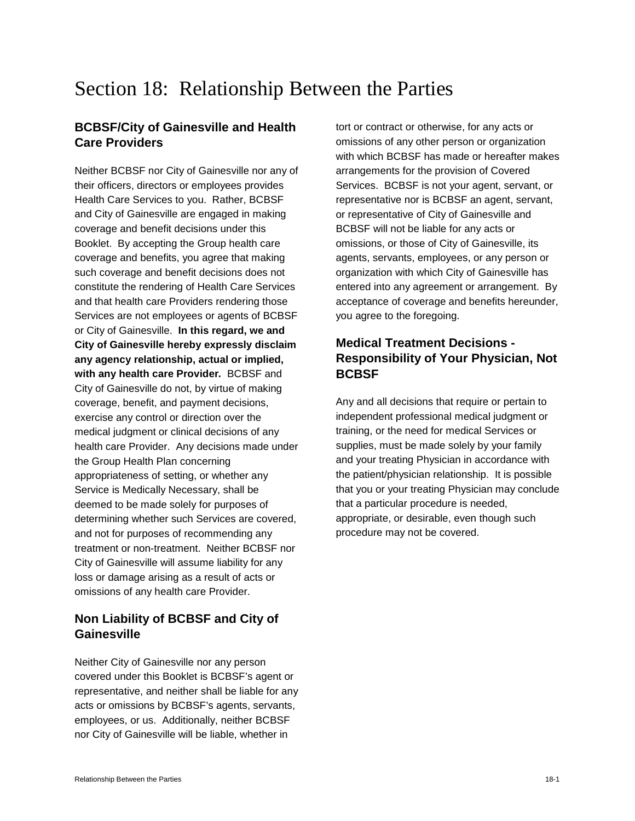# Section 18: Relationship Between the Parties

## **BCBSF/City of Gainesville and Health Care Providers**

Neither BCBSF nor City of Gainesville nor any of their officers, directors or employees provides Health Care Services to you. Rather, BCBSF and City of Gainesville are engaged in making coverage and benefit decisions under this Booklet. By accepting the Group health care coverage and benefits, you agree that making such coverage and benefit decisions does not constitute the rendering of Health Care Services and that health care Providers rendering those Services are not employees or agents of BCBSF or City of Gainesville. **In this regard, we and City of Gainesville hereby expressly disclaim any agency relationship, actual or implied, with any health care Provider***.* BCBSF and City of Gainesville do not, by virtue of making coverage, benefit, and payment decisions, exercise any control or direction over the medical judgment or clinical decisions of any health care Provider. Any decisions made under the Group Health Plan concerning appropriateness of setting, or whether any Service is Medically Necessary, shall be deemed to be made solely for purposes of determining whether such Services are covered, and not for purposes of recommending any treatment or non-treatment. Neither BCBSF nor City of Gainesville will assume liability for any loss or damage arising as a result of acts or omissions of any health care Provider.

## **Non Liability of BCBSF and City of Gainesville**

Neither City of Gainesville nor any person covered under this Booklet is BCBSF's agent or representative, and neither shall be liable for any acts or omissions by BCBSF's agents, servants, employees, or us. Additionally, neither BCBSF nor City of Gainesville will be liable, whether in

tort or contract or otherwise, for any acts or omissions of any other person or organization with which BCBSF has made or hereafter makes arrangements for the provision of Covered Services. BCBSF is not your agent, servant, or representative nor is BCBSF an agent, servant, or representative of City of Gainesville and BCBSF will not be liable for any acts or omissions, or those of City of Gainesville, its agents, servants, employees, or any person or organization with which City of Gainesville has entered into any agreement or arrangement. By acceptance of coverage and benefits hereunder, you agree to the foregoing.

# **Medical Treatment Decisions - Responsibility of Your Physician, Not BCBSF**

Any and all decisions that require or pertain to independent professional medical judgment or training, or the need for medical Services or supplies, must be made solely by your family and your treating Physician in accordance with the patient/physician relationship. It is possible that you or your treating Physician may conclude that a particular procedure is needed, appropriate, or desirable, even though such procedure may not be covered.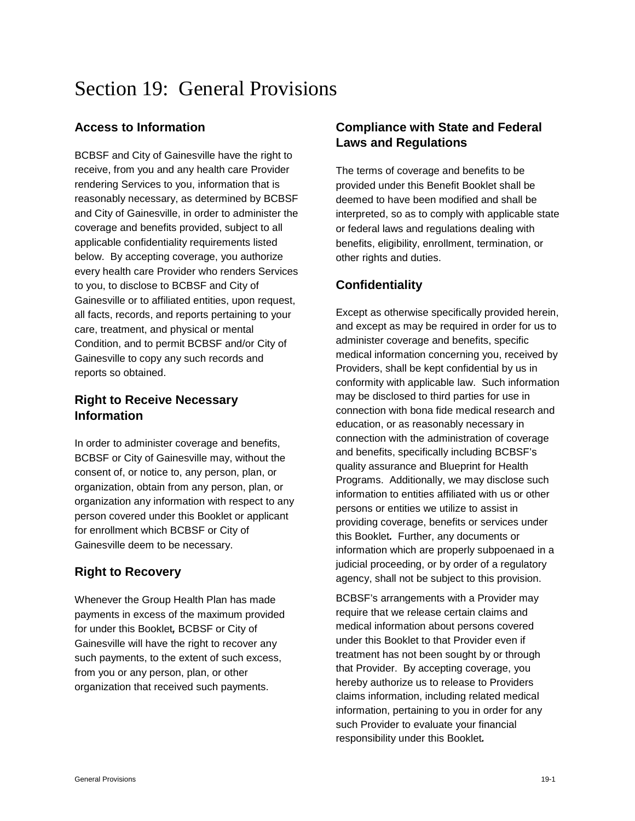# Section 19: General Provisions

## **Access to Information**

BCBSF and City of Gainesville have the right to receive, from you and any health care Provider rendering Services to you, information that is reasonably necessary, as determined by BCBSF and City of Gainesville, in order to administer the coverage and benefits provided, subject to all applicable confidentiality requirements listed below. By accepting coverage, you authorize every health care Provider who renders Services to you, to disclose to BCBSF and City of Gainesville or to affiliated entities, upon request, all facts, records, and reports pertaining to your care, treatment, and physical or mental Condition, and to permit BCBSF and/or City of Gainesville to copy any such records and reports so obtained.

## **Right to Receive Necessary Information**

In order to administer coverage and benefits, BCBSF or City of Gainesville may, without the consent of, or notice to, any person, plan, or organization, obtain from any person, plan, or organization any information with respect to any person covered under this Booklet or applicant for enrollment which BCBSF or City of Gainesville deem to be necessary.

## **Right to Recovery**

Whenever the Group Health Plan has made payments in excess of the maximum provided for under this Booklet*,* BCBSF or City of Gainesville will have the right to recover any such payments, to the extent of such excess, from you or any person, plan, or other organization that received such payments.

# **Compliance with State and Federal Laws and Regulations**

The terms of coverage and benefits to be provided under this Benefit Booklet shall be deemed to have been modified and shall be interpreted, so as to comply with applicable state or federal laws and regulations dealing with benefits, eligibility, enrollment, termination, or other rights and duties.

# **Confidentiality**

Except as otherwise specifically provided herein, and except as may be required in order for us to administer coverage and benefits, specific medical information concerning you, received by Providers, shall be kept confidential by us in conformity with applicable law. Such information may be disclosed to third parties for use in connection with bona fide medical research and education, or as reasonably necessary in connection with the administration of coverage and benefits, specifically including BCBSF's quality assurance and Blueprint for Health Programs. Additionally, we may disclose such information to entities affiliated with us or other persons or entities we utilize to assist in providing coverage, benefits or services under this Booklet*.* Further, any documents or information which are properly subpoenaed in a judicial proceeding, or by order of a regulatory agency, shall not be subject to this provision.

BCBSF's arrangements with a Provider may require that we release certain claims and medical information about persons covered under this Booklet to that Provider even if treatment has not been sought by or through that Provider. By accepting coverage, you hereby authorize us to release to Providers claims information, including related medical information, pertaining to you in order for any such Provider to evaluate your financial responsibility under this Booklet*.*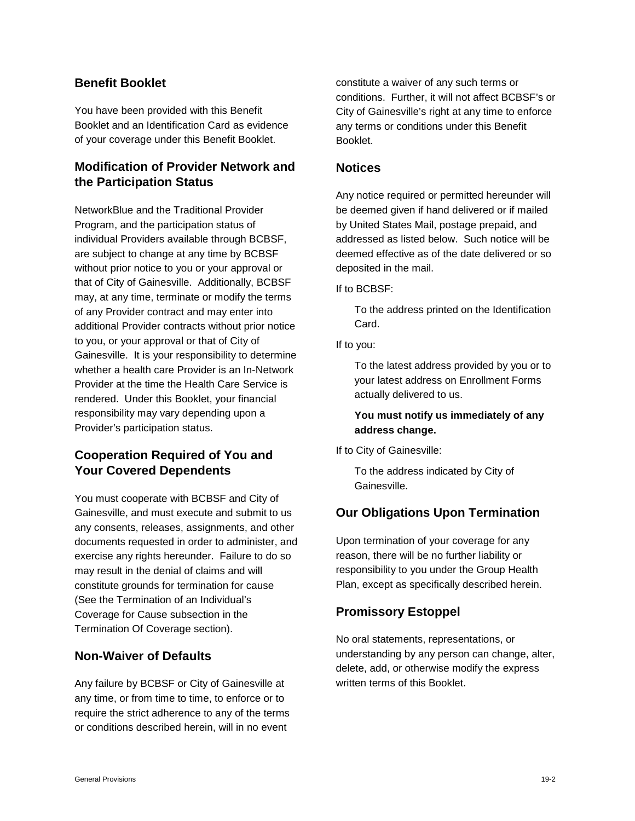### **Benefit Booklet**

You have been provided with this Benefit Booklet and an Identification Card as evidence of your coverage under this Benefit Booklet.

# **Modification of Provider Network and the Participation Status**

NetworkBlue and the Traditional Provider Program, and the participation status of individual Providers available through BCBSF, are subject to change at any time by BCBSF without prior notice to you or your approval or that of City of Gainesville. Additionally, BCBSF may, at any time, terminate or modify the terms of any Provider contract and may enter into additional Provider contracts without prior notice to you, or your approval or that of City of Gainesville. It is your responsibility to determine whether a health care Provider is an In-Network Provider at the time the Health Care Service is rendered. Under this Booklet, your financial responsibility may vary depending upon a Provider's participation status.

# **Cooperation Required of You and Your Covered Dependents**

You must cooperate with BCBSF and City of Gainesville, and must execute and submit to us any consents, releases, assignments, and other documents requested in order to administer, and exercise any rights hereunder. Failure to do so may result in the denial of claims and will constitute grounds for termination for cause (See the Termination of an Individual's Coverage for Cause subsection in the Termination Of Coverage section).

## **Non-Waiver of Defaults**

Any failure by BCBSF or City of Gainesville at any time, or from time to time, to enforce or to require the strict adherence to any of the terms or conditions described herein, will in no event

constitute a waiver of any such terms or conditions. Further, it will not affect BCBSF's or City of Gainesville's right at any time to enforce any terms or conditions under this Benefit Booklet.

#### **Notices**

Any notice required or permitted hereunder will be deemed given if hand delivered or if mailed by United States Mail, postage prepaid, and addressed as listed below. Such notice will be deemed effective as of the date delivered or so deposited in the mail.

If to BCBSF:

To the address printed on the Identification Card.

If to you:

To the latest address provided by you or to your latest address on Enrollment Forms actually delivered to us.

### **You must notify us immediately of any address change.**

If to City of Gainesville:

To the address indicated by City of Gainesville.

# **Our Obligations Upon Termination**

Upon termination of your coverage for any reason, there will be no further liability or responsibility to you under the Group Health Plan, except as specifically described herein.

## **Promissory Estoppel**

No oral statements, representations, or understanding by any person can change, alter, delete, add, or otherwise modify the express written terms of this Booklet.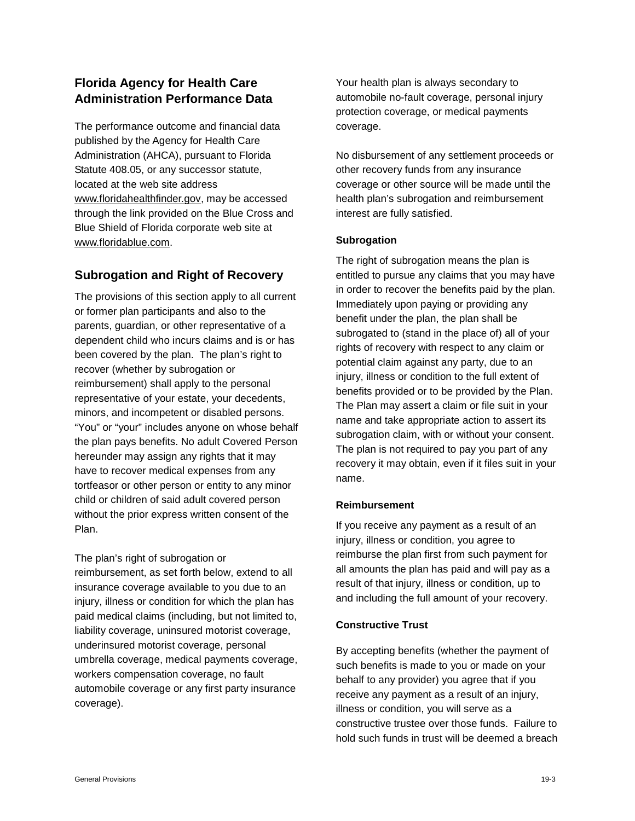# **Florida Agency for Health Care Administration Performance Data**

The performance outcome and financial data published by the Agency for Health Care Administration (AHCA), pursuant to Florida Statute 408.05, or any successor statute, located at the web site address [www.floridahealthfinder.gov,](http://www.floridahealthfinder.gov/) may be accessed through the link provided on the Blue Cross and Blue Shield of Florida corporate web site at [www.floridablue.com.](http://contracts.bcbsfl.com/mcm/Previous%20version%20eff%201-1-10%20w-PEP/www.bcbsfl.com)

# **Subrogation and Right of Recovery**

The provisions of this section apply to all current or former plan participants and also to the parents, guardian, or other representative of a dependent child who incurs claims and is or has been covered by the plan. The plan's right to recover (whether by subrogation or reimbursement) shall apply to the personal representative of your estate, your decedents, minors, and incompetent or disabled persons. "You" or "your" includes anyone on whose behalf the plan pays benefits. No adult Covered Person hereunder may assign any rights that it may have to recover medical expenses from any tortfeasor or other person or entity to any minor child or children of said adult covered person without the prior express written consent of the Plan.

The plan's right of subrogation or reimbursement, as set forth below, extend to all insurance coverage available to you due to an injury, illness or condition for which the plan has paid medical claims (including, but not limited to, liability coverage, uninsured motorist coverage, underinsured motorist coverage, personal umbrella coverage, medical payments coverage, workers compensation coverage, no fault automobile coverage or any first party insurance coverage).

Your health plan is always secondary to automobile no-fault coverage, personal injury protection coverage, or medical payments coverage.

No disbursement of any settlement proceeds or other recovery funds from any insurance coverage or other source will be made until the health plan's subrogation and reimbursement interest are fully satisfied.

#### **Subrogation**

The right of subrogation means the plan is entitled to pursue any claims that you may have in order to recover the benefits paid by the plan. Immediately upon paying or providing any benefit under the plan, the plan shall be subrogated to (stand in the place of) all of your rights of recovery with respect to any claim or potential claim against any party, due to an injury, illness or condition to the full extent of benefits provided or to be provided by the Plan. The Plan may assert a claim or file suit in your name and take appropriate action to assert its subrogation claim, with or without your consent. The plan is not required to pay you part of any recovery it may obtain, even if it files suit in your name.

### **Reimbursement**

If you receive any payment as a result of an injury, illness or condition, you agree to reimburse the plan first from such payment for all amounts the plan has paid and will pay as a result of that injury, illness or condition, up to and including the full amount of your recovery.

#### **Constructive Trust**

By accepting benefits (whether the payment of such benefits is made to you or made on your behalf to any provider) you agree that if you receive any payment as a result of an injury, illness or condition, you will serve as a constructive trustee over those funds. Failure to hold such funds in trust will be deemed a breach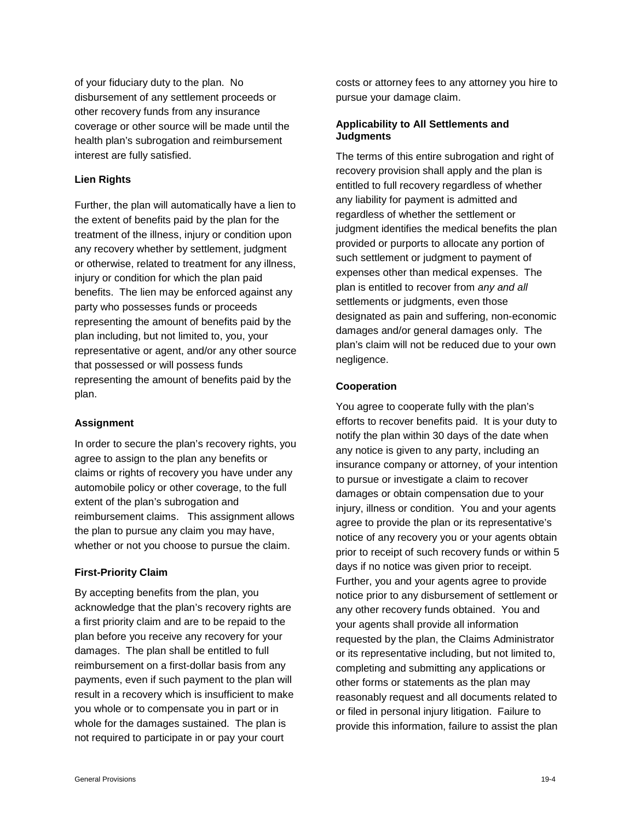of your fiduciary duty to the plan. No disbursement of any settlement proceeds or other recovery funds from any insurance coverage or other source will be made until the health plan's subrogation and reimbursement interest are fully satisfied.

#### **Lien Rights**

Further, the plan will automatically have a lien to the extent of benefits paid by the plan for the treatment of the illness, injury or condition upon any recovery whether by settlement, judgment or otherwise, related to treatment for any illness, injury or condition for which the plan paid benefits. The lien may be enforced against any party who possesses funds or proceeds representing the amount of benefits paid by the plan including, but not limited to, you, your representative or agent, and/or any other source that possessed or will possess funds representing the amount of benefits paid by the plan.

#### **Assignment**

In order to secure the plan's recovery rights, you agree to assign to the plan any benefits or claims or rights of recovery you have under any automobile policy or other coverage, to the full extent of the plan's subrogation and reimbursement claims. This assignment allows the plan to pursue any claim you may have, whether or not you choose to pursue the claim.

#### **First-Priority Claim**

By accepting benefits from the plan, you acknowledge that the plan's recovery rights are a first priority claim and are to be repaid to the plan before you receive any recovery for your damages. The plan shall be entitled to full reimbursement on a first-dollar basis from any payments, even if such payment to the plan will result in a recovery which is insufficient to make you whole or to compensate you in part or in whole for the damages sustained. The plan is not required to participate in or pay your court

costs or attorney fees to any attorney you hire to pursue your damage claim.

#### **Applicability to All Settlements and Judgments**

The terms of this entire subrogation and right of recovery provision shall apply and the plan is entitled to full recovery regardless of whether any liability for payment is admitted and regardless of whether the settlement or judgment identifies the medical benefits the plan provided or purports to allocate any portion of such settlement or judgment to payment of expenses other than medical expenses. The plan is entitled to recover from *any and all*  settlements or judgments, even those designated as pain and suffering, non-economic damages and/or general damages only. The plan's claim will not be reduced due to your own negligence.

#### **Cooperation**

You agree to cooperate fully with the plan's efforts to recover benefits paid. It is your duty to notify the plan within 30 days of the date when any notice is given to any party, including an insurance company or attorney, of your intention to pursue or investigate a claim to recover damages or obtain compensation due to your injury, illness or condition. You and your agents agree to provide the plan or its representative's notice of any recovery you or your agents obtain prior to receipt of such recovery funds or within 5 days if no notice was given prior to receipt. Further, you and your agents agree to provide notice prior to any disbursement of settlement or any other recovery funds obtained. You and your agents shall provide all information requested by the plan, the Claims Administrator or its representative including, but not limited to, completing and submitting any applications or other forms or statements as the plan may reasonably request and all documents related to or filed in personal injury litigation. Failure to provide this information, failure to assist the plan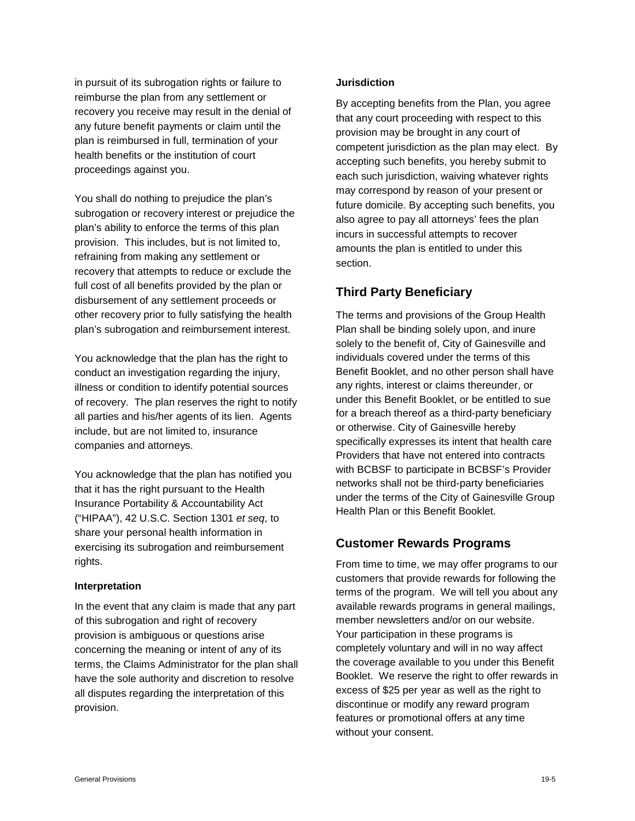in pursuit of its subrogation rights or failure to reimburse the plan from any settlement or recovery you receive may result in the denial of any future benefit payments or claim until the plan is reimbursed in full, termination of your health benefits or the institution of court proceedings against you.

You shall do nothing to prejudice the plan's subrogation or recovery interest or prejudice the plan's ability to enforce the terms of this plan provision. This includes, but is not limited to, refraining from making any settlement or recovery that attempts to reduce or exclude the full cost of all benefits provided by the plan or disbursement of any settlement proceeds or other recovery prior to fully satisfying the health plan's subrogation and reimbursement interest.

You acknowledge that the plan has the right to conduct an investigation regarding the injury, illness or condition to identify potential sources of recovery. The plan reserves the right to notify all parties and his/her agents of its lien. Agents include, but are not limited to, insurance companies and attorneys.

You acknowledge that the plan has notified you that it has the right pursuant to the Health Insurance Portability & Accountability Act ("HIPAA"), 42 U.S.C. Section 1301 *et seq*, to share your personal health information in exercising its subrogation and reimbursement rights.

#### **Interpretation**

In the event that any claim is made that any part of this subrogation and right of recovery provision is ambiguous or questions arise concerning the meaning or intent of any of its terms, the Claims Administrator for the plan shall have the sole authority and discretion to resolve all disputes regarding the interpretation of this provision.

#### **Jurisdiction**

By accepting benefits from the Plan, you agree that any court proceeding with respect to this provision may be brought in any court of competent jurisdiction as the plan may elect. By accepting such benefits, you hereby submit to each such jurisdiction, waiving whatever rights may correspond by reason of your present or future domicile. By accepting such benefits, you also agree to pay all attorneys' fees the plan incurs in successful attempts to recover amounts the plan is entitled to under this section.

### **Third Party Beneficiary**

The terms and provisions of the Group Health Plan shall be binding solely upon, and inure solely to the benefit of, City of Gainesville and individuals covered under the terms of this Benefit Booklet, and no other person shall have any rights, interest or claims thereunder, or under this Benefit Booklet, or be entitled to sue for a breach thereof as a third-party beneficiary or otherwise. City of Gainesville hereby specifically expresses its intent that health care Providers that have not entered into contracts with BCBSF to participate in BCBSF's Provider networks shall not be third-party beneficiaries under the terms of the City of Gainesville Group Health Plan or this Benefit Booklet.

### **Customer Rewards Programs**

From time to time, we may offer programs to our customers that provide rewards for following the terms of the program. We will tell you about any available rewards programs in general mailings, member newsletters and/or on our website. Your participation in these programs is completely voluntary and will in no way affect the coverage available to you under this Benefit Booklet. We reserve the right to offer rewards in excess of \$25 per year as well as the right to discontinue or modify any reward program features or promotional offers at any time without your consent.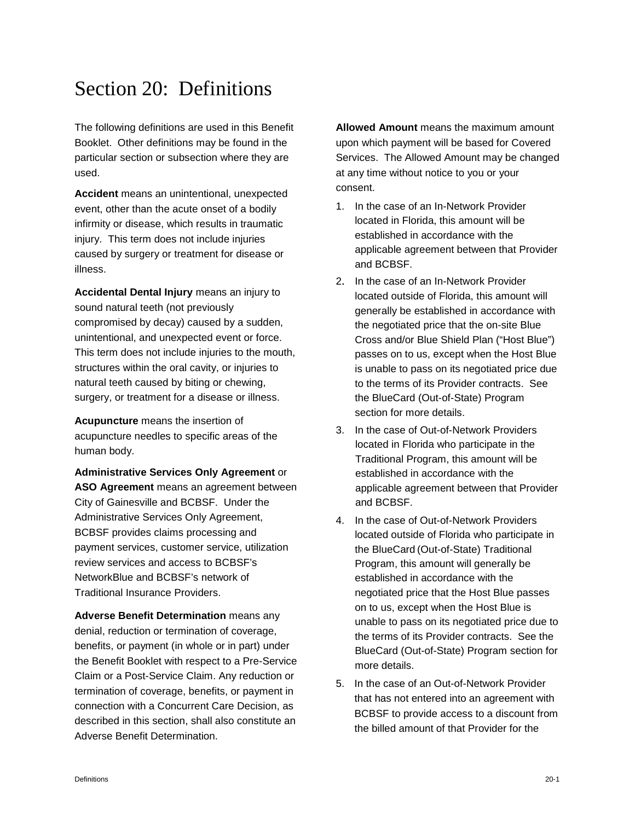# Section 20: Definitions

The following definitions are used in this Benefit Booklet. Other definitions may be found in the particular section or subsection where they are used.

**Accident** means an unintentional, unexpected event, other than the acute onset of a bodily infirmity or disease, which results in traumatic injury. This term does not include injuries caused by surgery or treatment for disease or illness.

**Accidental Dental Injury** means an injury to sound natural teeth (not previously compromised by decay) caused by a sudden, unintentional, and unexpected event or force. This term does not include injuries to the mouth, structures within the oral cavity, or injuries to natural teeth caused by biting or chewing, surgery, or treatment for a disease or illness.

**Acupuncture** means the insertion of acupuncture needles to specific areas of the human body.

**Administrative Services Only Agreement** or **ASO Agreement** means an agreement between City of Gainesville and BCBSF. Under the Administrative Services Only Agreement, BCBSF provides claims processing and payment services, customer service, utilization review services and access to BCBSF's NetworkBlue and BCBSF's network of Traditional Insurance Providers.

**Adverse Benefit Determination** means any denial, reduction or termination of coverage, benefits, or payment (in whole or in part) under the Benefit Booklet with respect to a Pre-Service Claim or a Post-Service Claim. Any reduction or termination of coverage, benefits, or payment in connection with a Concurrent Care Decision, as described in this section, shall also constitute an Adverse Benefit Determination.

**Allowed Amount** means the maximum amount upon which payment will be based for Covered Services. The Allowed Amount may be changed at any time without notice to you or your consent.

- 1. In the case of an In-Network Provider located in Florida, this amount will be established in accordance with the applicable agreement between that Provider and BCBSF.
- 2. In the case of an In-Network Provider located outside of Florida, this amount will generally be established in accordance with the negotiated price that the on-site Blue Cross and/or Blue Shield Plan ("Host Blue") passes on to us, except when the Host Blue is unable to pass on its negotiated price due to the terms of its Provider contracts. See the BlueCard (Out-of-State) Program section for more details.
- 3. In the case of Out-of-Network Providers located in Florida who participate in the Traditional Program, this amount will be established in accordance with the applicable agreement between that Provider and BCBSF.
- 4. In the case of Out-of-Network Providers located outside of Florida who participate in the BlueCard (Out-of-State) Traditional Program, this amount will generally be established in accordance with the negotiated price that the Host Blue passes on to us, except when the Host Blue is unable to pass on its negotiated price due to the terms of its Provider contracts. See the BlueCard (Out-of-State) Program section for more details.
- 5. In the case of an Out-of-Network Provider that has not entered into an agreement with BCBSF to provide access to a discount from the billed amount of that Provider for the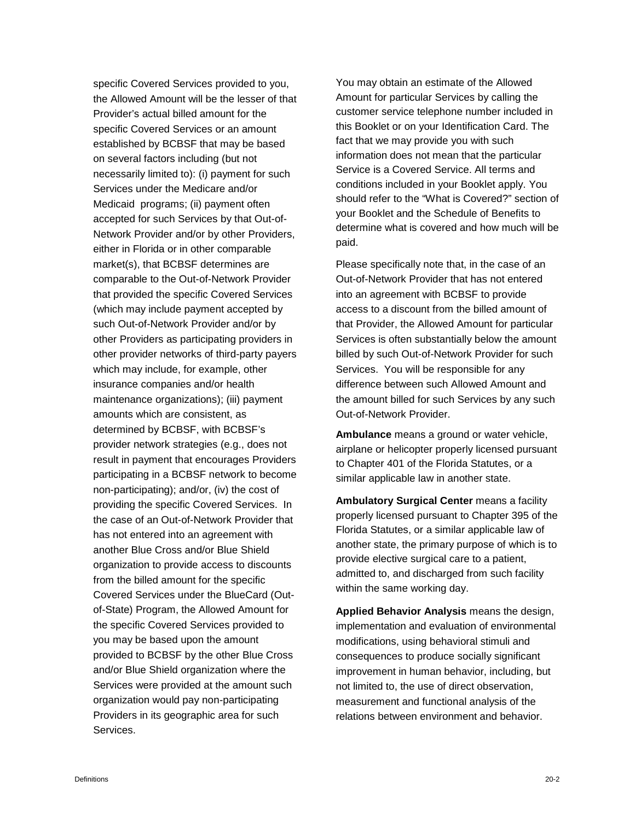specific Covered Services provided to you, the Allowed Amount will be the lesser of that Provider's actual billed amount for the specific Covered Services or an amount established by BCBSF that may be based on several factors including (but not necessarily limited to): (i) payment for such Services under the Medicare and/or Medicaid programs; (ii) payment often accepted for such Services by that Out-of-Network Provider and/or by other Providers, either in Florida or in other comparable market(s), that BCBSF determines are comparable to the Out-of-Network Provider that provided the specific Covered Services (which may include payment accepted by such Out-of-Network Provider and/or by other Providers as participating providers in other provider networks of third-party payers which may include, for example, other insurance companies and/or health maintenance organizations); (iii) payment amounts which are consistent, as determined by BCBSF, with BCBSF's provider network strategies (e.g., does not result in payment that encourages Providers participating in a BCBSF network to become non-participating); and/or, (iv) the cost of providing the specific Covered Services. In the case of an Out-of-Network Provider that has not entered into an agreement with another Blue Cross and/or Blue Shield organization to provide access to discounts from the billed amount for the specific Covered Services under the BlueCard (Outof-State) Program, the Allowed Amount for the specific Covered Services provided to you may be based upon the amount provided to BCBSF by the other Blue Cross and/or Blue Shield organization where the Services were provided at the amount such organization would pay non-participating Providers in its geographic area for such Services.

You may obtain an estimate of the Allowed Amount for particular Services by calling the customer service telephone number included in this Booklet or on your Identification Card. The fact that we may provide you with such information does not mean that the particular Service is a Covered Service. All terms and conditions included in your Booklet apply. You should refer to the "What is Covered?" section of your Booklet and the Schedule of Benefits to determine what is covered and how much will be paid.

Please specifically note that, in the case of an Out-of-Network Provider that has not entered into an agreement with BCBSF to provide access to a discount from the billed amount of that Provider, the Allowed Amount for particular Services is often substantially below the amount billed by such Out-of-Network Provider for such Services. You will be responsible for any difference between such Allowed Amount and the amount billed for such Services by any such Out-of-Network Provider.

**Ambulance** means a ground or water vehicle, airplane or helicopter properly licensed pursuant to Chapter 401 of the Florida Statutes, or a similar applicable law in another state.

**Ambulatory Surgical Center** means a facility properly licensed pursuant to Chapter 395 of the Florida Statutes, or a similar applicable law of another state, the primary purpose of which is to provide elective surgical care to a patient, admitted to, and discharged from such facility within the same working day.

**Applied Behavior Analysis** means the design, implementation and evaluation of environmental modifications, using behavioral stimuli and consequences to produce socially significant improvement in human behavior, including, but not limited to, the use of direct observation, measurement and functional analysis of the relations between environment and behavior.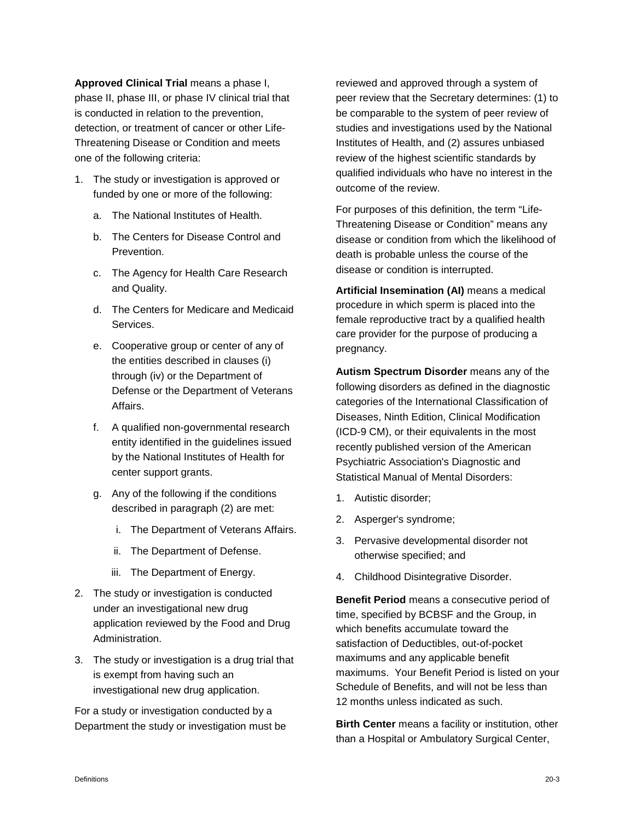**Approved Clinical Trial** means a phase I, phase II, phase III, or phase IV clinical trial that is conducted in relation to the prevention, detection, or treatment of cancer or other Life-Threatening Disease or Condition and meets one of the following criteria:

- 1. The study or investigation is approved or funded by one or more of the following:
	- a. The National Institutes of Health.
	- b. The Centers for Disease Control and Prevention.
	- c. The Agency for Health Care Research and Quality.
	- d. The Centers for Medicare and Medicaid Services.
	- e. Cooperative group or center of any of the entities described in clauses (i) through (iv) or the Department of Defense or the Department of Veterans Affairs.
	- f. A qualified non-governmental research entity identified in the guidelines issued by the National Institutes of Health for center support grants.
	- g. Any of the following if the conditions described in paragraph (2) are met:
		- i. The Department of Veterans Affairs.
		- ii. The Department of Defense.
		- iii. The Department of Energy.
- 2. The study or investigation is conducted under an investigational new drug application reviewed by the Food and Drug Administration.
- 3. The study or investigation is a drug trial that is exempt from having such an investigational new drug application.

For a study or investigation conducted by a Department the study or investigation must be

reviewed and approved through a system of peer review that the Secretary determines: (1) to be comparable to the system of peer review of studies and investigations used by the National Institutes of Health, and (2) assures unbiased review of the highest scientific standards by qualified individuals who have no interest in the outcome of the review.

For purposes of this definition, the term "Life-Threatening Disease or Condition" means any disease or condition from which the likelihood of death is probable unless the course of the disease or condition is interrupted.

**Artificial Insemination (AI)** means a medical procedure in which sperm is placed into the female reproductive tract by a qualified health care provider for the purpose of producing a pregnancy.

**Autism Spectrum Disorder** means any of the following disorders as defined in the diagnostic categories of the International Classification of Diseases, Ninth Edition, Clinical Modification (ICD-9 CM), or their equivalents in the most recently published version of the American Psychiatric Association's Diagnostic and Statistical Manual of Mental Disorders:

- 1. Autistic disorder;
- 2. Asperger's syndrome;
- 3. Pervasive developmental disorder not otherwise specified; and
- 4. Childhood Disintegrative Disorder.

**Benefit Period** means a consecutive period of time, specified by BCBSF and the Group, in which benefits accumulate toward the satisfaction of Deductibles, out-of-pocket maximums and any applicable benefit maximums. Your Benefit Period is listed on your Schedule of Benefits, and will not be less than 12 months unless indicated as such.

**Birth Center** means a facility or institution, other than a Hospital or Ambulatory Surgical Center,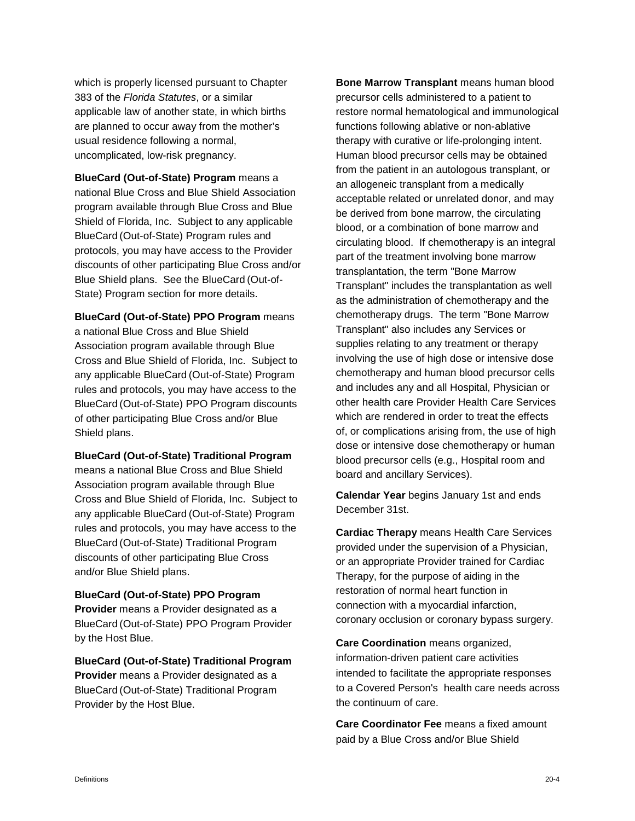which is properly licensed pursuant to Chapter 383 of the *Florida Statutes*, or a similar applicable law of another state, in which births are planned to occur away from the mother's usual residence following a normal, uncomplicated, low-risk pregnancy.

**BlueCard (Out-of-State) Program** means a national Blue Cross and Blue Shield Association program available through Blue Cross and Blue Shield of Florida, Inc. Subject to any applicable BlueCard (Out-of-State) Program rules and protocols, you may have access to the Provider discounts of other participating Blue Cross and/or Blue Shield plans. See the BlueCard (Out-of-State) Program section for more details.

**BlueCard (Out-of-State) PPO Program** means a national Blue Cross and Blue Shield Association program available through Blue Cross and Blue Shield of Florida, Inc. Subject to any applicable BlueCard (Out-of-State) Program rules and protocols, you may have access to the BlueCard (Out-of-State) PPO Program discounts of other participating Blue Cross and/or Blue Shield plans.

#### **BlueCard (Out-of-State) Traditional Program**

means a national Blue Cross and Blue Shield Association program available through Blue Cross and Blue Shield of Florida, Inc. Subject to any applicable BlueCard (Out-of-State) Program rules and protocols, you may have access to the BlueCard (Out-of-State) Traditional Program discounts of other participating Blue Cross and/or Blue Shield plans.

#### **BlueCard (Out-of-State) PPO Program**

**Provider** means a Provider designated as a BlueCard (Out-of-State) PPO Program Provider by the Host Blue.

**BlueCard (Out-of-State) Traditional Program Provider** means a Provider designated as a BlueCard (Out-of-State) Traditional Program Provider by the Host Blue.

**Bone Marrow Transplant** means human blood precursor cells administered to a patient to restore normal hematological and immunological functions following ablative or non-ablative therapy with curative or life-prolonging intent. Human blood precursor cells may be obtained from the patient in an autologous transplant, or an allogeneic transplant from a medically acceptable related or unrelated donor, and may be derived from bone marrow, the circulating blood, or a combination of bone marrow and circulating blood. If chemotherapy is an integral part of the treatment involving bone marrow transplantation, the term "Bone Marrow Transplant" includes the transplantation as well as the administration of chemotherapy and the chemotherapy drugs. The term "Bone Marrow Transplant" also includes any Services or supplies relating to any treatment or therapy involving the use of high dose or intensive dose chemotherapy and human blood precursor cells and includes any and all Hospital, Physician or other health care Provider Health Care Services which are rendered in order to treat the effects of, or complications arising from, the use of high dose or intensive dose chemotherapy or human blood precursor cells (e.g., Hospital room and board and ancillary Services).

**Calendar Year** begins January 1st and ends December 31st.

**Cardiac Therapy** means Health Care Services provided under the supervision of a Physician, or an appropriate Provider trained for Cardiac Therapy, for the purpose of aiding in the restoration of normal heart function in connection with a myocardial infarction, coronary occlusion or coronary bypass surgery.

**Care Coordination** means organized, information-driven patient care activities intended to facilitate the appropriate responses to a Covered Person's health care needs across the continuum of care.

**Care Coordinator Fee** means a fixed amount paid by a Blue Cross and/or Blue Shield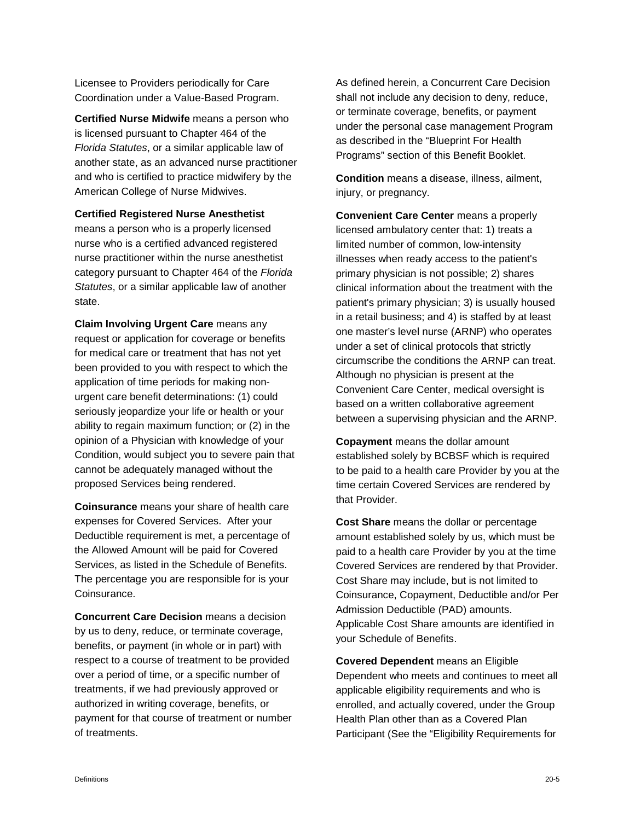Licensee to Providers periodically for Care Coordination under a Value-Based Program.

**Certified Nurse Midwife** means a person who is licensed pursuant to Chapter 464 of the *Florida Statutes*, or a similar applicable law of another state, as an advanced nurse practitioner and who is certified to practice midwifery by the American College of Nurse Midwives.

**Certified Registered Nurse Anesthetist**

means a person who is a properly licensed nurse who is a certified advanced registered nurse practitioner within the nurse anesthetist category pursuant to Chapter 464 of the *Florida Statutes*, or a similar applicable law of another state.

**Claim Involving Urgent Care** means any request or application for coverage or benefits for medical care or treatment that has not yet been provided to you with respect to which the application of time periods for making nonurgent care benefit determinations: (1) could seriously jeopardize your life or health or your ability to regain maximum function; or (2) in the opinion of a Physician with knowledge of your Condition, would subject you to severe pain that cannot be adequately managed without the proposed Services being rendered.

**Coinsurance** means your share of health care expenses for Covered Services. After your Deductible requirement is met, a percentage of the Allowed Amount will be paid for Covered Services, as listed in the Schedule of Benefits. The percentage you are responsible for is your Coinsurance.

**Concurrent Care Decision** means a decision by us to deny, reduce, or terminate coverage, benefits, or payment (in whole or in part) with respect to a course of treatment to be provided over a period of time, or a specific number of treatments, if we had previously approved or authorized in writing coverage, benefits, or payment for that course of treatment or number of treatments.

As defined herein, a Concurrent Care Decision shall not include any decision to deny, reduce, or terminate coverage, benefits, or payment under the personal case management Program as described in the "Blueprint For Health Programs" section of this Benefit Booklet.

**Condition** means a disease, illness, ailment, injury, or pregnancy.

**Convenient Care Center** means a properly licensed ambulatory center that: 1) treats a limited number of common, low-intensity illnesses when ready access to the patient's primary physician is not possible; 2) shares clinical information about the treatment with the patient's primary physician; 3) is usually housed in a retail business; and 4) is staffed by at least one master's level nurse (ARNP) who operates under a set of clinical protocols that strictly circumscribe the conditions the ARNP can treat. Although no physician is present at the Convenient Care Center, medical oversight is based on a written collaborative agreement between a supervising physician and the ARNP.

**Copayment** means the dollar amount established solely by BCBSF which is required to be paid to a health care Provider by you at the time certain Covered Services are rendered by that Provider.

**Cost Share** means the dollar or percentage amount established solely by us, which must be paid to a health care Provider by you at the time Covered Services are rendered by that Provider. Cost Share may include, but is not limited to Coinsurance, Copayment, Deductible and/or Per Admission Deductible (PAD) amounts. Applicable Cost Share amounts are identified in your Schedule of Benefits.

**Covered Dependent** means an Eligible Dependent who meets and continues to meet all applicable eligibility requirements and who is enrolled, and actually covered, under the Group Health Plan other than as a Covered Plan Participant (See the "Eligibility Requirements for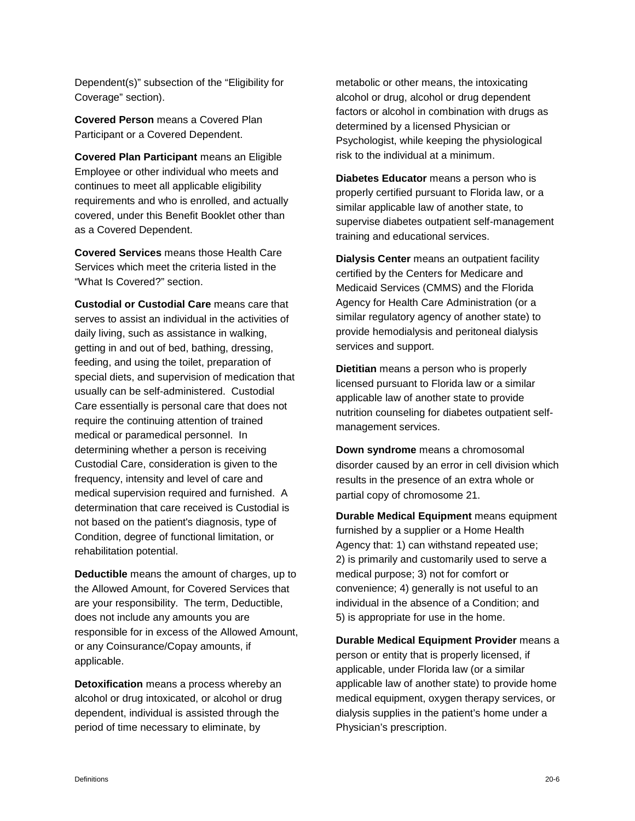Dependent(s)" subsection of the "Eligibility for Coverage" section).

**Covered Person** means a Covered Plan Participant or a Covered Dependent.

**Covered Plan Participant** means an Eligible Employee or other individual who meets and continues to meet all applicable eligibility requirements and who is enrolled, and actually covered, under this Benefit Booklet other than as a Covered Dependent.

**Covered Services** means those Health Care Services which meet the criteria listed in the "What Is Covered?" section.

**Custodial or Custodial Care** means care that serves to assist an individual in the activities of daily living, such as assistance in walking, getting in and out of bed, bathing, dressing, feeding, and using the toilet, preparation of special diets, and supervision of medication that usually can be self-administered. Custodial Care essentially is personal care that does not require the continuing attention of trained medical or paramedical personnel. In determining whether a person is receiving Custodial Care, consideration is given to the frequency, intensity and level of care and medical supervision required and furnished. A determination that care received is Custodial is not based on the patient's diagnosis, type of Condition, degree of functional limitation, or rehabilitation potential.

**Deductible** means the amount of charges, up to the Allowed Amount, for Covered Services that are your responsibility. The term, Deductible, does not include any amounts you are responsible for in excess of the Allowed Amount, or any Coinsurance/Copay amounts, if applicable.

**Detoxification** means a process whereby an alcohol or drug intoxicated, or alcohol or drug dependent, individual is assisted through the period of time necessary to eliminate, by

metabolic or other means, the intoxicating alcohol or drug, alcohol or drug dependent factors or alcohol in combination with drugs as determined by a licensed Physician or Psychologist, while keeping the physiological risk to the individual at a minimum.

**Diabetes Educator** means a person who is properly certified pursuant to Florida law, or a similar applicable law of another state, to supervise diabetes outpatient self-management training and educational services.

**Dialysis Center** means an outpatient facility certified by the Centers for Medicare and Medicaid Services (CMMS) and the Florida Agency for Health Care Administration (or a similar regulatory agency of another state) to provide hemodialysis and peritoneal dialysis services and support.

**Dietitian** means a person who is properly licensed pursuant to Florida law or a similar applicable law of another state to provide nutrition counseling for diabetes outpatient selfmanagement services.

**Down syndrome** means a chromosomal disorder caused by an error in cell division which results in the presence of an extra whole or partial copy of chromosome 21.

**Durable Medical Equipment** means equipment furnished by a supplier or a Home Health Agency that: 1) can withstand repeated use; 2) is primarily and customarily used to serve a medical purpose; 3) not for comfort or convenience; 4) generally is not useful to an individual in the absence of a Condition; and 5) is appropriate for use in the home.

**Durable Medical Equipment Provider** means a person or entity that is properly licensed, if applicable, under Florida law (or a similar applicable law of another state) to provide home medical equipment, oxygen therapy services, or dialysis supplies in the patient's home under a Physician's prescription.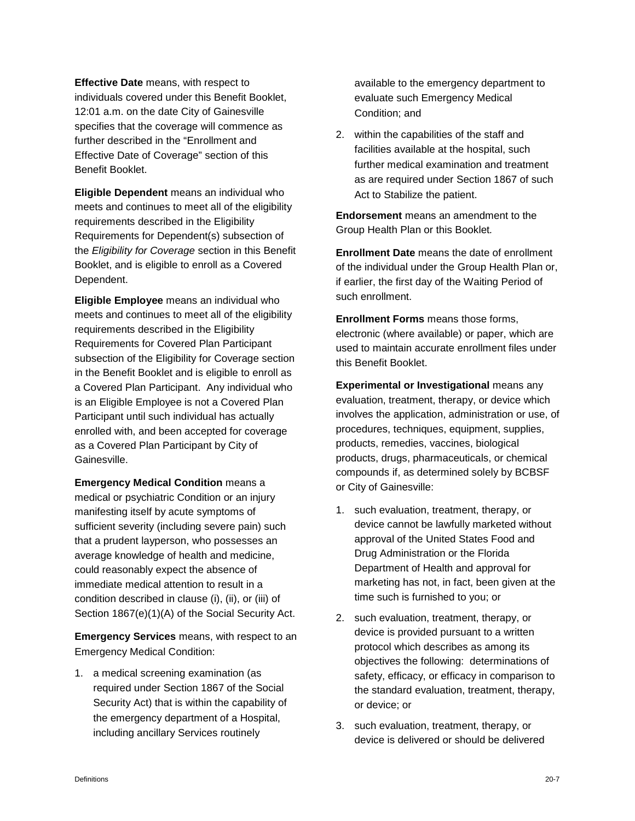**Effective Date** means, with respect to individuals covered under this Benefit Booklet, 12:01 a.m. on the date City of Gainesville specifies that the coverage will commence as further described in the "Enrollment and Effective Date of Coverage" section of this Benefit Booklet.

**Eligible Dependent** means an individual who meets and continues to meet all of the eligibility requirements described in the Eligibility Requirements for Dependent(s) subsection of the *Eligibility for Coverage* section in this Benefit Booklet, and is eligible to enroll as a Covered Dependent.

**Eligible Employee** means an individual who meets and continues to meet all of the eligibility requirements described in the Eligibility Requirements for Covered Plan Participant subsection of the Eligibility for Coverage section in the Benefit Booklet and is eligible to enroll as a Covered Plan Participant. Any individual who is an Eligible Employee is not a Covered Plan Participant until such individual has actually enrolled with, and been accepted for coverage as a Covered Plan Participant by City of Gainesville.

**Emergency Medical Condition** means a medical or psychiatric Condition or an injury manifesting itself by acute symptoms of sufficient severity (including severe pain) such that a prudent layperson, who possesses an average knowledge of health and medicine, could reasonably expect the absence of immediate medical attention to result in a condition described in clause (i), (ii), or (iii) of Section 1867(e)(1)(A) of the Social Security Act.

**Emergency Services** means, with respect to an Emergency Medical Condition:

1. a medical screening examination (as required under Section 1867 of the Social Security Act) that is within the capability of the emergency department of a Hospital, including ancillary Services routinely

available to the emergency department to evaluate such Emergency Medical Condition; and

2. within the capabilities of the staff and facilities available at the hospital, such further medical examination and treatment as are required under Section 1867 of such Act to Stabilize the patient.

**Endorsement** means an amendment to the Group Health Plan or this Booklet*.*

**Enrollment Date** means the date of enrollment of the individual under the Group Health Plan or, if earlier, the first day of the Waiting Period of such enrollment.

**Enrollment Forms** means those forms, electronic (where available) or paper, which are used to maintain accurate enrollment files under this Benefit Booklet.

**Experimental or Investigational** means any evaluation, treatment, therapy, or device which involves the application, administration or use, of procedures, techniques, equipment, supplies, products, remedies, vaccines, biological products, drugs, pharmaceuticals, or chemical compounds if, as determined solely by BCBSF or City of Gainesville:

- 1. such evaluation, treatment, therapy, or device cannot be lawfully marketed without approval of the United States Food and Drug Administration or the Florida Department of Health and approval for marketing has not, in fact, been given at the time such is furnished to you; or
- 2. such evaluation, treatment, therapy, or device is provided pursuant to a written protocol which describes as among its objectives the following: determinations of safety, efficacy, or efficacy in comparison to the standard evaluation, treatment, therapy, or device; or
- 3. such evaluation, treatment, therapy, or device is delivered or should be delivered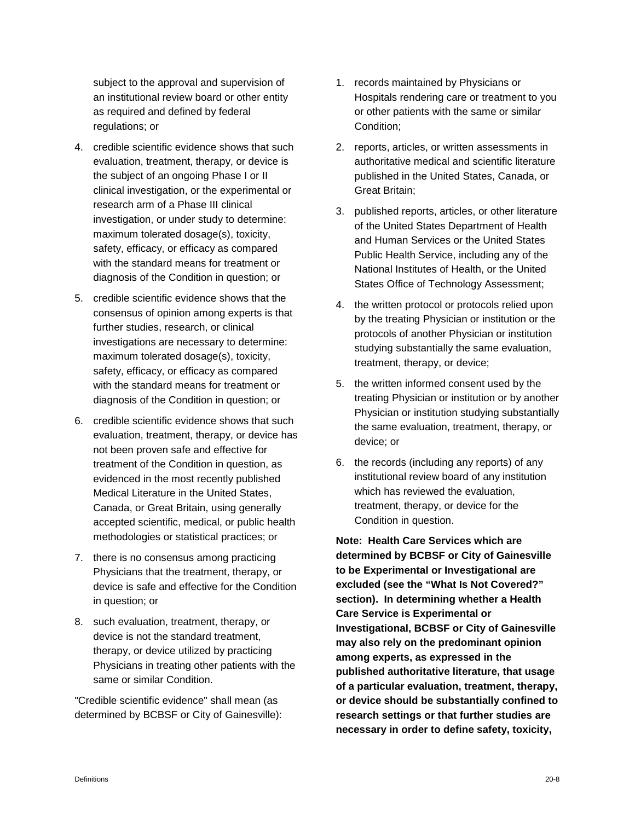subject to the approval and supervision of an institutional review board or other entity as required and defined by federal regulations; or

- 4. credible scientific evidence shows that such evaluation, treatment, therapy, or device is the subject of an ongoing Phase I or II clinical investigation, or the experimental or research arm of a Phase III clinical investigation, or under study to determine: maximum tolerated dosage(s), toxicity, safety, efficacy, or efficacy as compared with the standard means for treatment or diagnosis of the Condition in question; or
- 5. credible scientific evidence shows that the consensus of opinion among experts is that further studies, research, or clinical investigations are necessary to determine: maximum tolerated dosage(s), toxicity, safety, efficacy, or efficacy as compared with the standard means for treatment or diagnosis of the Condition in question; or
- 6. credible scientific evidence shows that such evaluation, treatment, therapy, or device has not been proven safe and effective for treatment of the Condition in question, as evidenced in the most recently published Medical Literature in the United States, Canada, or Great Britain, using generally accepted scientific, medical, or public health methodologies or statistical practices; or
- 7. there is no consensus among practicing Physicians that the treatment, therapy, or device is safe and effective for the Condition in question; or
- 8. such evaluation, treatment, therapy, or device is not the standard treatment, therapy, or device utilized by practicing Physicians in treating other patients with the same or similar Condition.

"Credible scientific evidence" shall mean (as determined by BCBSF or City of Gainesville):

- 1. records maintained by Physicians or Hospitals rendering care or treatment to you or other patients with the same or similar Condition;
- 2. reports, articles, or written assessments in authoritative medical and scientific literature published in the United States, Canada, or Great Britain;
- 3. published reports, articles, or other literature of the United States Department of Health and Human Services or the United States Public Health Service, including any of the National Institutes of Health, or the United States Office of Technology Assessment;
- 4. the written protocol or protocols relied upon by the treating Physician or institution or the protocols of another Physician or institution studying substantially the same evaluation, treatment, therapy, or device;
- 5. the written informed consent used by the treating Physician or institution or by another Physician or institution studying substantially the same evaluation, treatment, therapy, or device; or
- 6. the records (including any reports) of any institutional review board of any institution which has reviewed the evaluation, treatment, therapy, or device for the Condition in question.

**Note: Health Care Services which are determined by BCBSF or City of Gainesville to be Experimental or Investigational are excluded (see the "What Is Not Covered?" section). In determining whether a Health Care Service is Experimental or Investigational, BCBSF or City of Gainesville may also rely on the predominant opinion among experts, as expressed in the published authoritative literature, that usage of a particular evaluation, treatment, therapy, or device should be substantially confined to research settings or that further studies are necessary in order to define safety, toxicity,**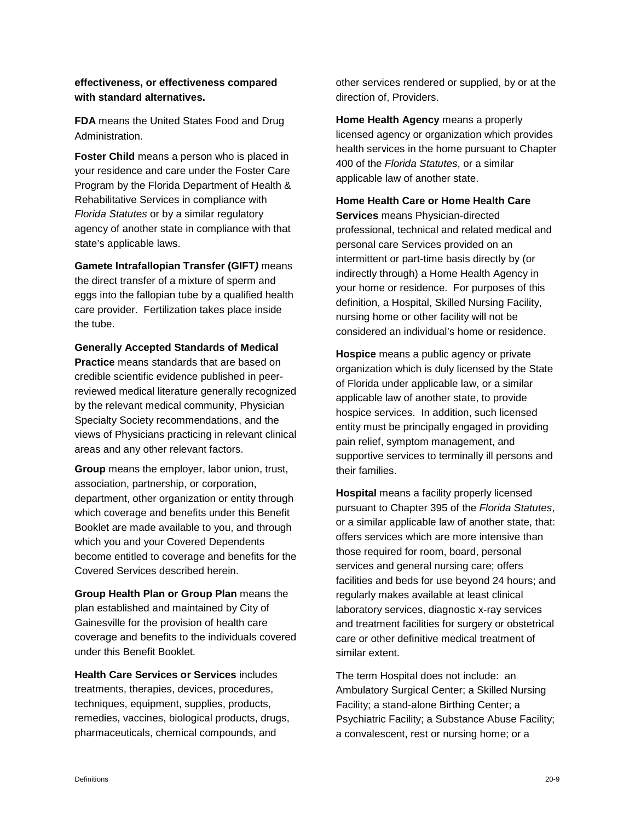#### **effectiveness, or effectiveness compared with standard alternatives.**

**FDA** means the United States Food and Drug Administration.

**Foster Child** means a person who is placed in your residence and care under the Foster Care Program by the Florida Department of Health & Rehabilitative Services in compliance with *Florida Statutes* or by a similar regulatory agency of another state in compliance with that state's applicable laws.

**Gamete Intrafallopian Transfer (GIFT***)* means the direct transfer of a mixture of sperm and eggs into the fallopian tube by a qualified health care provider. Fertilization takes place inside the tube.

**Generally Accepted Standards of Medical** 

**Practice** means standards that are based on credible scientific evidence published in peerreviewed medical literature generally recognized by the relevant medical community, Physician Specialty Society recommendations, and the views of Physicians practicing in relevant clinical areas and any other relevant factors.

**Group** means the employer, labor union, trust, association, partnership, or corporation, department, other organization or entity through which coverage and benefits under this Benefit Booklet are made available to you, and through which you and your Covered Dependents become entitled to coverage and benefits for the Covered Services described herein.

**Group Health Plan or Group Plan** means the plan established and maintained by City of Gainesville for the provision of health care coverage and benefits to the individuals covered under this Benefit Booklet.

**Health Care Services or Services** includes treatments, therapies, devices, procedures, techniques, equipment, supplies, products, remedies, vaccines, biological products, drugs, pharmaceuticals, chemical compounds, and

other services rendered or supplied, by or at the direction of, Providers.

**Home Health Agency** means a properly licensed agency or organization which provides health services in the home pursuant to Chapter 400 of the *Florida Statutes*, or a similar applicable law of another state.

#### **Home Health Care or Home Health Care**

**Services** means Physician-directed professional, technical and related medical and personal care Services provided on an intermittent or part-time basis directly by (or indirectly through) a Home Health Agency in your home or residence. For purposes of this definition, a Hospital, Skilled Nursing Facility, nursing home or other facility will not be considered an individual's home or residence.

**Hospice** means a public agency or private organization which is duly licensed by the State of Florida under applicable law, or a similar applicable law of another state, to provide hospice services. In addition, such licensed entity must be principally engaged in providing pain relief, symptom management, and supportive services to terminally ill persons and their families.

**Hospital** means a facility properly licensed pursuant to Chapter 395 of the *Florida Statutes*, or a similar applicable law of another state, that: offers services which are more intensive than those required for room, board, personal services and general nursing care; offers facilities and beds for use beyond 24 hours; and regularly makes available at least clinical laboratory services, diagnostic x-ray services and treatment facilities for surgery or obstetrical care or other definitive medical treatment of similar extent.

The term Hospital does not include: an Ambulatory Surgical Center; a Skilled Nursing Facility; a stand-alone Birthing Center; a Psychiatric Facility; a Substance Abuse Facility; a convalescent, rest or nursing home; or a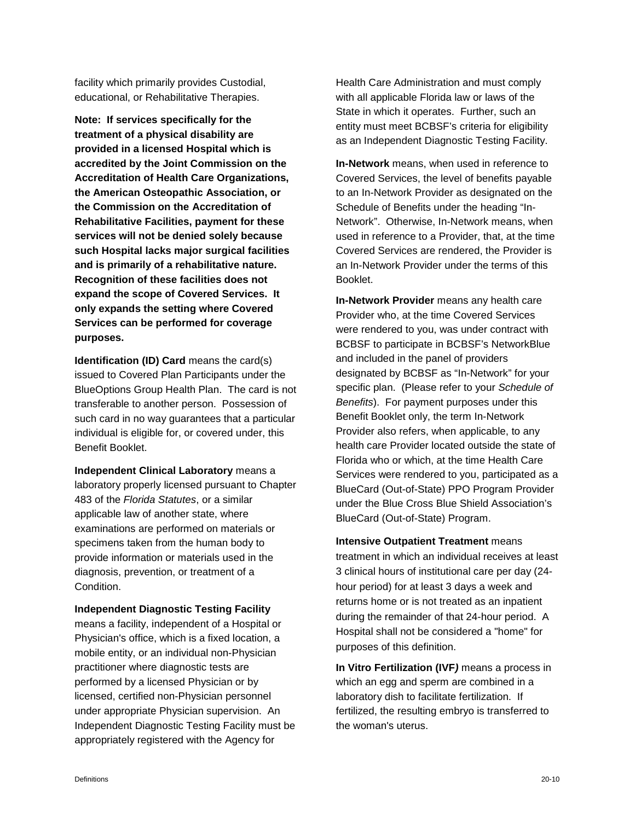facility which primarily provides Custodial, educational, or Rehabilitative Therapies.

**Note: If services specifically for the treatment of a physical disability are provided in a licensed Hospital which is accredited by the Joint Commission on the Accreditation of Health Care Organizations, the American Osteopathic Association, or the Commission on the Accreditation of Rehabilitative Facilities, payment for these services will not be denied solely because such Hospital lacks major surgical facilities and is primarily of a rehabilitative nature. Recognition of these facilities does not expand the scope of Covered Services. It only expands the setting where Covered Services can be performed for coverage purposes.**

**Identification (ID) Card** means the card(s) issued to Covered Plan Participants under the BlueOptions Group Health Plan. The card is not transferable to another person. Possession of such card in no way guarantees that a particular individual is eligible for, or covered under, this Benefit Booklet.

**Independent Clinical Laboratory** means a laboratory properly licensed pursuant to Chapter 483 of the *Florida Statutes*, or a similar applicable law of another state, where examinations are performed on materials or specimens taken from the human body to provide information or materials used in the diagnosis, prevention, or treatment of a Condition.

**Independent Diagnostic Testing Facility** means a facility, independent of a Hospital or Physician's office, which is a fixed location, a mobile entity, or an individual non-Physician practitioner where diagnostic tests are performed by a licensed Physician or by licensed, certified non-Physician personnel under appropriate Physician supervision. An Independent Diagnostic Testing Facility must be appropriately registered with the Agency for

Health Care Administration and must comply with all applicable Florida law or laws of the State in which it operates. Further, such an entity must meet BCBSF's criteria for eligibility as an Independent Diagnostic Testing Facility.

**In-Network** means, when used in reference to Covered Services, the level of benefits payable to an In-Network Provider as designated on the Schedule of Benefits under the heading "In-Network". Otherwise, In-Network means, when used in reference to a Provider, that, at the time Covered Services are rendered, the Provider is an In-Network Provider under the terms of this Booklet.

**In-Network Provider** means any health care Provider who, at the time Covered Services were rendered to you, was under contract with BCBSF to participate in BCBSF's NetworkBlue and included in the panel of providers designated by BCBSF as "In-Network" for your specific plan. (Please refer to your *Schedule of Benefits*). For payment purposes under this Benefit Booklet only, the term In-Network Provider also refers, when applicable, to any health care Provider located outside the state of Florida who or which, at the time Health Care Services were rendered to you, participated as a BlueCard (Out-of-State) PPO Program Provider under the Blue Cross Blue Shield Association's BlueCard (Out-of-State) Program.

**Intensive Outpatient Treatment** means treatment in which an individual receives at least 3 clinical hours of institutional care per day (24 hour period) for at least 3 days a week and returns home or is not treated as an inpatient during the remainder of that 24-hour period. A Hospital shall not be considered a "home" for purposes of this definition.

**In Vitro Fertilization (IVF***)* means a process in which an egg and sperm are combined in a laboratory dish to facilitate fertilization. If fertilized, the resulting embryo is transferred to the woman's uterus.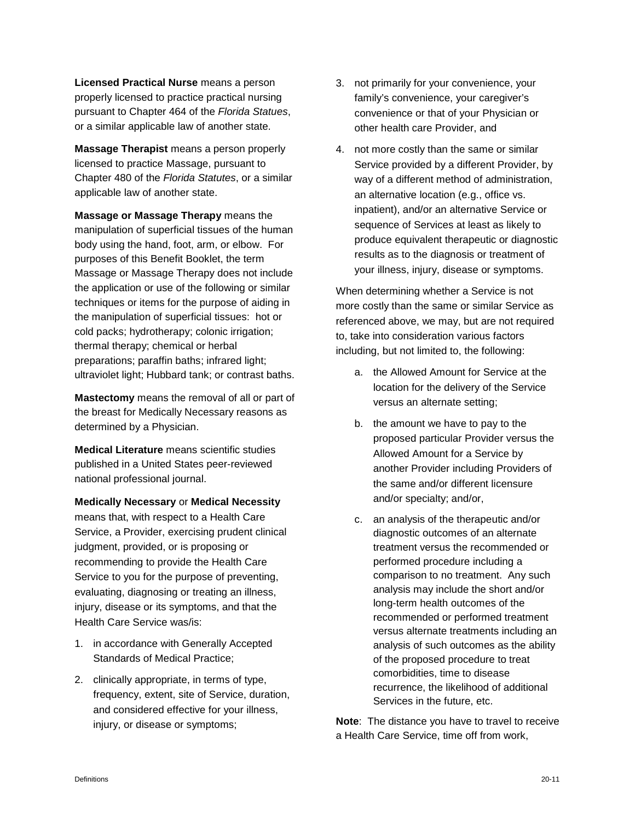**Licensed Practical Nurse** means a person properly licensed to practice practical nursing pursuant to Chapter 464 of the *Florida Statues*, or a similar applicable law of another state.

**Massage Therapist** means a person properly licensed to practice Massage, pursuant to Chapter 480 of the *Florida Statutes*, or a similar applicable law of another state.

**Massage or Massage Therapy** means the manipulation of superficial tissues of the human body using the hand, foot, arm, or elbow. For purposes of this Benefit Booklet, the term Massage or Massage Therapy does not include the application or use of the following or similar techniques or items for the purpose of aiding in the manipulation of superficial tissues: hot or cold packs; hydrotherapy; colonic irrigation; thermal therapy; chemical or herbal preparations; paraffin baths; infrared light; ultraviolet light; Hubbard tank; or contrast baths.

**Mastectomy** means the removal of all or part of the breast for Medically Necessary reasons as determined by a Physician.

**Medical Literature** means scientific studies published in a United States peer-reviewed national professional journal.

**Medically Necessary** or **Medical Necessity** means that, with respect to a Health Care Service, a Provider, exercising prudent clinical judgment, provided, or is proposing or recommending to provide the Health Care Service to you for the purpose of preventing, evaluating, diagnosing or treating an illness, injury, disease or its symptoms, and that the Health Care Service was/is:

- 1. in accordance with Generally Accepted Standards of Medical Practice;
- 2. clinically appropriate, in terms of type, frequency, extent, site of Service, duration, and considered effective for your illness, injury, or disease or symptoms;
- 3. not primarily for your convenience, your family's convenience, your caregiver's convenience or that of your Physician or other health care Provider, and
- 4. not more costly than the same or similar Service provided by a different Provider, by way of a different method of administration, an alternative location (e.g., office vs. inpatient), and/or an alternative Service or sequence of Services at least as likely to produce equivalent therapeutic or diagnostic results as to the diagnosis or treatment of your illness, injury, disease or symptoms.

When determining whether a Service is not more costly than the same or similar Service as referenced above, we may, but are not required to, take into consideration various factors including, but not limited to, the following:

- a. the Allowed Amount for Service at the location for the delivery of the Service versus an alternate setting;
- b. the amount we have to pay to the proposed particular Provider versus the Allowed Amount for a Service by another Provider including Providers of the same and/or different licensure and/or specialty; and/or,
- c. an analysis of the therapeutic and/or diagnostic outcomes of an alternate treatment versus the recommended or performed procedure including a comparison to no treatment. Any such analysis may include the short and/or long-term health outcomes of the recommended or performed treatment versus alternate treatments including an analysis of such outcomes as the ability of the proposed procedure to treat comorbidities, time to disease recurrence, the likelihood of additional Services in the future, etc.

**Note**: The distance you have to travel to receive a Health Care Service, time off from work,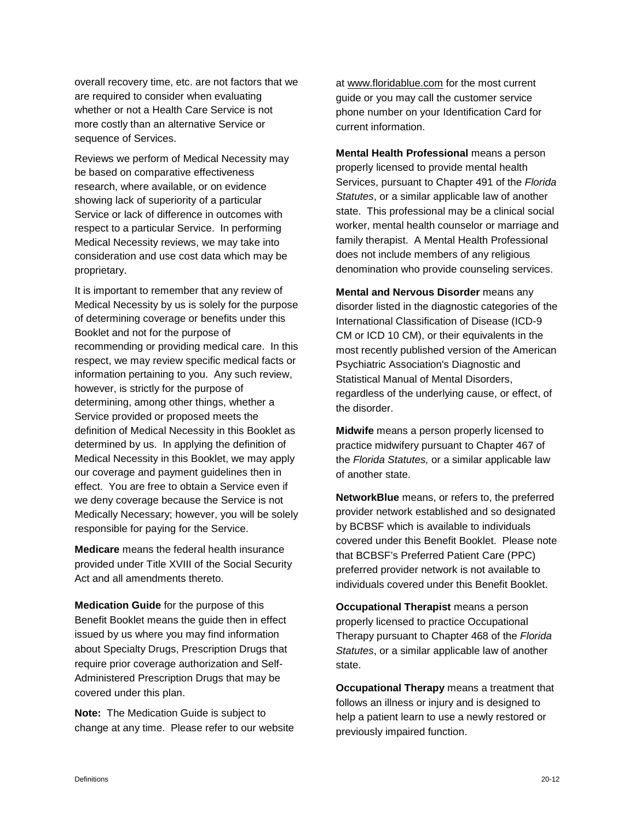overall recovery time, etc. are not factors that we are required to consider when evaluating whether or not a Health Care Service is not more costly than an alternative Service or sequence of Services.

Reviews we perform of Medical Necessity may be based on comparative effectiveness research, where available, or on evidence showing lack of superiority of a particular Service or lack of difference in outcomes with respect to a particular Service. In performing Medical Necessity reviews, we may take into consideration and use cost data which may be proprietary.

It is important to remember that any review of Medical Necessity by us is solely for the purpose of determining coverage or benefits under this Booklet and not for the purpose of recommending or providing medical care. In this respect, we may review specific medical facts or information pertaining to you. Any such review, however, is strictly for the purpose of determining, among other things, whether a Service provided or proposed meets the definition of Medical Necessity in this Booklet as determined by us. In applying the definition of Medical Necessity in this Booklet, we may apply our coverage and payment guidelines then in effect. You are free to obtain a Service even if we deny coverage because the Service is not Medically Necessary; however, you will be solely responsible for paying for the Service.

**Medicare** means the federal health insurance provided under Title XVIII of the Social Security Act and all amendments thereto.

**Medication Guide** for the purpose of this Benefit Booklet means the guide then in effect issued by us where you may find information about Specialty Drugs, Prescription Drugs that require prior coverage authorization and Self-Administered Prescription Drugs that may be covered under this plan.

**Note:** The Medication Guide is subject to change at any time. Please refer to our website at [www.floridablue.com](http://www.bcbsfl.com/) for the most current guide or you may call the customer service phone number on your Identification Card for current information.

**Mental Health Professional** means a person properly licensed to provide mental health Services, pursuant to Chapter 491 of the *Florida Statutes*, or a similar applicable law of another state. This professional may be a clinical social worker, mental health counselor or marriage and family therapist. A Mental Health Professional does not include members of any religious denomination who provide counseling services.

**Mental and Nervous Disorder** means any disorder listed in the diagnostic categories of the International Classification of Disease (ICD-9 CM or ICD 10 CM), or their equivalents in the most recently published version of the American Psychiatric Association's Diagnostic and Statistical Manual of Mental Disorders, regardless of the underlying cause, or effect, of the disorder.

**Midwife** means a person properly licensed to practice midwifery pursuant to Chapter 467 of the *Florida Statutes,* or a similar applicable law of another state.

**NetworkBlue** means, or refers to, the preferred provider network established and so designated by BCBSF which is available to individuals covered under this Benefit Booklet. Please note that BCBSF's Preferred Patient Care (PPC) preferred provider network is not available to individuals covered under this Benefit Booklet.

**Occupational Therapist** means a person properly licensed to practice Occupational Therapy pursuant to Chapter 468 of the *Florida Statutes*, or a similar applicable law of another state.

**Occupational Therapy** means a treatment that follows an illness or injury and is designed to help a patient learn to use a newly restored or previously impaired function.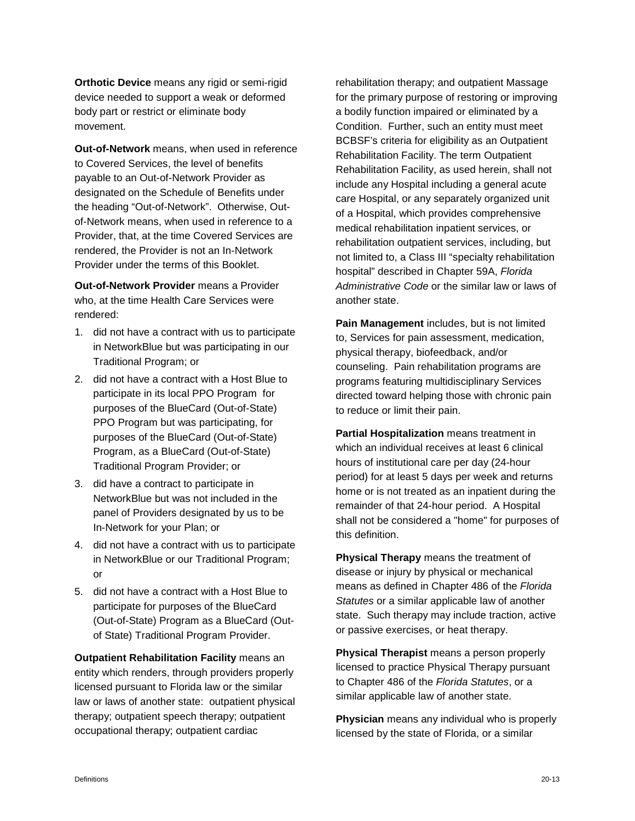**Orthotic Device** means any rigid or semi-rigid device needed to support a weak or deformed body part or restrict or eliminate body movement.

**Out-of-Network** means, when used in reference to Covered Services, the level of benefits payable to an Out-of-Network Provider as designated on the Schedule of Benefits under the heading "Out-of-Network". Otherwise, Outof-Network means, when used in reference to a Provider, that, at the time Covered Services are rendered, the Provider is not an In-Network Provider under the terms of this Booklet.

**Out-of-Network Provider** means a Provider who, at the time Health Care Services were rendered:

- 1. did not have a contract with us to participate in NetworkBlue but was participating in our Traditional Program; or
- 2. did not have a contract with a Host Blue to participate in its local PPO Program for purposes of the BlueCard (Out-of-State) PPO Program but was participating, for purposes of the BlueCard (Out-of-State) Program, as a BlueCard (Out-of-State) Traditional Program Provider; or
- 3. did have a contract to participate in NetworkBlue but was not included in the panel of Providers designated by us to be In-Network for your Plan; or
- 4. did not have a contract with us to participate in NetworkBlue or our Traditional Program; or
- 5. did not have a contract with a Host Blue to participate for purposes of the BlueCard (Out-of-State) Program as a BlueCard (Outof State) Traditional Program Provider.

**Outpatient Rehabilitation Facility** means an entity which renders, through providers properly licensed pursuant to Florida law or the similar law or laws of another state: outpatient physical therapy; outpatient speech therapy; outpatient occupational therapy; outpatient cardiac

rehabilitation therapy; and outpatient Massage for the primary purpose of restoring or improving a bodily function impaired or eliminated by a Condition. Further, such an entity must meet BCBSF's criteria for eligibility as an Outpatient Rehabilitation Facility. The term Outpatient Rehabilitation Facility, as used herein, shall not include any Hospital including a general acute care Hospital, or any separately organized unit of a Hospital, which provides comprehensive medical rehabilitation inpatient services, or rehabilitation outpatient services, including, but not limited to, a Class III "specialty rehabilitation hospital" described in Chapter 59A, *Florida Administrative Code* or the similar law or laws of another state.

**Pain Management** includes, but is not limited to, Services for pain assessment, medication, physical therapy, biofeedback, and/or counseling. Pain rehabilitation programs are programs featuring multidisciplinary Services directed toward helping those with chronic pain to reduce or limit their pain.

**Partial Hospitalization** means treatment in which an individual receives at least 6 clinical hours of institutional care per day (24-hour period) for at least 5 days per week and returns home or is not treated as an inpatient during the remainder of that 24-hour period. A Hospital shall not be considered a "home" for purposes of this definition.

**Physical Therapy** means the treatment of disease or injury by physical or mechanical means as defined in Chapter 486 of the *Florida Statutes* or a similar applicable law of another state. Such therapy may include traction, active or passive exercises, or heat therapy.

**Physical Therapist** means a person properly licensed to practice Physical Therapy pursuant to Chapter 486 of the *Florida Statutes*, or a similar applicable law of another state.

**Physician** means any individual who is properly licensed by the state of Florida, or a similar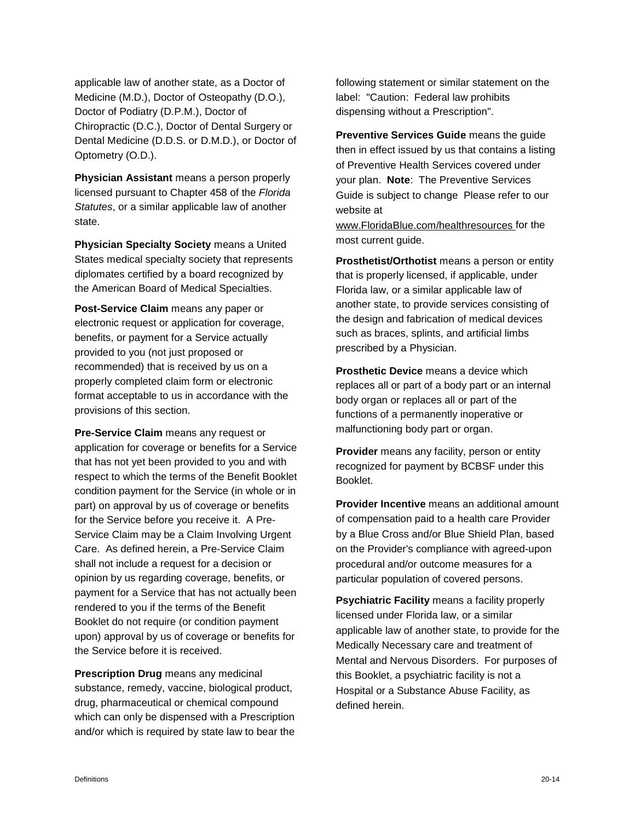applicable law of another state, as a Doctor of Medicine (M.D.), Doctor of Osteopathy (D.O.), Doctor of Podiatry (D.P.M.), Doctor of Chiropractic (D.C.), Doctor of Dental Surgery or Dental Medicine (D.D.S. or D.M.D.), or Doctor of Optometry (O.D.).

**Physician Assistant** means a person properly licensed pursuant to Chapter 458 of the *Florida Statutes*, or a similar applicable law of another state.

**Physician Specialty Society** means a United States medical specialty society that represents diplomates certified by a board recognized by the American Board of Medical Specialties.

**Post-Service Claim** means any paper or electronic request or application for coverage, benefits, or payment for a Service actually provided to you (not just proposed or recommended) that is received by us on a properly completed claim form or electronic format acceptable to us in accordance with the provisions of this section.

**Pre-Service Claim** means any request or application for coverage or benefits for a Service that has not yet been provided to you and with respect to which the terms of the Benefit Booklet condition payment for the Service (in whole or in part) on approval by us of coverage or benefits for the Service before you receive it. A Pre-Service Claim may be a Claim Involving Urgent Care. As defined herein, a Pre-Service Claim shall not include a request for a decision or opinion by us regarding coverage, benefits, or payment for a Service that has not actually been rendered to you if the terms of the Benefit Booklet do not require (or condition payment upon) approval by us of coverage or benefits for the Service before it is received.

**Prescription Drug** means any medicinal substance, remedy, vaccine, biological product, drug, pharmaceutical or chemical compound which can only be dispensed with a Prescription and/or which is required by state law to bear the

following statement or similar statement on the label: "Caution: Federal law prohibits dispensing without a Prescription".

**Preventive Services Guide** means the guide then in effect issued by us that contains a listing of Preventive Health Services covered under your plan. **Note**: The Preventive Services Guide is subject to change Please refer to our website at

[www.FloridaBlue.com/healthresources](http://www.floridablue.com/healthresources) for the most current guide.

**Prosthetist/Orthotist** means a person or entity that is properly licensed, if applicable, under Florida law, or a similar applicable law of another state, to provide services consisting of the design and fabrication of medical devices such as braces, splints, and artificial limbs prescribed by a Physician.

**Prosthetic Device** means a device which replaces all or part of a body part or an internal body organ or replaces all or part of the functions of a permanently inoperative or malfunctioning body part or organ.

**Provider** means any facility, person or entity recognized for payment by BCBSF under this Booklet.

**Provider Incentive** means an additional amount of compensation paid to a health care Provider by a Blue Cross and/or Blue Shield Plan, based on the Provider's compliance with agreed-upon procedural and/or outcome measures for a particular population of covered persons.

**Psychiatric Facility** means a facility properly licensed under Florida law, or a similar applicable law of another state, to provide for the Medically Necessary care and treatment of Mental and Nervous Disorders. For purposes of this Booklet, a psychiatric facility is not a Hospital or a Substance Abuse Facility, as defined herein.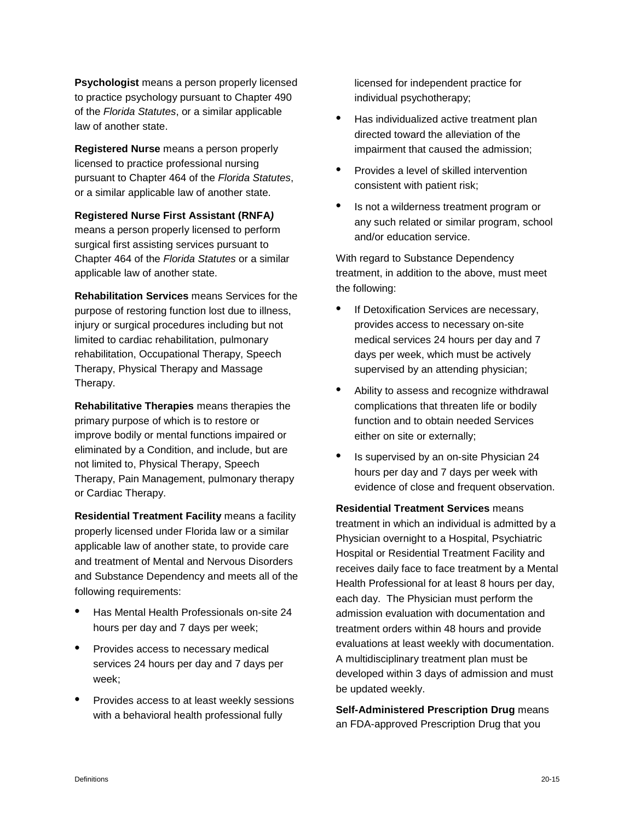**Psychologist** means a person properly licensed to practice psychology pursuant to Chapter 490 of the *Florida Statutes*, or a similar applicable law of another state.

**Registered Nurse** means a person properly licensed to practice professional nursing pursuant to Chapter 464 of the *Florida Statutes*, or a similar applicable law of another state.

**Registered Nurse First Assistant (RNFA***)*  means a person properly licensed to perform surgical first assisting services pursuant to Chapter 464 of the *Florida Statutes* or a similar applicable law of another state.

**Rehabilitation Services** means Services for the purpose of restoring function lost due to illness, injury or surgical procedures including but not limited to cardiac rehabilitation, pulmonary rehabilitation, Occupational Therapy, Speech Therapy, Physical Therapy and Massage Therapy.

**Rehabilitative Therapies** means therapies the primary purpose of which is to restore or improve bodily or mental functions impaired or eliminated by a Condition, and include, but are not limited to, Physical Therapy, Speech Therapy, Pain Management, pulmonary therapy or Cardiac Therapy.

**Residential Treatment Facility** means a facility properly licensed under Florida law or a similar applicable law of another state, to provide care and treatment of Mental and Nervous Disorders and Substance Dependency and meets all of the following requirements:

- Has Mental Health Professionals on-site 24 hours per day and 7 days per week;
- Provides access to necessary medical services 24 hours per day and 7 days per week;
- Provides access to at least weekly sessions with a behavioral health professional fully

licensed for independent practice for individual psychotherapy;

- Has individualized active treatment plan directed toward the alleviation of the impairment that caused the admission;
- Provides a level of skilled intervention consistent with patient risk;
- Is not a wilderness treatment program or any such related or similar program, school and/or education service.

With regard to Substance Dependency treatment, in addition to the above, must meet the following:

- If Detoxification Services are necessary, provides access to necessary on-site medical services 24 hours per day and 7 days per week, which must be actively supervised by an attending physician;
- Ability to assess and recognize withdrawal complications that threaten life or bodily function and to obtain needed Services either on site or externally;
- Is supervised by an on-site Physician 24 hours per day and 7 days per week with evidence of close and frequent observation.

**Residential Treatment Services** means treatment in which an individual is admitted by a Physician overnight to a Hospital, Psychiatric Hospital or Residential Treatment Facility and receives daily face to face treatment by a Mental Health Professional for at least 8 hours per day, each day. The Physician must perform the admission evaluation with documentation and treatment orders within 48 hours and provide evaluations at least weekly with documentation. A multidisciplinary treatment plan must be developed within 3 days of admission and must be updated weekly.

**Self-Administered Prescription Drug** means an FDA-approved Prescription Drug that you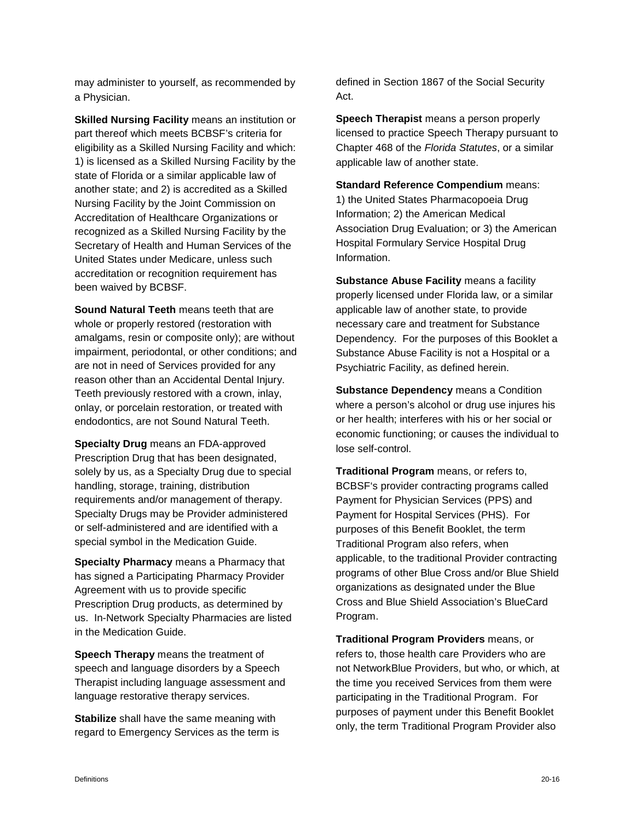may administer to yourself, as recommended by a Physician.

**Skilled Nursing Facility** means an institution or part thereof which meets BCBSF's criteria for eligibility as a Skilled Nursing Facility and which: 1) is licensed as a Skilled Nursing Facility by the state of Florida or a similar applicable law of another state; and 2) is accredited as a Skilled Nursing Facility by the Joint Commission on Accreditation of Healthcare Organizations or recognized as a Skilled Nursing Facility by the Secretary of Health and Human Services of the United States under Medicare, unless such accreditation or recognition requirement has been waived by BCBSF.

**Sound Natural Teeth** means teeth that are whole or properly restored (restoration with amalgams, resin or composite only); are without impairment, periodontal, or other conditions; and are not in need of Services provided for any reason other than an Accidental Dental Injury. Teeth previously restored with a crown, inlay, onlay, or porcelain restoration, or treated with endodontics, are not Sound Natural Teeth.

**Specialty Drug** means an FDA-approved Prescription Drug that has been designated, solely by us, as a Specialty Drug due to special handling, storage, training, distribution requirements and/or management of therapy. Specialty Drugs may be Provider administered or self-administered and are identified with a special symbol in the Medication Guide.

**Specialty Pharmacy** means a Pharmacy that has signed a Participating Pharmacy Provider Agreement with us to provide specific Prescription Drug products, as determined by us. In-Network Specialty Pharmacies are listed in the Medication Guide.

**Speech Therapy** means the treatment of speech and language disorders by a Speech Therapist including language assessment and language restorative therapy services.

**Stabilize** shall have the same meaning with regard to Emergency Services as the term is defined in Section 1867 of the Social Security Act.

**Speech Therapist** means a person properly licensed to practice Speech Therapy pursuant to Chapter 468 of the *Florida Statutes*, or a similar applicable law of another state.

**Standard Reference Compendium** means: 1) the United States Pharmacopoeia Drug Information; 2) the American Medical Association Drug Evaluation; or 3) the American Hospital Formulary Service Hospital Drug Information.

**Substance Abuse Facility** means a facility properly licensed under Florida law, or a similar applicable law of another state, to provide necessary care and treatment for Substance Dependency. For the purposes of this Booklet a Substance Abuse Facility is not a Hospital or a Psychiatric Facility, as defined herein.

**Substance Dependency** means a Condition where a person's alcohol or drug use injures his or her health; interferes with his or her social or economic functioning; or causes the individual to lose self-control.

**Traditional Program** means, or refers to, BCBSF's provider contracting programs called Payment for Physician Services (PPS) and Payment for Hospital Services (PHS). For purposes of this Benefit Booklet, the term Traditional Program also refers, when applicable, to the traditional Provider contracting programs of other Blue Cross and/or Blue Shield organizations as designated under the Blue Cross and Blue Shield Association's BlueCard Program.

**Traditional Program Providers** means, or refers to, those health care Providers who are not NetworkBlue Providers, but who, or which, at the time you received Services from them were participating in the Traditional Program. For purposes of payment under this Benefit Booklet only, the term Traditional Program Provider also